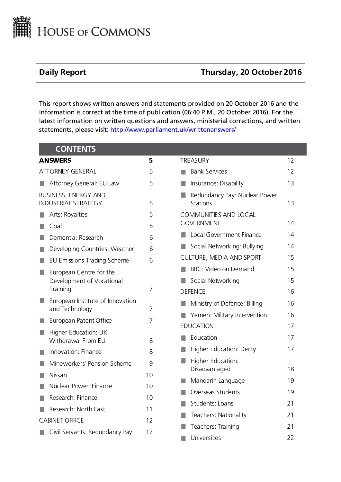

# **Daily Report Thursday, 20 October 2016**

This report shows written answers and statements provided on 20 October 2016 and the information is correct at the time of publication (06:40 P.M., 20 October 2016). For the latest information on written questions and answers, ministerial corrections, and written statements, please visit: [http://www.parliament.uk/writtenanswers/](http://www.parliament.uk/writtenanswers)

| <b>CONTENTS</b>                                    |                |                                                  |    |
|----------------------------------------------------|----------------|--------------------------------------------------|----|
| <b>ANSWERS</b>                                     | 5              | <b>TREASURY</b>                                  | 12 |
| <b>ATTORNEY GENERAL</b>                            | 5              | <b>Bank Services</b>                             | 12 |
| Attorney General: EU Law                           | 5              | Insurance: Disability<br>a a                     | 13 |
| BUSINESS, ENERGY AND<br><b>INDUSTRIAL STRATEGY</b> | 5              | Redundancy Pay: Nuclear Power<br><b>Stations</b> | 13 |
| Arts: Royalties                                    | 5              | <b>COMMUNITIES AND LOCAL</b>                     |    |
| Coal                                               | 5              | <b>GOVERNMENT</b>                                | 14 |
| Dementia: Research                                 | 6              | <b>Local Government Finance</b>                  | 14 |
| Developing Countries: Weather                      | 6              | Social Networking: Bullying                      | 14 |
| EU Emissions Trading Scheme                        | 6              | CULTURE, MEDIA AND SPORT                         | 15 |
| European Centre for the<br>H.                      |                | BBC: Video on Demand                             | 15 |
| Development of Vocational                          |                | Social Networking                                | 15 |
| Training                                           | 7              | <b>DEFENCE</b>                                   | 16 |
| European Institute of Innovation<br>and Technology | $\overline{7}$ | Ministry of Defence: Billing                     | 16 |
| European Patent Office                             | $\overline{7}$ | Yemen: Military Intervention                     | 16 |
| Higher Education: UK                               |                | <b>EDUCATION</b>                                 | 17 |
| Withdrawal From EU                                 | 8              | Education<br>a a                                 | 17 |
| Innovation: Finance                                | 8              | Higher Education: Derby                          | 17 |
| Mineworkers' Pension Scheme                        | 9              | Higher Education:                                |    |
| Nissan                                             | 10             | Disadvantaged                                    | 18 |
| Nuclear Power: Finance                             | 10             | Mandarin Language                                | 19 |
| Research: Finance                                  | 10             | Overseas Students                                | 19 |
| Research: North East                               | 11             | Students: Loans                                  | 21 |
| <b>CABINET OFFICE</b>                              | 12             | Teachers: Nationality                            | 21 |
| Civil Servants: Redundancy Pay                     | 12             | Teachers: Training                               | 21 |
|                                                    |                | Universities                                     | 22 |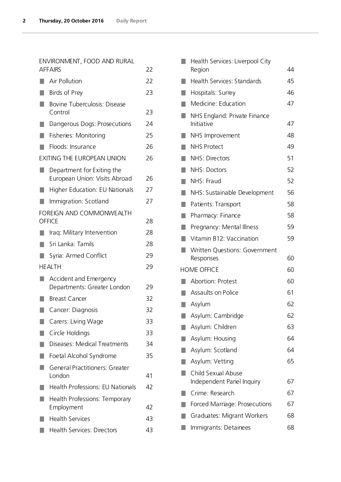# [ENVIRONMENT, FOOD AND RURAL](#page-21-1)  [AFFAIRS](#page-21-1) 22

| Air Pollution                                               | 22 |
|-------------------------------------------------------------|----|
| Birds of Prey                                               | 23 |
| <b>Bovine Tuberculosis: Disease</b><br>Control              | 23 |
| Dangerous Dogs: Prosecutions                                | 24 |
| Fisheries: Monitoring                                       | 25 |
| Floods: Insurance                                           | 26 |
| EXITING THE EUROPEAN UNION                                  | 26 |
| Department for Exiting the<br>European Union: Visits Abroad | 26 |
| <b>Higher Education: EU Nationals</b>                       | 27 |
| Immigration: Scotland                                       | 27 |
| FOREIGN AND COMMONWEALTH                                    |    |
| <b>OFFICE</b>                                               | 28 |
| Iraq: Military Intervention                                 | 28 |
| Sri Lanka: Tamils                                           | 28 |
| Syria: Armed Conflict                                       | 29 |
| <b>HEALTH</b>                                               | 29 |
| Accident and Emergency<br>Departments: Greater London       | 29 |
| <b>Breast Cancer</b>                                        | 32 |
| Cancer: Diagnosis                                           | 32 |
| Carers: Living Wage                                         | 33 |
| Circle Holdings                                             | 33 |
| Diseases: Medical Treatments                                | 34 |
| Foetal Alcohol Syndrome                                     | 35 |
| <b>General Practitioners: Greater</b><br>London             | 41 |
| <b>Health Professions: EU Nationals</b>                     | 42 |
| Health Professions: Temporary<br>Employment                 | 42 |
| <b>Health Services</b>                                      | 43 |
| <b>Health Services: Directors</b>                           | 43 |

|    | Health Services: Liverpool City                   |    |
|----|---------------------------------------------------|----|
|    | Region                                            | 44 |
|    | Health Services: Standards                        | 45 |
|    | Hospitals: Surrey                                 | 46 |
|    | Medicine: Education                               | 47 |
|    | NHS England: Private Finance<br>Initiative        | 47 |
|    |                                                   | 48 |
|    | NHS Improvement                                   |    |
|    | <b>NHS Protect</b>                                | 49 |
|    | <b>NHS: Directors</b>                             | 51 |
| ٠  | NHS: Doctors                                      | 52 |
|    | NHS: Fraud                                        | 52 |
|    | NHS: Sustainable Development                      | 56 |
| H. | Patients: Transport                               | 58 |
|    | Pharmacy: Finance                                 | 58 |
|    | Pregnancy: Mental Illness                         | 59 |
|    | Vitamin B12: Vaccination                          | 59 |
|    | <b>Written Questions: Government</b><br>Responses | 60 |
|    | <b>HOME OFFICE</b>                                | 60 |
| ٠  | <b>Abortion: Protest</b>                          | 60 |
|    | Assaults on Police                                |    |
|    |                                                   | 61 |
|    | Asylum                                            | 62 |
|    | Asylum: Cambridge                                 | 62 |
|    | Asylum: Children                                  | 63 |
|    | Asylum: Housing                                   | 64 |
|    | Asylum: Scotland                                  | 64 |
|    | Asylum: Vetting                                   | 65 |
|    | Child Sexual Abuse                                |    |
|    | Independent Panel Inquiry                         | 67 |
|    | Crime: Research                                   | 67 |
|    | Forced Marriage: Prosecutions                     | 67 |
|    | Graduates: Migrant Workers                        | 68 |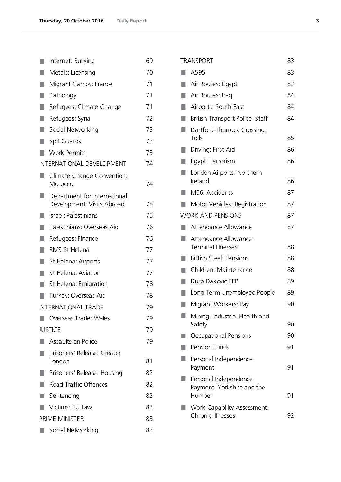|                  | Internet: Bullying                                         | 69 |
|------------------|------------------------------------------------------------|----|
|                  | Metals: Licensing                                          | 70 |
| H.               | Migrant Camps: France                                      | 71 |
|                  | Pathology                                                  | 71 |
| ٠                | Refugees: Climate Change                                   | 71 |
| П                | Refugees: Syria                                            | 72 |
| П                | Social Networking                                          | 73 |
| ш                | Spit Guards                                                | 73 |
| ٠                | <b>Work Permits</b>                                        | 73 |
|                  | INTERNATIONAL DEVELOPMENT                                  | 74 |
|                  | Climate Change Convention:<br>Morocco                      | 74 |
|                  | Department for International<br>Development: Visits Abroad | 75 |
|                  | Israel: Palestinians                                       | 75 |
| ٠                | Palestinians: Overseas Aid                                 | 76 |
| T.               | Refugees: Finance                                          | 76 |
| H.               | RMS St Helena                                              | 77 |
| Ш                | St Helena: Airports                                        | 77 |
| П                | St Helena: Aviation                                        | 77 |
|                  | St Helena: Emigration                                      | 78 |
|                  | Turkey: Overseas Aid                                       | 78 |
|                  | <b>INTERNATIONAL TRADE</b>                                 | 79 |
|                  | Overseas Trade: Wales                                      | 79 |
|                  | <b>JUSTICE</b>                                             | 79 |
|                  | Assaults on Police                                         | 79 |
|                  | Prisoners' Release: Greater<br>London                      | 81 |
|                  | Prisoners' Release: Housing                                | 82 |
| <b>The State</b> | Road Traffic Offences                                      | 82 |
| ٠                | Sentencing                                                 | 82 |
|                  | Victims: EU Law                                            | 83 |
|                  | PRIME MINISTER                                             | 83 |
|                  | Social Networking                                          | 83 |

| <b>TRANSPORT</b>                                              | 83 |
|---------------------------------------------------------------|----|
| A595                                                          | 83 |
| Air Routes: Egypt                                             | 83 |
| Air Routes: Iraq                                              | 84 |
| Airports: South East                                          | 84 |
| British Transport Police: Staff                               | 84 |
| Dartford-Thurrock Crossing:<br>Tolls                          | 85 |
| Driving: First Aid                                            | 86 |
| Egypt: Terrorism                                              | 86 |
| London Airports: Northern<br>Ireland                          | 86 |
| M56: Accidents                                                | 87 |
| Motor Vehicles: Registration                                  | 87 |
| <b>WORK AND PENSIONS</b>                                      | 87 |
| Attendance Allowance                                          | 87 |
| Attendance Allowance:<br><b>Terminal Illnesses</b>            | 88 |
| <b>British Steel: Pensions</b>                                | 88 |
| Children: Maintenance                                         | 88 |
| Duro Dakovic TEP                                              | 89 |
| Long Term Unemployed People                                   | 89 |
| Migrant Workers: Pay                                          | 90 |
| Mining: Industrial Health and<br>Safety                       | 90 |
| Occupational Pensions                                         | 90 |
| <b>Pension Funds</b>                                          | 91 |
| Personal Independence<br>Payment                              | 91 |
| Personal Independence<br>Payment: Yorkshire and the<br>Humber | 91 |
| Work Capability Assessment:<br><b>Chronic Illnesses</b>       | 92 |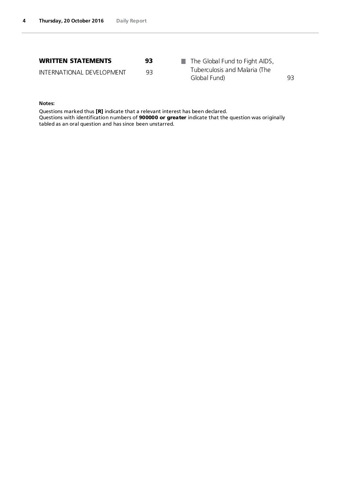| <b>WRITTEN STATEMENTS</b> | 93 | The Global Fund to Fight AIDS,<br>and the con- |     |
|---------------------------|----|------------------------------------------------|-----|
| INTERNATIONAL DEVELOPMENT | 93 | Tuberculosis and Malaria (The<br>Global Fund)  | 93. |

### **Notes:**

Questions marked thus [R] indicate that a relevant interest has been declared. Questions with identification numbers of **90 0000 or greater** indicate that the question was originally tabled as an oral question and has since been unstarred.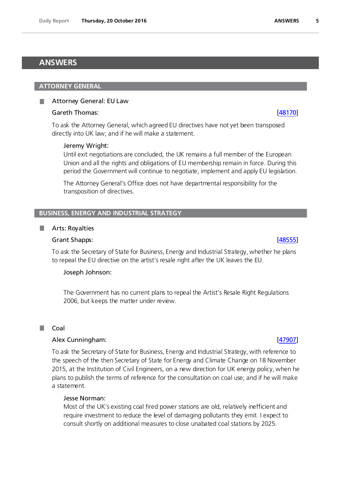# <span id="page-4-0"></span>**ANSWERS**

# <span id="page-4-1"></span>**ATTORNEY GENERAL**

# <span id="page-4-2"></span>Attorney General: EU Law

# Gareth Thomas: [\[48170\]](http://www.parliament.uk/business/publications/written-questions-answers-statements/written-question/Commons/2016-10-11/48170)

To ask the Attorney General, which agreed EU directives have not yet been transposed directly into UK law; and if he will make a statement.

# Jeremy Wright:

Until exit negotiations are concluded, the UK remains a full member of the European Union and all the rights and obligations of EU membership remain in force. During this period the Government will continue to negotiate, implement and apply EU legislation.

The Attorney General's Office does not have departmental responsibility for the transposition of directives.

# <span id="page-4-3"></span>**BUSINESS, ENERGY AND INDUSTRIAL STRATEGY**

### <span id="page-4-4"></span>Arts: Royalties

### Grant Shapps: [\[48555\]](http://www.parliament.uk/business/publications/written-questions-answers-statements/written-question/Commons/2016-10-13/48555)

To ask the Secretary of State for Business, Energy and Industrial Strategy, whether he plans to repeal the EU directive on the artist's resale right after the UK leaves the EU.

### Joseph Johnson:

The Government has no current plans to repeal the Artist's Resale Right Regulations 2006, but keeps the matter under review.

### <span id="page-4-5"></span>П Coal

### Alex Cunningham: [\[47907\]](http://www.parliament.uk/business/publications/written-questions-answers-statements/written-question/Commons/2016-10-10/47907)

To ask the Secretary of State for Business, Energy and Industrial Strategy, with reference to the speech of the then Secretary of State for Energy and Climate Change on 18 November 2015, at the Institution of Civil Engineers, on a new direction for UK energy policy, when he plans to publish the terms of reference for the consultation on coal use; and if he will make a statement.

# Jesse Norman:

Most of the UK's existing coal fired power stations are old, relatively inefficient and require investment to reduce the level of damaging pollutants they emit. I expect to consult shortly on additional measures to close unabated coal stations by 2025.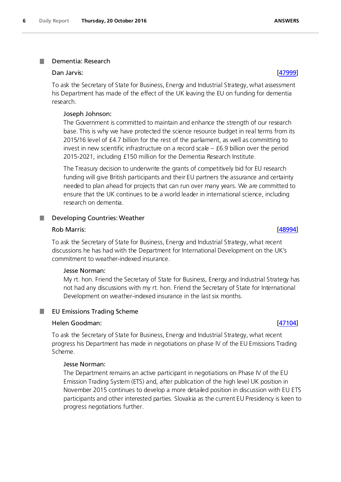### <span id="page-5-0"></span>Dementia: Research

### Dan Jarvis: [\[47999\]](http://www.parliament.uk/business/publications/written-questions-answers-statements/written-question/Commons/2016-10-11/47999)

To ask the Secretary of State for Business, Energy and Industrial Strategy, what assessment his Department has made of the effect of the UK leaving the EU on funding for dementia research.

### Joseph Johnson:

The Government is committed to maintain and enhance the strength of our research base. This is why we have protected the science resource budget in real terms from its 2015/16 level of £4.7 billion for the rest of the parliament, as well as committing to invest in new scientific infrastructure on a record scale – £6.9 billion over the period 2015-2021, including £150 million for the Dementia Research Institute.

The Treasury decision to underwrite the grants of competitively bid for EU research funding will give British participants and their EU partners the assurance and certainty needed to plan ahead for projects that can run over many years. We are committed to ensure that the UK continues to be a world leader in international science, including research on dementia.

# <span id="page-5-1"></span>Developing Countries: Weather

### Rob Marris: <u>[\[48994\]](http://www.parliament.uk/business/publications/written-questions-answers-statements/written-question/Commons/2016-10-17/48994)</u>

To ask the Secretary of State for Business, Energy and Industrial Strategy, what recent discussions he has had with the Department for International Development on the UK's commitment to weather-indexed insurance.

### Jesse Norman:

My rt. hon. Friend the Secretary of State for Business, Energy and Industrial Strategy has not had any discussions with my rt. hon. Friend the Secretary of State for International Development on weather-indexed insurance in the last six months.

### <span id="page-5-2"></span>**I** EU Emissions Trading Scheme

# Helen Goodman: [\[47104\]](http://www.parliament.uk/business/publications/written-questions-answers-statements/written-question/Commons/2016-10-07/47104)

To ask the Secretary of State for Business, Energy and Industrial Strategy, what recent progress his Department has made in negotiations on phase IV of the EU Emissions Trading Scheme.

### Jesse Norman:

The Department remains an active participant in negotiations on Phase IV of the EU Emission Trading System (ETS) and, after publication of the high level UK position in November 2015 continues to develop a more detailed position in discussion with EU ETS participants and other interested parties. Slovakia as the current EU Presidency is keen to progress negotiations further.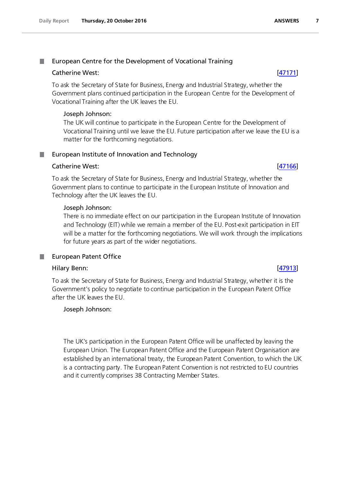### <span id="page-6-0"></span>. European Centre for the Development of Vocational Training

# Catherine West: [\[47171\]](http://www.parliament.uk/business/publications/written-questions-answers-statements/written-question/Commons/2016-10-07/47171)

To ask the Secretary of State for Business, Energy and Industrial Strategy, whether the Government plans continued participation in the European Centre for the Development of Vocational Training after the UK leaves the EU.

# Joseph Johnson:

The UK will continue to participate in the European Centre for the Development of Vocational Training until we leave the EU. Future participation after we leave the EU is a matter for the forthcoming negotiations.

# <span id="page-6-1"></span>**European Institute of Innovation and Technology**

# Catherine West: [\[47166\]](http://www.parliament.uk/business/publications/written-questions-answers-statements/written-question/Commons/2016-10-07/47166)

To ask the Secretary of State for Business, Energy and Industrial Strategy, whether the Government plans to continue to participate in the European Institute of Innovation and Technology after the UK leaves the EU.

# Joseph Johnson:

There is no immediate effect on our participation in the European Institute of Innovation and Technology (EIT) while we remain a member of the EU. Post-exit participation in EIT will be a matter for the forthcoming negotiations. We will work through the implications for future years as part of the wider negotiations.

# <span id="page-6-2"></span>European Patent Office

# Hilary Benn: [\[47913\]](http://www.parliament.uk/business/publications/written-questions-answers-statements/written-question/Commons/2016-10-10/47913)

To ask the Secretary of State for Business, Energy and Industrial Strategy, whether it is the Government's policy to negotiate to continue participation in the European Patent Office after the UK leaves the EU.

# Joseph Johnson:

The UK's participation in the European Patent Office will be unaffected by leaving the European Union. The European Patent Office and the European Patent Organisation are established by an international treaty, the European Patent Convention, to which the UK is a contracting party. The European Patent Convention is not restricted to EU countries and it currently comprises 38 Contracting Member States.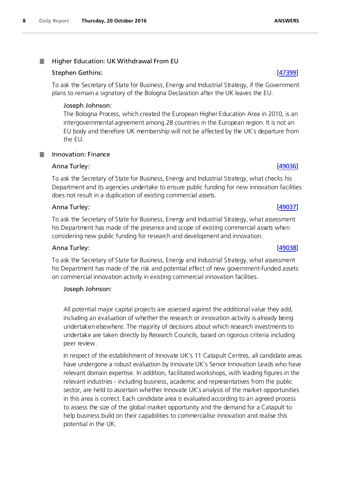### <span id="page-7-0"></span>Higher Education: UK Withdrawal From EU .

# Stephen Gethins: [\[47399\]](http://www.parliament.uk/business/publications/written-questions-answers-statements/written-question/Commons/2016-10-07/47399)

To ask the Secretary of State for Business, Energy and Industrial Strategy, if the Government plans to remain a signatory of the Bologna Declaration after the UK leaves the EU.

# Joseph Johnson:

The Bologna Process, which created the European Higher Education Area in 2010, is an intergovernmental agreement among 28 countries in the European region. It is not an EU body and therefore UK membership will not be affected by the UK's departure from the EU.

# <span id="page-7-1"></span>Innovation: Finance

# Anna Turley: [\[49036\]](http://www.parliament.uk/business/publications/written-questions-answers-statements/written-question/Commons/2016-10-17/49036)

To ask the Secretary of State for Business, Energy and Industrial Strategy, what checks his Department and its agencies undertake to ensure public funding for new innovation facilities does not result in a duplication of existing commercial assets.

# Anna Turley: [\[49037\]](http://www.parliament.uk/business/publications/written-questions-answers-statements/written-question/Commons/2016-10-17/49037)

To ask the Secretary of State for Business, Energy and Industrial Strategy, what assessment his Department has made of the presence and scope of existing commercial assets when considering new public funding for research and development and innovation.

# Anna Turley: [\[49038\]](http://www.parliament.uk/business/publications/written-questions-answers-statements/written-question/Commons/2016-10-17/49038)

To ask the Secretary of State for Business, Energy and Industrial Strategy, what assessment his Department has made of the risk and potential effect of new government-funded assets on commercial innovation activity in existing commercial innovation facilities.

# Joseph Johnson:

All potential major capital projects are assessed against the additional value they add, including an evaluation of whether the research or innovation activity is already being undertaken elsewhere. The majority of decisions about which research investments to undertake are taken directly by Research Councils, based on rigorous criteria including peer review.

In respect of the establishment of Innovate UK's 11 Catapult Centres, all candidate areas have undergone a robust evaluation by Innovate UK's Senior Innovation Leads who have relevant domain expertise. In addition, facilitated workshops, with leading figures in the relevant industries - including business, academic and representatives from the public sector, are held to ascertain whether Innovate UK's analysis of the market opportunities in this area is correct. Each candidate area is evaluated according to an agreed process to assess the size of the global market opportunity and the demand for a Catapult to help business build on their capabilities to commercialise innovation and realise this potential in the UK.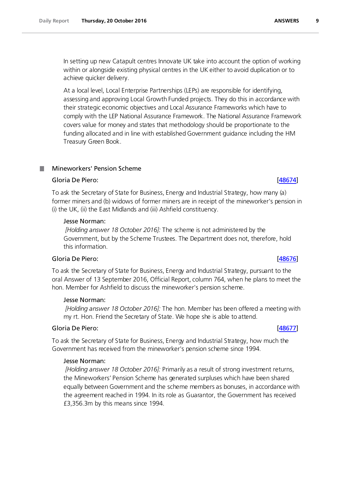In setting up new Catapult centres Innovate UK take into account the option of working within or alongside existing physical centres in the UK either to avoid duplication or to achieve quicker delivery.

At a local level, Local Enterprise Partnerships (LEPs) are responsible for identifying, assessing and approving Local Growth Funded projects. They do this in accordance with their strategic economic objectives and Local Assurance Frameworks which have to comply with the LEP National Assurance Framework. The National Assurance Framework covers value for money and states that methodology should be proportionate to the funding allocated and in line with established Government guidance including the HM Treasury Green Book.

# <span id="page-8-0"></span>Mineworkers' Pension Scheme

# Gloria De Piero: [\[48674\]](http://www.parliament.uk/business/publications/written-questions-answers-statements/written-question/Commons/2016-10-13/48674)

To ask the Secretary of State for Business, Energy and Industrial Strategy, how many (a) former miners and (b) widows of former miners are in receipt of the mineworker's pension in (i) the UK, (ii) the East Midlands and (iii) Ashfield constituency.

# Jesse Norman:

*[Holding answer 18 October 2016]:* The scheme is not administered by the Government, but by the Scheme Trustees. The Department does not, therefore, hold this information.

# Gloria De Piero: [\[48676\]](http://www.parliament.uk/business/publications/written-questions-answers-statements/written-question/Commons/2016-10-13/48676)

To ask the Secretary of State for Business, Energy and Industrial Strategy, pursuant to the oral Answer of 13 September 2016, Official Report, column 764, when he plans to meet the hon. Member for Ashfield to discuss the mineworker's pension scheme.

# Jesse Norman:

*[Holding answer 18 October 2016]:* The hon. Member has been offered a meeting with my rt. Hon. Friend the Secretary of State. We hope she is able to attend.

# Gloria De Piero: [\[48677\]](http://www.parliament.uk/business/publications/written-questions-answers-statements/written-question/Commons/2016-10-13/48677)

To ask the Secretary of State for Business, Energy and Industrial Strategy, how much the Government has received from the mineworker's pension scheme since 1994.

# Jesse Norman:

*[Holding answer 18 October 2016]:* Primarily as a result of strong investment returns, the Mineworkers' Pension Scheme has generated surpluses which have been shared equally between Government and the scheme members as bonuses, in accordance with the agreement reached in 1994. In its role as Guarantor, the Government has received £3,356.3m by this means since 1994.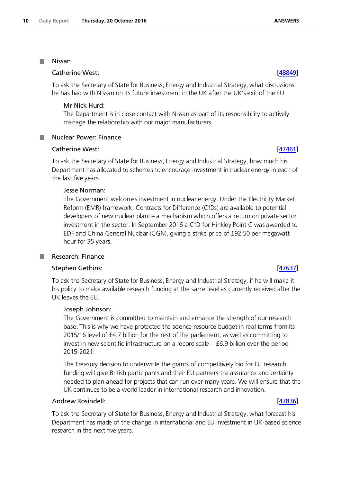### <span id="page-9-0"></span>Nissan **The State**

<span id="page-9-1"></span>**The State** 

# Catherine West: [\[48849\]](http://www.parliament.uk/business/publications/written-questions-answers-statements/written-question/Commons/2016-10-17/48849)

To ask the Secretary of State for Business, Energy and Industrial Strategy, what discussions he has had with Nissan on its future investment in the UK after the UK's exit of the EU.

# Mr Nick Hurd:

The Department is in close contact with Nissan as part of its responsibility to actively manage the relationship with our major manufacturers.

# Nuclear Power: Finance

# Catherine West: [\[47461\]](http://www.parliament.uk/business/publications/written-questions-answers-statements/written-question/Commons/2016-10-07/47461)

To ask the Secretary of State for Business, Energy and Industrial Strategy, how much his Department has allocated to schemes to encourage investment in nuclear energy in each of the last five years.

# Jesse Norman:

The Government welcomes investment in nuclear energy. Under the Electricity Market Reform (EMR) framework, Contracts for Difference (CfDs) are available to potential developers of new nuclear plant – a mechanism which offers a return on private sector investment in the sector. In September 2016 a CfD for Hinkley Point C was awarded to EDF and China General Nuclear (CGN), giving a strike price of £92.50 per megawatt hour for 35 years.

# <span id="page-9-2"></span>Research: Finance

# Stephen Gethins: [\[47637\]](http://www.parliament.uk/business/publications/written-questions-answers-statements/written-question/Commons/2016-10-10/47637)

To ask the Secretary of State for Business, Energy and Industrial Strategy, if he will make it his policy to make available research funding at the same level as currently received after the UK leaves the EU.

# Joseph Johnson:

The Government is committed to maintain and enhance the strength of our research base. This is why we have protected the science resource budget in real terms from its 2015/16 level of £4.7 billion for the rest of the parliament, as well as committing to invest in new scientific infrastructure on a record scale  $-$  £6.9 billion over the period 2015-2021.

The Treasury decision to underwrite the grants of competitively bid for EU research funding will give British participants and their EU partners the assurance and certainty needed to plan ahead for projects that can run over many years. We will ensure that the UK continues to be a world leader in international research and innovation.

# Andrew Rosindell: [\[47836\]](http://www.parliament.uk/business/publications/written-questions-answers-statements/written-question/Commons/2016-10-10/47836)

To ask the Secretary of State for Business, Energy and Industrial Strategy, what forecast his Department has made of the change in international and EU investment in UK-based science research in the next five years.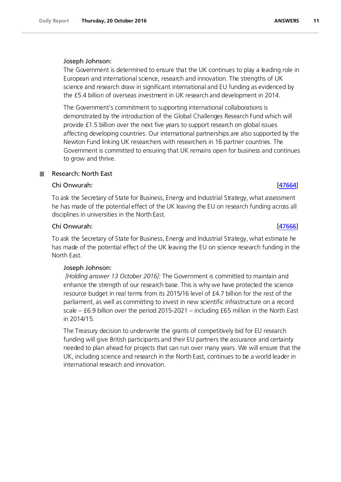# Joseph Johnson:

The Government is determined to ensure that the UK continues to play a leading role in European and international science, research and innovation. The strengths of UK science and research draw in significant international and EU funding as evidenced by the £5.4 billion of overseas investment in UK research and development in 2014.

The Government's commitment to supporting international collaborations is demonstrated by the introduction of the Global Challenges Research Fund which will provide £1.5 billion over the next five years to support research on global issues affecting developing countries. Our international partnerships are also supported by the Newton Fund linking UK researchers with researchers in 16 partner countries. The Government is committed to ensuring that UK remains open for business and continues to grow and thrive.

# <span id="page-10-0"></span>Research: North East

# Chi Onwurah: [\[47664\]](http://www.parliament.uk/business/publications/written-questions-answers-statements/written-question/Commons/2016-10-10/47664)

To ask the Secretary of State for Business, Energy and Industrial Strategy, what assessment he has made of the potential effect of the UK leaving the EU on research funding across all disciplines in universities in the North East.

# Chi Onwurah: [\[47666\]](http://www.parliament.uk/business/publications/written-questions-answers-statements/written-question/Commons/2016-10-10/47666)

To ask the Secretary of State for Business, Energy and Industrial Strategy, what estimate he has made of the potential effect of the UK leaving the EU on science research funding in the North East.

# Joseph Johnson:

*[Holding answer 13 October 2016]:* The Government is committed to maintain and enhance the strength of our research base. This is why we have protected the science resource budget in real terms from its 2015/16 level of £4.7 billion for the rest of the parliament, as well as committing to invest in new scientific infrastructure on a record scale – £6.9 billion over the period 2015-2021 – including £65 million in the North East in 2014/15.

The Treasury decision to underwrite the grants of competitively bid for EU research funding will give British participants and their EU partners the assurance and certainty needed to plan ahead for projects that can run over many years. We will ensure that the UK, including science and research in the North East, continues to be a world leader in international research and innovation.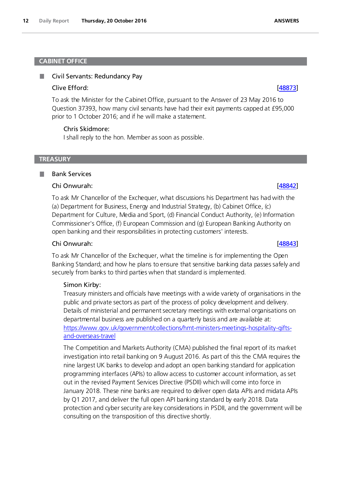### <span id="page-11-0"></span>**CABINET OFFICE**

### <span id="page-11-1"></span>ш Civil Servants: Redundancy Pay

### Clive Efford: [\[48873\]](http://www.parliament.uk/business/publications/written-questions-answers-statements/written-question/Commons/2016-10-17/48873)

To ask the Minister for the Cabinet Office, pursuant to the Answer of 23 May 2016 to Question 37393, how many civil servants have had their exit payments capped at £95,000 prior to 1 October 2016; and if he will make a statement.

### Chris Skidmore:

I shall reply to the hon. Member as soon as possible.

### <span id="page-11-2"></span>**TREASURY**

### <span id="page-11-3"></span>Bank Services ш

# Chi Onwurah: [\[48842\]](http://www.parliament.uk/business/publications/written-questions-answers-statements/written-question/Commons/2016-10-17/48842)

To ask Mr Chancellor of the Exchequer, what discussions his Department has had with the (a) Department for Business, Energy and Industrial Strategy, (b) Cabinet Office, (c) Department for Culture, Media and Sport, (d) Financial Conduct Authority, (e) Information Commissioner's Office, (f) European Commission and (g) European Banking Authority on open banking and their responsibilities in protecting customers' interests.

# Chi Onwurah: [\[48843\]](http://www.parliament.uk/business/publications/written-questions-answers-statements/written-question/Commons/2016-10-17/48843)

To ask Mr Chancellor of the Exchequer, what the timeline is for implementing the Open Banking Standard; and how he plans to ensure that sensitive banking data passes safely and securely from banks to third parties when that standard is implemented.

# Simon Kirby:

Treasury ministers and officials have meetings with a wide variety of organisations in the public and private sectors as part of the process of policy development and delivery. Details of ministerial and permanent secretary meetings with external organisations on departmental business are published on a quarterly basis and are available at: https://www.gov.uk/government/collections/hmt-ministers-meetings-hospitality-giftsand-overseas-travel

The Competition and Markets Authority (CMA) published the final report of its market investigation into retail banking on 9 August 2016. As part of this the CMA requires the nine largest UK banks to develop and adopt an open banking standard for application programming interfaces (APIs) to allow access to customer account information, as set out in the revised Payment Services Directive (PSDII) which will come into force in January 2018. These nine banks are required to deliver open data APIs and midata APIs by Q1 2017, and deliver the full open API banking standard by early 2018. Data protection and cyber security are key considerations in PSDII, and the government will be consulting on the transposition of this directive shortly.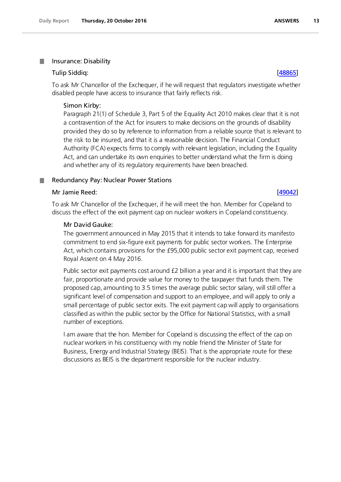### <span id="page-12-0"></span>. Insurance: Disability

# Tulip Siddiq: [\[48865\]](http://www.parliament.uk/business/publications/written-questions-answers-statements/written-question/Commons/2016-10-17/48865)

To ask Mr Chancellor of the Exchequer, if he will request that regulators investigate whether disabled people have access to insurance that fairly reflects risk.

# Simon Kirby:

Paragraph 21(1) of Schedule 3, Part 5 of the Equality Act 2010 makes clear that it is not a contravention of the Act for insurers to make decisions on the grounds of disability provided they do so by reference to information from a reliable source that is relevant to the risk to be insured, and that it is a reasonable decision. The Financial Conduct Authority (FCA) expects firms to comply with relevant legislation, including the Equality Act, and can undertake its own enquiries to better understand what the firm is doing and whether any of its regulatory requirements have been breached.

### <span id="page-12-1"></span>Redundancy Pay: Nuclear Power Stations .

# Mr Jamie Reed: [\[49042\]](http://www.parliament.uk/business/publications/written-questions-answers-statements/written-question/Commons/2016-10-17/49042)

To ask Mr Chancellor of the Exchequer, if he will meet the hon. Member for Copeland to discuss the effect of the exit payment cap on nuclear workers in Copeland constituency.

# Mr David Gauke:

The government announced in May 2015 that it intends to take forward its manifesto commitment to end six-figure exit payments for public sector workers. The Enterprise Act, which contains provisions for the £95,000 public sector exit payment cap, received Royal Assent on 4 May 2016.

Public sector exit payments cost around £2 billion a year and it is important that they are fair, proportionate and provide value for money to the taxpayer that funds them. The proposed cap, amounting to 3.5 times the average public sector salary, will still offer a significant level of compensation and support to an employee, and will apply to only a small percentage of public sector exits. The exit payment cap will apply to organisations classified as within the public sector by the Office for National Statistics, with a small number of exceptions.

I am aware that the hon. Member for Copeland is discussing the effect of the cap on nuclear workers in his constituency with my noble friend the Minister of State for Business, Energy and Industrial Strategy (BEIS). That is the appropriate route for these discussions as BEIS is the department responsible for the nuclear industry.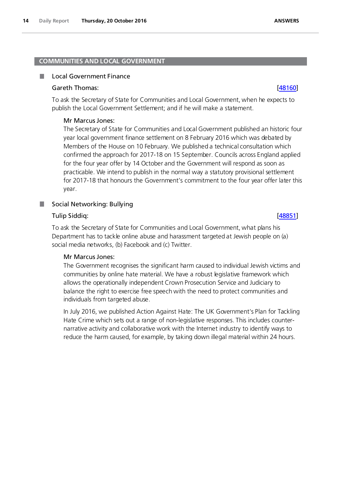# <span id="page-13-0"></span>**COMMUNITIES AND LOCAL GOVERNMENT**

### <span id="page-13-1"></span>П Local Government Finance

# Gareth Thomas: [\[48160\]](http://www.parliament.uk/business/publications/written-questions-answers-statements/written-question/Commons/2016-10-11/48160)

To ask the Secretary of State for Communities and Local Government, when he expects to publish the Local Government Settlement; and if he will make a statement.

# Mr Marcus Jones:

The Secretary of State for Communities and Local Government published an historic four year local government finance settlement on 8 February 2016 which was debated by Members of the House on 10 February. We published a technical consultation which confirmed the approach for 2017-18 on 15 September. Councils across England applied for the four year offer by 14 October and the Government will respond as soon as practicable. We intend to publish in the normal way a statutory provisional settlement for 2017-18 that honours the Government's commitment to the four year offer later this year.

# <span id="page-13-2"></span>Social Networking: Bullying

# Tulip Siddiq: [\[48851\]](http://www.parliament.uk/business/publications/written-questions-answers-statements/written-question/Commons/2016-10-17/48851)

To ask the Secretary of State for Communities and Local Government, what plans his Department has to tackle online abuse and harassment targeted at Jewish people on (a) social media networks, (b) Facebook and (c) Twitter.

# Mr Marcus Jones:

The Government recognises the significant harm caused to individual Jewish victims and communities by online hate material. We have a robust legislative framework which allows the operationally independent Crown Prosecution Service and Judiciary to balance the right to exercise free speech with the need to protect communities and individuals from targeted abuse.

In July 2016, we published Action Against Hate: The UK Government's Plan for Tackling Hate Crime which sets out a range of non-legislative responses. This includes counternarrative activity and collaborative work with the Internet industry to identify ways to reduce the harm caused, for example, by taking down illegal material within 24 hours.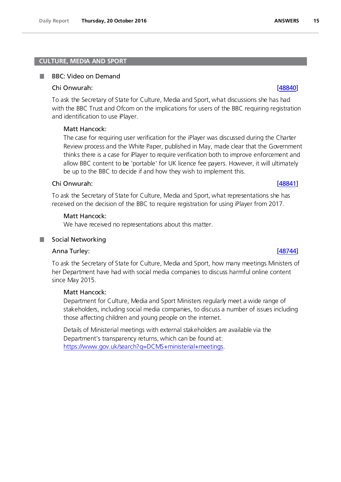### <span id="page-14-0"></span>**CULTURE, MEDIA AND SPORT**

### <span id="page-14-1"></span>BBC: Video on Demand п

### Chi Onwurah: [\[48840\]](http://www.parliament.uk/business/publications/written-questions-answers-statements/written-question/Commons/2016-10-17/48840)

To ask the Secretary of State for Culture, Media and Sport, what discussions she has had with the BBC Trust and Ofcom on the implications for users of the BBC requiring registration and identification to use iPlayer.

# Matt Hancock:

The case for requiring user verification for the iPlayer was discussed during the Charter Review process and the White Paper, published in May, made clear that the Government thinks there is a case for iPlayer to require verification both to improve enforcement and allow BBC content to be 'portable' for UK licence fee payers. However, it will ultimately be up to the BBC to decide if and how they wish to implement this.

### Chi Onwurah: [\[48841\]](http://www.parliament.uk/business/publications/written-questions-answers-statements/written-question/Commons/2016-10-17/48841)

To ask the Secretary of State for Culture, Media and Sport, what representations she has received on the decision of the BBC to require registration for using iPlayer from 2017.

### Matt Hancock:

We have received no representations about this matter.

# <span id="page-14-2"></span>Anna Turley: [\[48744\]](http://www.parliament.uk/business/publications/written-questions-answers-statements/written-question/Commons/2016-10-14/48744)

To ask the Secretary of State for Culture, Media and Sport, how many meetings Ministers of her Department have had with social media companies to discuss harmful online content since May 2015.

### Matt Hancock:

Department for Culture, Media and Sport Ministers regularly meet a wide range of stakeholders, including social media companies, to discuss a number of issues including those affecting children and young people on the internet.

Details of Ministerial meetings with external stakeholders are available via the Department's transparency returns, which can be found at: [https://www.gov.uk/search?q=DCMS+ministerial+meetings.](https://www.gov.uk/search?q=DCMS+ministerial+meetings)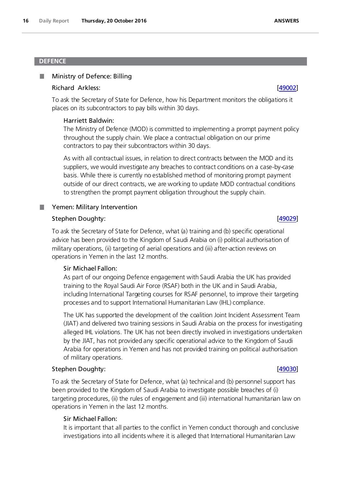# <span id="page-15-0"></span>**DEFENCE**

### <span id="page-15-1"></span>Ministry of Defence: Billing ш

# Richard Arkless: [\[49002\]](http://www.parliament.uk/business/publications/written-questions-answers-statements/written-question/Commons/2016-10-17/49002)

To ask the Secretary of State for Defence, how his Department monitors the obligations it places on its subcontractors to pay bills within 30 days.

# Harriett Baldwin:

The Ministry of Defence (MOD) is committed to implementing a prompt payment policy throughout the supply chain. We place a contractual obligation on our prime contractors to pay their subcontractors within 30 days.

As with all contractual issues, in relation to direct contracts between the MOD and its suppliers, we would investigate any breaches to contract conditions on a case-by-case basis. While there is currently no established method of monitoring prompt payment outside of our direct contracts, we are working to update MOD contractual conditions to strengthen the prompt payment obligation throughout the supply chain.

# <span id="page-15-2"></span>**No. 3 Yemen: Military Intervention**

# Stephen Doughty: [\[49029\]](http://www.parliament.uk/business/publications/written-questions-answers-statements/written-question/Commons/2016-10-17/49029)

To ask the Secretary of State for Defence, what (a) training and (b) specific operational advice has been provided to the Kingdom of Saudi Arabia on (i) political authorisation of military operations, (ii) targeting of aerial operations and (iii) after-action reviews on operations in Yemen in the last 12 months.

# Sir Michael Fallon:

As part of our ongoing Defence engagement with Saudi Arabia the UK has provided training to the Royal Saudi Air Force (RSAF) both in the UK and in Saudi Arabia, including International Targeting courses for RSAF personnel, to improve their targeting processes and to support International Humanitarian Law (IHL) compliance.

The UK has supported the development of the coalition Joint Incident Assessment Team (JIAT) and delivered two training sessions in Saudi Arabia on the process for investigating alleged IHL violations. The UK has not been directly involved in investigations undertaken by the JIAT, has not provided any specific operational advice to the Kingdom of Saudi Arabia for operations in Yemen and has not provided training on political authorisation of military operations.

# Stephen Doughty: [\[49030\]](http://www.parliament.uk/business/publications/written-questions-answers-statements/written-question/Commons/2016-10-17/49030)

To ask the Secretary of State for Defence, what (a) technical and (b) personnel support has been provided to the Kingdom of Saudi Arabia to investigate possible breaches of (i) targeting procedures, (ii) the rules of engagement and (iii) international humanitarian law on operations in Yemen in the last 12 months.

# Sir Michael Fallon:

It is important that all parties to the conflict in Yemen conduct thorough and conclusive investigations into all incidents where it is alleged that International Humanitarian Law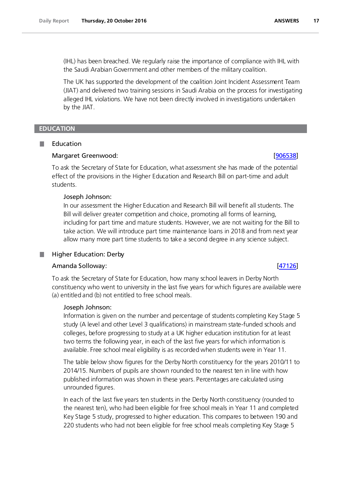(IHL) has been breached. We regularly raise the importance of compliance with IHL with the Saudi Arabian Government and other members of the military coalition.

The UK has supported the development of the coalition Joint Incident Assessment Team (JIAT) and delivered two training sessions in Saudi Arabia on the process for investigating alleged IHL violations. We have not been directly involved in investigations undertaken by the JIAT.

# <span id="page-16-0"></span>**EDUCATION**

# <span id="page-16-1"></span>Education

### Margaret Greenwood: [\[906538\]](http://www.parliament.uk/business/publications/written-questions-answers-statements/written-question/Commons/2016-09-15/906538)

To ask the Secretary of State for Education, what assessment she has made of the potential effect of the provisions in the Higher Education and Research Bill on part-time and adult students.

### Joseph Johnson:

In our assessment the Higher Education and Research Bill will benefit all students. The Bill will deliver greater competition and choice, promoting all forms of learning, including for part time and mature students. However, we are not waiting for the Bill to take action. We will introduce part time maintenance loans in 2018 and from next year allow many more part time students to take a second degree in any science subject.

### <span id="page-16-2"></span>Higher Education: Derby .

# Amanda Solloway: [\[47126\]](http://www.parliament.uk/business/publications/written-questions-answers-statements/written-question/Commons/2016-10-07/47126)

To ask the Secretary of State for Education, how many school leavers in Derby North constituency who went to university in the last five years for which figures are available were (a) entitled and (b) not entitled to free school meals.

### Joseph Johnson:

Information is given on the number and percentage of students completing Key Stage 5 study (A level and other Level 3 qualifications) in mainstream state-funded schools and colleges, before progressing to study at a UK higher education institution for at least two terms the following year, in each of the last five years for which information is available. Free school meal eligibility is as recorded when students were in Year 11.

The table below show figures for the Derby North constituency for the years 2010/11 to 2014/15. Numbers of pupils are shown rounded to the nearest ten in line with how published information was shown in these years. Percentages are calculated using unrounded figures.

In each of the last five years ten students in the Derby North constituency (rounded to the nearest ten), who had been eligible for free school meals in Year 11 and completed Key Stage 5 study, progressed to higher education. This compares to between 190 and 220 students who had not been eligible for free school meals completing Key Stage 5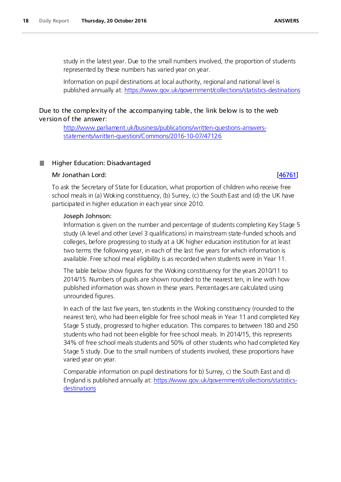study in the latest year. Due to the small numbers involved, the proportion of students represented by these numbers has varied year on year.

Information on pupil destinations at local authority, regional and national level is published annually at[: https://www.gov.uk/government/collections/statistics-destinations](https://www.gov.uk/government/collections/statistics-destinations)

# Due to the complexity of the accompanying table, the link below is to the web version of the answer:

[http://www.parliament.uk/business/publications/written-questions-answers](http://www.parliament.uk/business/publications/written-questions-answers-statements/written-question/Commons/2016-10-07/47126)[statements/written-question/Commons/2016-10-07/47126](http://www.parliament.uk/business/publications/written-questions-answers-statements/written-question/Commons/2016-10-07/47126)

### <span id="page-17-0"></span>Higher Education: Disadvantaged .

# Mr Jonathan Lord: [\[46761\]](http://www.parliament.uk/business/publications/written-questions-answers-statements/written-question/Commons/2016-10-07/46761)

To ask the Secretary of State for Education, what proportion of children who receive free school meals in (a) Woking constituency, (b) Surrey, (c) the South East and (d) the UK have participated in higher education in each year since 2010.

### Joseph Johnson:

Information is given on the number and percentage of students completing Key Stage 5 study (A level and other Level 3 qualifications) in mainstream state-funded schools and colleges, before progressing to study at a UK higher education institution for at least two terms the following year, in each of the last five years for which information is available. Free school meal eligibility is as recorded when students were in Year 11.

The table below show figures for the Woking constituency for the years 2010/11 to 2014/15. Numbers of pupils are shown rounded to the nearest ten, in line with how published information was shown in these years. Percentages are calculated using unrounded figures.

In each of the last five years, ten students in the Woking constituency (rounded to the nearest ten), who had been eligible for free school meals in Year 11 and completed Key Stage 5 study, progressed to higher education. This compares to between 180 and 250 students who had not been eligible for free school meals. In 2014/15, this represents 34% of free school meals students and 50% of other students who had completed Key Stage 5 study. Due to the small numbers of students involved, these proportions have varied year on year.

Comparable information on pupil destinations for b) Surrey, c) the South East and d) England is published annually at[: https://www.gov.uk/government/collections/statistics](https://www.gov.uk/government/collections/statistics-destinations)[destinations](https://www.gov.uk/government/collections/statistics-destinations)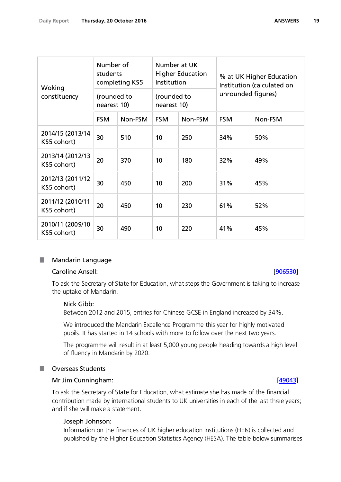| Woking                          | Number of<br>students<br>completing KS5 |         | Number at UK<br><b>Higher Education</b><br>Institution |         | % at UK Higher Education<br>Institution (calculated on<br>unrounded figures) |         |
|---------------------------------|-----------------------------------------|---------|--------------------------------------------------------|---------|------------------------------------------------------------------------------|---------|
| constituency                    | (rounded to<br>nearest 10)              |         | (rounded to<br>nearest 10)                             |         |                                                                              |         |
|                                 | <b>FSM</b>                              | Non-FSM | <b>FSM</b>                                             | Non-FSM | <b>FSM</b>                                                                   | Non-FSM |
| 2014/15 (2013/14<br>KS5 cohort) | 30                                      | 510     | 10                                                     | 250     | 34%                                                                          | 50%     |
| 2013/14 (2012/13<br>KS5 cohort) | 20                                      | 370     | 10                                                     | 180     | 32%                                                                          | 49%     |
| 2012/13 (2011/12<br>KS5 cohort) | 30                                      | 450     | 10                                                     | 200     | 31%                                                                          | 45%     |
| 2011/12 (2010/11<br>KS5 cohort) | 20                                      | 450     | 10                                                     | 230     | 61%                                                                          | 52%     |
| 2010/11 (2009/10<br>KS5 cohort) | 30                                      | 490     | 10                                                     | 220     | 41%<br>45%                                                                   |         |

### <span id="page-18-0"></span>ш Mandarin Language

# Caroline Ansell: [\[906530\]](http://www.parliament.uk/business/publications/written-questions-answers-statements/written-question/Commons/2016-09-15/906530)

To ask the Secretary of State for Education, what steps the Government is taking to increase the uptake of Mandarin.

# Nick Gibb:

Between 2012 and 2015, entries for Chinese GCSE in England increased by 34%.

We introduced the Mandarin Excellence Programme this year for highly motivated pupils. It has started in 14 schools with more to follow over the next two years.

The programme will result in at least 5,000 young people heading towards a high level of fluency in Mandarin by 2020.

### <span id="page-18-1"></span>Overseas Students **TIL**

# Mr Jim Cunningham: **[\[49043\]](http://www.parliament.uk/business/publications/written-questions-answers-statements/written-question/Commons/2016-10-17/49043)**

To ask the Secretary of State for Education, what estimate she has made of the financial contribution made by international students to UK universities in each of the last three years; and if she will make a statement.

# Joseph Johnson:

Information on the finances of UK higher education institutions (HEIs) is collected and published by the Higher Education Statistics Agency (HESA). The table below summarises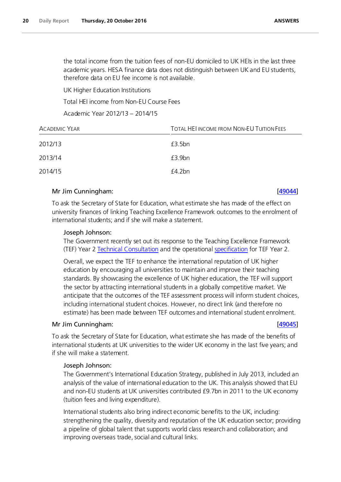the total income from the tuition fees of non-EU domiciled to UK HEIs in the last three academic years. HESA finance data does not distinguish between UK and EU students, therefore data on EU fee income is not available.

UK Higher Education Institutions

Total HEI income from Non-EU Course Fees

Academic Year 2012/13 – 2014/15

| <b>ACADEMIC YEAR</b> | <b>TOTAL HEI INCOME FROM NON-EU TUITION FEES</b> |
|----------------------|--------------------------------------------------|
| 2012/13              | £3.5bn                                           |
| 2013/14              | £3.9 <sub>bn</sub>                               |
| 2014/15              | f4.2bn                                           |

# Mr Jim Cunningham: [\[49044\]](http://www.parliament.uk/business/publications/written-questions-answers-statements/written-question/Commons/2016-10-17/49044)

To ask the Secretary of State for Education, what estimate she has made of the effect on university finances of linking Teaching Excellence Framework outcomes to the enrolment of international students; and if she will make a statement.

# Joseph Johnson:

The Government recently set out its response to the Teaching Excellence Framework (TEF) Year 2 Technical Consultation and the operational specification for TEF Year 2.

Overall, we expect the TEF to enhance the international reputation of UK higher education by encouraging all universities to maintain and improve their teaching standards. By showcasing the excellence of UK higher education, the TEF will support the sector by attracting international students in a globally competitive market. We anticipate that the outcomes of the TEF assessment process will inform student choices, including international student choices. However, no direct link (and therefore no estimate) has been made between TEF outcomes and international student enrolment.

# Mr Jim Cunningham: [\[49045\]](http://www.parliament.uk/business/publications/written-questions-answers-statements/written-question/Commons/2016-10-17/49045)

To ask the Secretary of State for Education, what estimate she has made of the benefits of international students at UK universities to the wider UK economy in the last five years; and if she will make a statement.

# Joseph Johnson:

The Government's International Education Strategy, published in July 2013, included an analysis of the value of international education to the UK. This analysis showed that EU and non-EU students at UK universities contributed £9.7bn in 2011 to the UK economy (tuition fees and living expenditure).

International students also bring indirect economic benefits to the UK, including: strengthening the quality, diversity and reputation of the UK education sector; providing a pipeline of global talent that supports world class research and collaboration; and improving overseas trade, social and cultural links.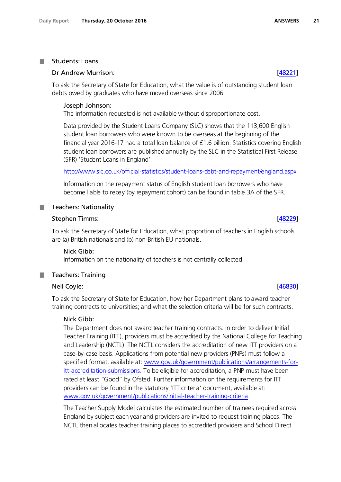### <span id="page-20-0"></span>Students: Loans .

# Dr Andrew Murrison: [\[48221\]](http://www.parliament.uk/business/publications/written-questions-answers-statements/written-question/Commons/2016-10-12/48221)

To ask the Secretary of State for Education, what the value is of outstanding student loan debts owed by graduates who have moved overseas since 2006.

# Joseph Johnson:

The information requested is not available without disproportionate cost.

Data provided by the Student Loans Company (SLC) shows that the 113,600 English student loan borrowers who were known to be overseas at the beginning of the financial year 2016-17 had a total loan balance of £1.6 billion. Statistics covering English student loan borrowers are published annually by the SLC in the Statistical First Release (SFR) 'Student Loans in England'.

<http://www.slc.co.uk/official-statistics/student-loans-debt-and-repayment/england.aspx>

Information on the repayment status of English student loan borrowers who have become liable to repay (by repayment cohort) can be found in table 3A of the SFR.

# <span id="page-20-1"></span>**Teachers: Nationality**

# Stephen Timms: [\[48229\]](http://www.parliament.uk/business/publications/written-questions-answers-statements/written-question/Commons/2016-10-12/48229)

To ask the Secretary of State for Education, what proportion of teachers in English schools are (a) British nationals and (b) non-British EU nationals.

# Nick Gibb:

Information on the nationality of teachers is not centrally collected.

### <span id="page-20-2"></span>٠ Teachers: Training

# Neil Coyle: [\[46830\]](http://www.parliament.uk/business/publications/written-questions-answers-statements/written-question/Commons/2016-10-07/46830)

To ask the Secretary of State for Education, how her Department plans to award teacher training contracts to universities; and what the selection criteria will be for such contracts.

# Nick Gibb:

The Department does not award teacher training contracts. In order to deliver Initial Teacher Training (ITT), providers must be accredited by the National College for Teaching and Leadership (NCTL). The NCTL considers the accreditation of new ITT providers on a case-by-case basis. Applications from potential new providers (PNPs) must follow a specified format, available at: www.gov.uk/government/publications/arrangements-foritt-accreditation-submissions. To be eligible for accreditation, a PNP must have been rated at least "Good" by Ofsted. Further information on the requirements for ITT providers can be found in the statutory 'ITT criteria' document, available at: www.gov.uk/government/publications/initial-teacher-training-criteria.

The Teacher Supply Model calculates the estimated number of trainees required across England by subject each year and providers are invited to request training places. The NCTL then allocates teacher training places to accredited providers and School Direct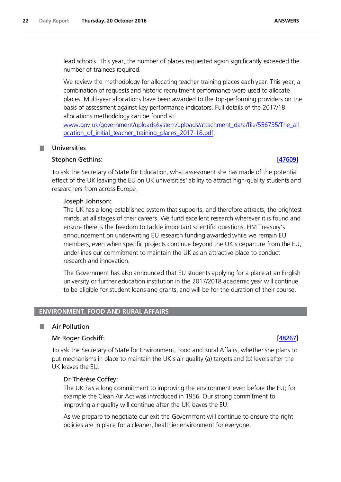lead schools. This year, the number of places requested again significantly exceeded the number of trainees required.

We review the methodology for allocating teacher training places each year. This year, a combination of requests and historic recruitment performance were used to allocate places. Multi-year allocations have been awarded to the top-performing providers on the basis of assessment against key performance indicators. Full details of the 2017/18 allocations methodology can be found at:

[www.gov.uk/government/uploads/system/uploads/attachment\\_data/file/556735/The\\_all](http://www.gov.uk/government/uploads/system/uploads/attachment_data/file/556735/The_allocation_of_initial_teacher_training_places_2017-18.pdf) [ocation\\_of\\_initial\\_teacher\\_training\\_places\\_2017-18.pdf.](http://www.gov.uk/government/uploads/system/uploads/attachment_data/file/556735/The_allocation_of_initial_teacher_training_places_2017-18.pdf)

# <span id="page-21-0"></span>Universities

# Stephen Gethins: [\[47609\]](http://www.parliament.uk/business/publications/written-questions-answers-statements/written-question/Commons/2016-10-10/47609)

To ask the Secretary of State for Education, what assessment she has made of the potential effect of the UK leaving the EU on UK universities' ability to attract high-quality students and researchers from across Europe.

# Joseph Johnson:

The UK has a long-established system that supports, and therefore attracts, the brightest minds, at all stages of their careers. We fund excellent research wherever it is found and ensure there is the freedom to tackle important scientific questions. HM Treasury's announcement on underwriting EU research funding awarded while we remain EU members, even when specific projects continue beyond the UK's departure from the EU, underlines our commitment to maintain the UK as an attractive place to conduct research and innovation.

The Government has also announced that EU students applying for a place at an English university or further education institution in the 2017/2018 academic year will continue to be eligible for student loans and grants, and will be for the duration of their course.

# <span id="page-21-1"></span>**ENVIRONMENT, FOOD AND RURAL AFFAIRS**

### <span id="page-21-2"></span>ш Air Pollution

# Mr Roger Godsiff: [\[48267\]](http://www.parliament.uk/business/publications/written-questions-answers-statements/written-question/Commons/2016-10-12/48267)

To ask the Secretary of State for Environment, Food and Rural Affairs, whether she plans to put mechanisms in place to maintain the UK's air quality (a) targets and (b) levels after the UK leaves the EU.

# Dr Thérèse Coffey:

The UK has a long commitment to improving the environment even before the EU; for example the Clean Air Act was introduced in 1956. Our strong commitment to improving air quality will continue after the UK leaves the EU.

As we prepare to negotiate our exit the Government will continue to ensure the right policies are in place for a cleaner, healthier environment for everyone.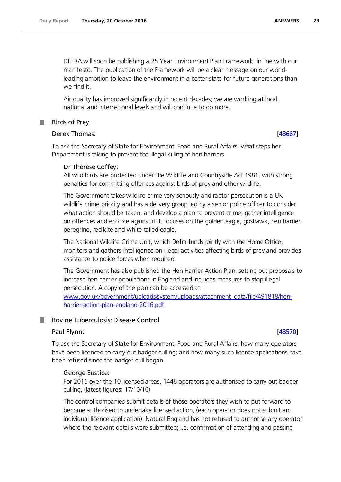DEFRA will soon be publishing a 25 Year Environment Plan Framework, in line with our manifesto. The publication of the Framework will be a clear message on our worldleading ambition to leave the environment in a better state for future generations than we find it.

Air quality has improved significantly in recent decades; we are working at local, national and international levels and will continue to do more.

Birds of Prey

# Derek Thomas: [\[48687\]](http://www.parliament.uk/business/publications/written-questions-answers-statements/written-question/Commons/2016-10-13/48687)

To ask the Secretary of State for Environment, Food and Rural Affairs, what steps her Department is taking to prevent the illegal killing of hen harriers.

# Dr Thérèse Coffey:

All wild birds are protected under the Wildlife and Countryside Act 1981, with strong penalties for committing offences against birds of prey and other wildlife.

The Government takes wildlife crime very seriously and raptor persecution is a UK wildlife crime priority and has a delivery group led by a senior police officer to consider what action should be taken, and develop a plan to prevent crime, gather intelligence on offences and enforce against it. It focuses on the golden eagle, goshawk, hen harrier, peregrine, red kite and white tailed eagle.

The National Wildlife Crime Unit, which Defra funds jointly with the Home Office, monitors and gathers intelligence on illegal activities affecting birds of prey and provides assistance to police forces when required.

The Government has also published the Hen Harrier Action Plan, setting out proposals to increase hen harrier populations in England and includes measures to stop illegal persecution. A copy of the plan can be accessed at

[www.gov.uk/government/uploads/system/uploads/attachment\\_data/file/491818/hen](http://www.gov.uk/government/uploads/system/uploads/attachment_data/file/491818/hen-harrier-action-plan-england-2016.pdf)[harrier-action-plan-england-2016.pdf.](http://www.gov.uk/government/uploads/system/uploads/attachment_data/file/491818/hen-harrier-action-plan-england-2016.pdf)

# <span id="page-22-1"></span>Bovine Tuberculosis: Disease Control

# Paul Flynn: [\[48570\]](http://www.parliament.uk/business/publications/written-questions-answers-statements/written-question/Commons/2016-10-13/48570)

To ask the Secretary of State for Environment, Food and Rural Affairs, how many operators have been licenced to carry out badger culling; and how many such licence applications have been refused since the badger cull began.

# George Eustice:

For 2016 over the 10 licensed areas, 1446 operators are authorised to carry out badger culling, (latest figures: 17/10/16).

The control companies submit details of those operators they wish to put forward to become authorised to undertake licensed action, (each operator does not submit an individual licence application). Natural England has not refused to authorise any operator where the relevant details were submitted; i.e. confirmation of attending and passing

# <span id="page-22-0"></span>m.

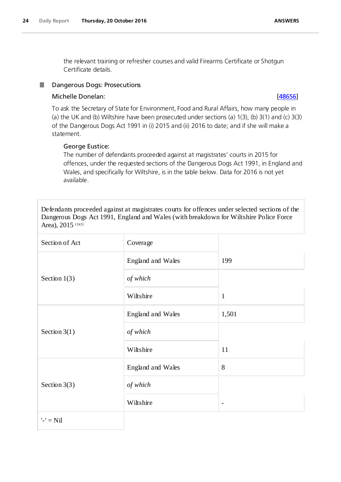the relevant training or refresher courses and valid Firearms Certificate or Shotgun Certificate details.

### <span id="page-23-0"></span>Dangerous Dogs: Prosecutions H.

# Michelle Donelan: [\[48656\]](http://www.parliament.uk/business/publications/written-questions-answers-statements/written-question/Commons/2016-10-13/48656)

To ask the Secretary of State for Environment, Food and Rural Affairs, how many people in (a) the UK and (b) Wiltshire have been prosecuted under sections (a) 1(3), (b) 3(1) and (c) 3(3) of the Dangerous Dogs Act 1991 in (i) 2015 and (ii) 2016 to date; and if she will make a statement.

# George Eustice:

The number of defendants proceeded against at magistrates' courts in 2015 for offences, under the requested sections of the Dangerous Dogs Act 1991, in England and Wales, and specifically for Wiltshire, is in the table below. Data for 2016 is not yet available.

Defendants proceeded against at magistrates courts for offences under selected sections of the Dangerous Dogs Act 1991, England and Wales (with breakdown for Wiltshire Police Force Area),  $2015$  (1)(2)

| Section of Act | Coverage          |                          |
|----------------|-------------------|--------------------------|
|                | England and Wales | 199                      |
| Section $1(3)$ | of which          |                          |
|                | Wiltshire         | $\mathbf{1}$             |
|                | England and Wales | 1,501                    |
| Section $3(1)$ | of which          |                          |
|                | Wiltshire         | 11                       |
|                | England and Wales | 8                        |
| Section $3(3)$ | of which          |                          |
|                | Wiltshire         | $\overline{\phantom{a}}$ |
| $'$ -' = Nil   |                   |                          |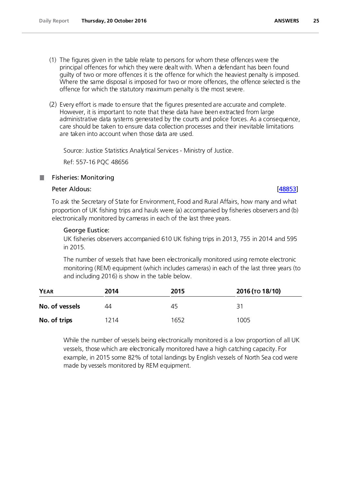- (1) The figures given in the table relate to persons for whom these offences were the principal offences for which they were dealt with. When a defendant has been found guilty of two or more offences it is the offence for which the heaviest penalty is imposed. Where the same disposal is imposed for two or more offences, the offence selected is the offence for which the statutory maximum penalty is the most severe.
- (2) Every effort is made to ensure that the figures presented are accurate and complete. However, it is important to note that these data have been extracted from large administrative data systems generated by the courts and police forces. As a consequence, care should be taken to ensure data collection processes and their inevitable limitations are taken into account when those data are used.

Source: Justice Statistics Analytical Services - Ministry of Justice.

Ref: 557-16 PQC 48656

# Fisheries: Monitoring

# Peter Aldous: [\[48853\]](http://www.parliament.uk/business/publications/written-questions-answers-statements/written-question/Commons/2016-10-17/48853)

<span id="page-24-0"></span>.

To ask the Secretary of State for Environment, Food and Rural Affairs, how many and what proportion of UK fishing trips and hauls were (a) accompanied by fisheries observers and (b) electronically monitored by cameras in each of the last three years.

# George Eustice:

UK fisheries observers accompanied 610 UK fishing trips in 2013, 755 in 2014 and 595 in 2015.

The number of vessels that have been electronically monitored using remote electronic monitoring (REM) equipment (which includes cameras) in each of the last three years (to and including 2016) is show in the table below.

| <b>YEAR</b>    | 2014 | 2015 | 2016 (то 18/10) |
|----------------|------|------|-----------------|
| No. of vessels | 44   | 45   | -21             |
| No. of trips   | 1214 | 1652 | 1005            |

While the number of vessels being electronically monitored is a low proportion of all UK vessels, those which are electronically monitored have a high catching capacity. For example, in 2015 some 82% of total landings by English vessels of North Sea cod were made by vessels monitored by REM equipment.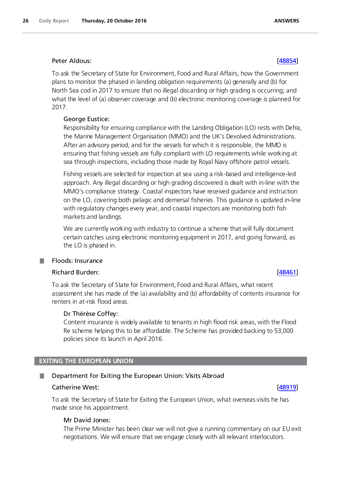# Peter Aldous: [\[48854\]](http://www.parliament.uk/business/publications/written-questions-answers-statements/written-question/Commons/2016-10-17/48854)

To ask the Secretary of State for Environment, Food and Rural Affairs, how the Government plans to monitor the phased in landing obligation requirements (a) generally and (b) for North Sea cod in 2017 to ensure that no illegal discarding or high grading is occurring; and what the level of (a) observer coverage and (b) electronic monitoring coverage is planned for 2017.

# George Eustice:

Responsibility for ensuring compliance with the Landing Obligation (LO) rests with Defra, the Marine Management Organisation (MMO) and the UK's Devolved Administrations. After an advisory period, and for the vessels for which it is responsible, the MMO is ensuring that fishing vessels are fully compliant with LO requirements while working at sea through inspections, including those made by Royal Navy offshore patrol vessels.

Fishing vessels are selected for inspection at sea using a risk-based and intelligence-led approach. Any illegal discarding or high grading discovered is dealt with in-line with the MMO's compliance strategy. Coastal inspectors have received guidance and instruction on the LO, covering both pelagic and demersal fisheries. This guidance is updated in-line with regulatory changes every year, and coastal inspectors are monitoring both fish markets and landings.

We are currently working with industry to continue a scheme that will fully document certain catches using electronic monitoring equipment in 2017, and going forward, as the LO is phased in.

### <span id="page-25-0"></span>Floods: Insurance .

# Richard Burden: [\[48461\]](http://www.parliament.uk/business/publications/written-questions-answers-statements/written-question/Commons/2016-10-12/48461)

To ask the Secretary of State for Environment, Food and Rural Affairs, what recent assessment she has made of the (a) availability and (b) affordability of contents insurance for renters in at-risk flood areas.

# Dr Thérèse Coffey:

Content insurance is widely available to tenants in high flood risk areas, with the Flood Re scheme helping this to be affordable. The Scheme has provided backing to 53,000 policies since its launch in April 2016.

# <span id="page-25-1"></span>**EXITING THE EUROPEAN UNION**

# <span id="page-25-2"></span>Department for Exiting the European Union: Visits Abroad

# Catherine West: [\[48919\]](http://www.parliament.uk/business/publications/written-questions-answers-statements/written-question/Commons/2016-10-17/48919)

To ask the Secretary of State for Exiting the European Union, what overseas visits he has made since his appointment.

# Mr David Jones:

The Prime Minister has been clear we will not give a running commentary on our EU exit negotiations. We will ensure that we engage closely with all relevant interlocutors.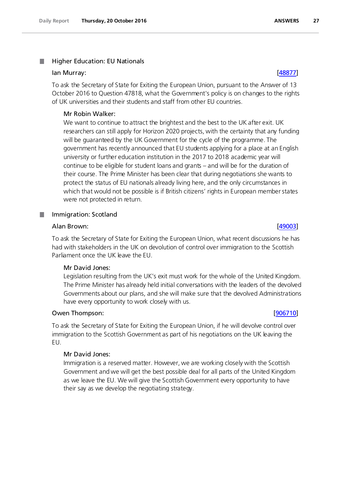### <span id="page-26-0"></span>Higher Education: EU Nationals .

### Ian Murray: [\[48877\]](http://www.parliament.uk/business/publications/written-questions-answers-statements/written-question/Commons/2016-10-17/48877)

To ask the Secretary of State for Exiting the European Union, pursuant to the Answer of 13 October 2016 to Question 47818, what the Government's policy is on changes to the rights of UK universities and their students and staff from other EU countries.

# Mr Robin Walker:

We want to continue to attract the brightest and the best to the UK after exit. UK researchers can still apply for Horizon 2020 projects, with the certainty that any funding will be guaranteed by the UK Government for the cycle of the programme. The government has recently announced that EU students applying for a place at an English university or further education institution in the 2017 to 2018 academic year will continue to be eligible for student loans and grants – and will be for the duration of their course. The Prime Minister has been clear that during negotiations she wants to protect the status of EU nationals already living here, and the only circumstances in which that would not be possible is if British citizens' rights in European member states were not protected in return.

### <span id="page-26-1"></span>Immigration: Scotland T.

### Alan Brown: [\[49003\]](http://www.parliament.uk/business/publications/written-questions-answers-statements/written-question/Commons/2016-10-17/49003)

To ask the Secretary of State for Exiting the European Union, what recent discussions he has had with stakeholders in the UK on devolution of control over immigration to the Scottish Parliament once the UK leave the EU.

# Mr David Jones:

Legislation resulting from the UK's exit must work for the whole of the United Kingdom. The Prime Minister has already held initial conversations with the leaders of the devolved Governments about our plans, and she will make sure that the devolved Administrations have every opportunity to work closely with us.

### Owen Thompson: [\[906710\]](http://www.parliament.uk/business/publications/written-questions-answers-statements/written-question/Commons/2016-10-17/906710)

To ask the Secretary of State for Exiting the European Union, if he will devolve control over immigration to the Scottish Government as part of his negotiations on the UK leaving the EU.

# Mr David Jones:

Immigration is a reserved matter. However, we are working closely with the Scottish Government and we will get the best possible deal for all parts of the United Kingdom as we leave the EU. We will give the Scottish Government every opportunity to have their say as we develop the negotiating strategy.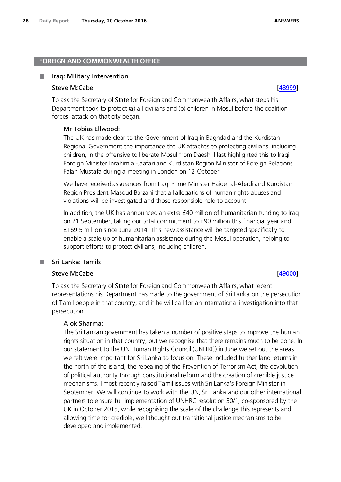### <span id="page-27-0"></span>**FOREIGN AND COMMONWEALTH OFFICE**

### <span id="page-27-1"></span>Iraq: Military Intervention

### Steve McCabe: [\[48999\]](http://www.parliament.uk/business/publications/written-questions-answers-statements/written-question/Commons/2016-10-17/48999)

To ask the Secretary of State for Foreign and Commonwealth Affairs, what steps his Department took to protect (a) all civilians and (b) children in Mosul before the coalition forces' attack on that city began.

# Mr Tobias Ellwood:

The UK has made clear to the Government of Iraq in Baghdad and the Kurdistan Regional Government the importance the UK attaches to protecting civilians, including children, in the offensive to liberate Mosul from Daesh. I last highlighted this to Iraqi Foreign Minister Ibrahim al-Jaafari and Kurdistan Region Minister of Foreign Relations Falah Mustafa during a meeting in London on 12 October.

We have received assurances from Iraqi Prime Minister Haider al-Abadi and Kurdistan Region President Masoud Barzani that all allegations of human rights abuses and violations will be investigated and those responsible held to account.

In addition, the UK has announced an extra £40 million of humanitarian funding to Iraq on 21 September, taking our total commitment to £90 million this financial year and £169.5 million since June 2014. This new assistance will be targeted specifically to enable a scale up of humanitarian assistance during the Mosul operation, helping to support efforts to protect civilians, including children.

# Sri Lanka: Tamils

<span id="page-27-2"></span>.

# Steve McCabe: [\[49000\]](http://www.parliament.uk/business/publications/written-questions-answers-statements/written-question/Commons/2016-10-17/49000)

To ask the Secretary of State for Foreign and Commonwealth Affairs, what recent representations his Department has made to the government of Sri Lanka on the persecution of Tamil people in that country; and if he will call for an international investigation into that persecution.

# Alok Sharma:

The Sri Lankan government has taken a number of positive steps to improve the human rights situation in that country, but we recognise that there remains much to be done. In our statement to the UN Human Rights Council (UNHRC) in June we set out the areas we felt were important for Sri Lanka to focus on. These included further land returns in the north of the island, the repealing of the Prevention of Terrorism Act, the devolution of political authority through constitutional reform and the creation of credible justice mechanisms. I most recently raised Tamil issues with Sri Lanka's Foreign Minister in September. We will continue to work with the UN, Sri Lanka and our other international partners to ensure full implementation of UNHRC resolution 30/1, co-sponsored by the UK in October 2015, while recognising the scale of the challenge this represents and allowing time for credible, well thought out transitional justice mechanisms to be developed and implemented.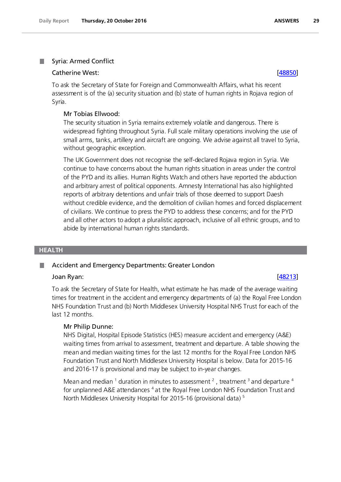### <span id="page-28-0"></span>Syria: Armed Conflict .

# Catherine West: [\[48850\]](http://www.parliament.uk/business/publications/written-questions-answers-statements/written-question/Commons/2016-10-17/48850)

To ask the Secretary of State for Foreign and Commonwealth Affairs, what his recent assessment is of the (a) security situation and (b) state of human rights in Rojava region of Syria.

# Mr Tobias Ellwood:

The security situation in Syria remains extremely volatile and dangerous. There is widespread fighting throughout Syria. Full scale military operations involving the use of small arms, tanks, artillery and aircraft are ongoing. We advise against all travel to Syria, without geographic exception.

The UK Government does not recognise the self-declared Rojava region in Syria. We continue to have concerns about the human rights situation in areas under the control of the PYD and its allies. Human Rights Watch and others have reported the abduction and arbitrary arrest of political opponents. Amnesty International has also highlighted reports of arbitrary detentions and unfair trials of those deemed to support Daesh without credible evidence, and the demolition of civilian homes and forced displacement of civilians. We continue to press the PYD to address these concerns; and for the PYD and all other actors to adopt a pluralistic approach, inclusive of all ethnic groups, and to abide by international human rights standards.

# <span id="page-28-1"></span>**HEALTH**

### <span id="page-28-2"></span>Accident and Emergency Departments: Greater London T.

# Joan Ryan: [\[48213\]](http://www.parliament.uk/business/publications/written-questions-answers-statements/written-question/Commons/2016-10-12/48213)

To ask the Secretary of State for Health, what estimate he has made of the average waiting times for treatment in the accident and emergency departments of (a) the Royal Free London NHS Foundation Trust and (b) North Middlesex University Hospital NHS Trust for each of the last 12 months.

# Mr Philip Dunne:

NHS Digital, Hospital Episode Statistics (HES) measure accident and emergency (A&E) waiting times from arrival to assessment, treatment and departure. A table showing the mean and median waiting times for the last 12 months for the Royal Free London NHS Foundation Trust and North Middlesex University Hospital is below. Data for 2015-16 and 2016-17 is provisional and may be subject to in-year changes.

Mean and median <sup>1</sup> duration in minutes to assessment <sup>2</sup>, treatment <sup>3</sup> and departure <sup>4</sup> for unplanned A&E attendances <sup>4</sup> at the Royal Free London NHS Foundation Trust and North Middlesex University Hospital for 2015-16 (provisional data) 5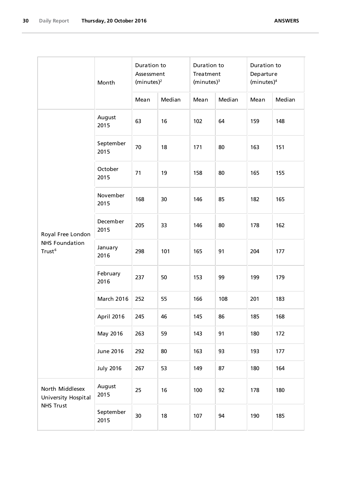|                                             | Month             | Duration to<br>Assessment<br>(minutes) <sup>2</sup> |        | Duration to<br>Treatment<br>(minutes) <sup>3</sup> |        | Duration to<br>Departure<br>(minutes) <sup>4</sup> |        |
|---------------------------------------------|-------------------|-----------------------------------------------------|--------|----------------------------------------------------|--------|----------------------------------------------------|--------|
|                                             | August            | Mean                                                | Median | Mean                                               | Median | Mean                                               | Median |
|                                             | 2015              | 63                                                  | 16     | 102                                                | 64     | 159                                                | 148    |
|                                             | September<br>2015 | 70                                                  | 18     | 171                                                | 80     | 163                                                | 151    |
|                                             | October<br>2015   | 71                                                  | 19     | 158                                                | 80     | 165                                                | 155    |
|                                             | November<br>2015  | 168                                                 | 30     | 146                                                | 85     | 182                                                | 165    |
| Royal Free London                           | December<br>2015  | 205                                                 | 33     | 146                                                | 80     | 178                                                | 162    |
| <b>NHS Foundation</b><br>Trust <sup>6</sup> | January<br>2016   | 298                                                 | 101    | 165                                                | 91     | 204                                                | 177    |
|                                             | February<br>2016  | 237                                                 | 50     | 153                                                | 99     | 199                                                | 179    |
|                                             | <b>March 2016</b> | 252                                                 | 55     | 166                                                | 108    | 201                                                | 183    |
|                                             | April 2016        | 245                                                 | 46     | 145                                                | 86     | 185                                                | 168    |
|                                             | May 2016          | 263                                                 | 59     | 143                                                | 91     | 180                                                | 172    |
|                                             | June 2016         | 292                                                 | 80     | 163                                                | 93     | 193                                                | 177    |
|                                             | <b>July 2016</b>  | 267                                                 | 53     | 149                                                | 87     | 180                                                | 164    |
| North Middlesex<br>University Hospital      | August<br>2015    | 25                                                  | 16     | 100                                                | 92     | 178                                                | 180    |
| <b>NHS Trust</b>                            | September<br>2015 | 30                                                  | 18     | 107                                                | 94     | 190                                                | 185    |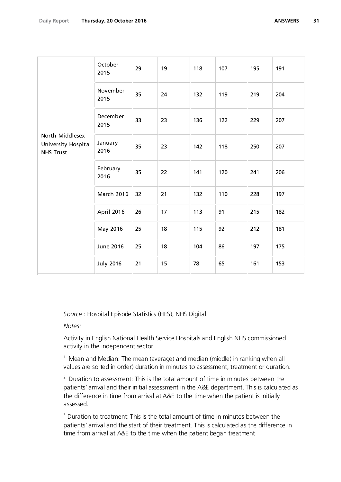| North Middlesex<br>University Hospital<br><b>NHS Trust</b> | October<br>2015   | 29 | 19 | 118 | 107 | 195 | 191 |
|------------------------------------------------------------|-------------------|----|----|-----|-----|-----|-----|
|                                                            | November<br>2015  | 35 | 24 | 132 | 119 | 219 | 204 |
|                                                            | December<br>2015  | 33 | 23 | 136 | 122 | 229 | 207 |
|                                                            | January<br>2016   | 35 | 23 | 142 | 118 | 250 | 207 |
|                                                            | February<br>2016  | 35 | 22 | 141 | 120 | 241 | 206 |
|                                                            | <b>March 2016</b> | 32 | 21 | 132 | 110 | 228 | 197 |
|                                                            | April 2016        | 26 | 17 | 113 | 91  | 215 | 182 |
|                                                            | May 2016          | 25 | 18 | 115 | 92  | 212 | 181 |
|                                                            | <b>June 2016</b>  | 25 | 18 | 104 | 86  | 197 | 175 |
|                                                            | <b>July 2016</b>  | 21 | 15 | 78  | 65  | 161 | 153 |

*Source* : Hospital Episode Statistics (HES), NHS Digital

*Notes:*

Activity in English National Health Service Hospitals and English NHS commissioned activity in the independent sector.

<sup>1</sup> Mean and Median: The mean (average) and median (middle) in ranking when all values are sorted in order) duration in minutes to assessment, treatment or duration.

 $2$  Duration to assessment: This is the total amount of time in minutes between the patients' arrival and their initial assessment in the A&E department. This is calculated as the difference in time from arrival at A&E to the time when the patient is initially assessed.

<sup>3</sup> Duration to treatment: This is the total amount of time in minutes between the patients' arrival and the start of their treatment. This is calculated as the difference in time from arrival at A&E to the time when the patient began treatment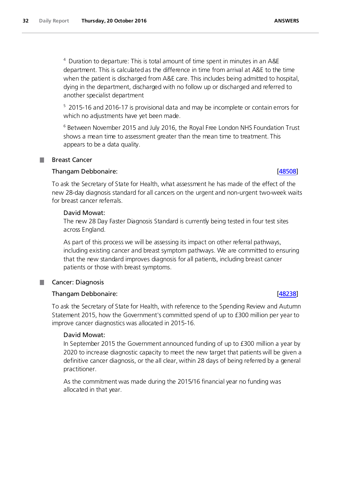<sup>4</sup> Duration to departure: This is total amount of time spent in minutes in an A&E department. This is calculated as the difference in time from arrival at A&E to the time when the patient is discharged from A&E care. This includes being admitted to hospital, dying in the department, discharged with no follow up or discharged and referred to another specialist department

<sup>5</sup> 2015-16 and 2016-17 is provisional data and may be incomplete or contain errors for which no adjustments have yet been made.

<sup>6</sup> Between November 2015 and July 2016, the Royal Free London NHS Foundation Trust shows a mean time to assessment greater than the mean time to treatment. This appears to be a data quality.

# <span id="page-31-0"></span>Breast Cancer

# Thangam Debbonaire: [\[48508\]](http://www.parliament.uk/business/publications/written-questions-answers-statements/written-question/Commons/2016-10-13/48508)

To ask the Secretary of State for Health, what assessment he has made of the effect of the new 28-day diagnosis standard for all cancers on the urgent and non-urgent two-week waits for breast cancer referrals.

# David Mowat:

The new 28 Day Faster Diagnosis Standard is currently being tested in four test sites across England.

As part of this process we will be assessing its impact on other referral pathways, including existing cancer and breast symptom pathways. We are committed to ensuring that the new standard improves diagnosis for all patients, including breast cancer patients or those with breast symptoms.

# <span id="page-31-1"></span>Cancer: Diagnosis

# Thangam Debbonaire: [\[48238\]](http://www.parliament.uk/business/publications/written-questions-answers-statements/written-question/Commons/2016-10-12/48238)

To ask the Secretary of State for Health, with reference to the Spending Review and Autumn Statement 2015, how the Government's committed spend of up to £300 million per year to improve cancer diagnostics was allocated in 2015-16.

# David Mowat:

In September 2015 the Government announced funding of up to £300 million a year by 2020 to increase diagnostic capacity to meet the new target that patients will be given a definitive cancer diagnosis, or the all clear, within 28 days of being referred by a general practitioner.

As the commitment was made during the 2015/16 financial year no funding was allocated in that year.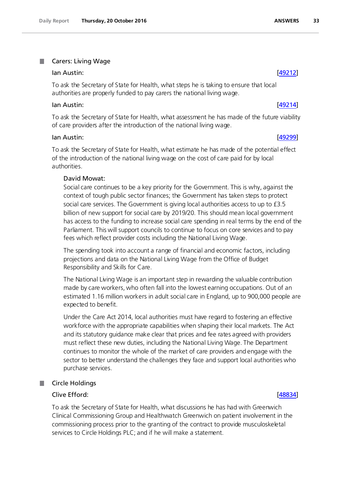### <span id="page-32-0"></span>Carers: Living Wage .

### Ian Austin: [\[49212\]](http://www.parliament.uk/business/publications/written-questions-answers-statements/written-question/Commons/2016-10-18/49212)

To ask the Secretary of State for Health, what steps he is taking to ensure that local authorities are properly funded to pay carers the national living wage.

### lan Austin: [\[49214\]](http://www.parliament.uk/business/publications/written-questions-answers-statements/written-question/Commons/2016-10-18/49214)

To ask the Secretary of State for Health, what assessment he has made of the future viability of care providers after the introduction of the national living wage.

### Ian Austin: [\[49299\]](http://www.parliament.uk/business/publications/written-questions-answers-statements/written-question/Commons/2016-10-18/49299)

To ask the Secretary of State for Health, what estimate he has made of the potential effect of the introduction of the national living wage on the cost of care paid for by local authorities.

### David Mowat:

Social care continues to be a key priority for the Government. This is why, against the context of tough public sector finances; the Government has taken steps to protect social care services. The Government is giving local authorities access to up to £3.5 billion of new support for social care by 2019/20. This should mean local government has access to the funding to increase social care spending in real terms by the end of the Parliament. This will support councils to continue to focus on core services and to pay fees which reflect provider costs including the National Living Wage.

The spending took into account a range of financial and economic factors, including projections and data on the National Living Wage from the Office of Budget Responsibility and Skills for Care.

The National Living Wage is an important step in rewarding the valuable contribution made by care workers, who often fall into the lowest earning occupations. Out of an estimated 1.16 million workers in adult social care in England, up to 900,000 people are expected to benefit.

Under the Care Act 2014, local authorities must have regard to fostering an effective workforce with the appropriate capabilities when shaping their local markets. The Act and its statutory guidance make clear that prices and fee rates agreed with providers must reflect these new duties, including the National Living Wage. The Department continues to monitor the whole of the market of care providers and engage with the sector to better understand the challenges they face and support local authorities who purchase services.

### <span id="page-32-1"></span>Circle Holdings .

# Clive Efford: [\[48834\]](http://www.parliament.uk/business/publications/written-questions-answers-statements/written-question/Commons/2016-10-17/48834)

To ask the Secretary of State for Health, what discussions he has had with Greenwich Clinical Commissioning Group and Healthwatch Greenwich on patient involvement in the commissioning process prior to the granting of the contract to provide musculoskeletal services to Circle Holdings PLC; and if he will make a statement.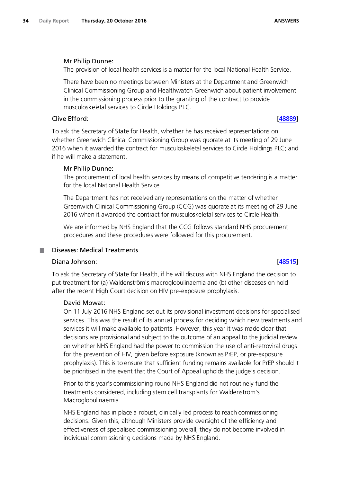# Mr Philip Dunne:

The provision of local health services is a matter for the local National Health Service.

There have been no meetings between Ministers at the Department and Greenwich Clinical Commissioning Group and Healthwatch Greenwich about patient involvement in the commissioning process prior to the granting of the contract to provide musculoskeletal services to Circle Holdings PLC.

# Clive Efford: [\[48889\]](http://www.parliament.uk/business/publications/written-questions-answers-statements/written-question/Commons/2016-10-17/48889)

To ask the Secretary of State for Health, whether he has received representations on whether Greenwich Clinical Commissioning Group was quorate at its meeting of 29 June 2016 when it awarded the contract for musculoskeletal services to Circle Holdings PLC; and if he will make a statement.

# Mr Philip Dunne:

The procurement of local health services by means of competitive tendering is a matter for the local National Health Service.

The Department has not received any representations on the matter of whether Greenwich Clinical Commissioning Group (CCG) was quorate at its meeting of 29 June 2016 when it awarded the contract for musculoskeletal services to Circle Health.

We are informed by NHS England that the CCG follows standard NHS procurement procedures and these procedures were followed for this procurement.

# <span id="page-33-0"></span>Diseases: Medical Treatments

# Diana Johnson: [\[48515\]](http://www.parliament.uk/business/publications/written-questions-answers-statements/written-question/Commons/2016-10-13/48515)

To ask the Secretary of State for Health, if he will discuss with NHS England the decision to put treatment for (a) Waldenström's macroglobulinaemia and (b) other diseases on hold after the recent High Court decision on HIV pre-exposure prophylaxis.

# David Mowat:

On 11 July 2016 NHS England set out its provisional investment decisions for specialised services. This was the result of its annual process for deciding which new treatments and services it will make available to patients. However, this year it was made clear that decisions are provisional and subject to the outcome of an appeal to the judicial review on whether NHS England had the power to commission the use of anti-retroviral drugs for the prevention of HIV, given before exposure (known as PrEP, or pre-exposure prophylaxis). This is to ensure that sufficient funding remains available for PrEP should it be prioritised in the event that the Court of Appeal upholds the judge's decision.

Prior to this year's commissioning round NHS England did not routinely fund the treatments considered, including stem cell transplants for Waldenström's Macroglobulinaemia.

NHS England has in place a robust, clinically led process to reach commissioning decisions. Given this, although Ministers provide oversight of the efficiency and effectiveness of specialised commissioning overall, they do not become involved in individual commissioning decisions made by NHS England.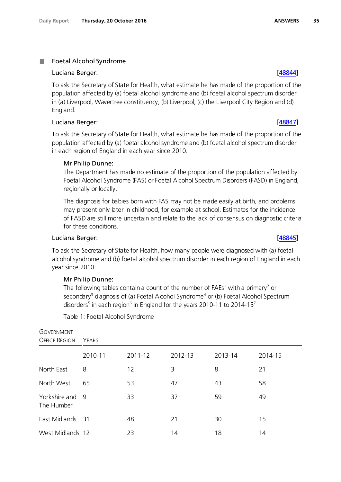### <span id="page-34-0"></span>. Foetal Alcohol Syndrome

### Luciana Berger: [\[48844\]](http://www.parliament.uk/business/publications/written-questions-answers-statements/written-question/Commons/2016-10-17/48844)

To ask the Secretary of State for Health, what estimate he has made of the proportion of the population affected by (a) foetal alcohol syndrome and (b) foetal alcohol spectrum disorder in (a) Liverpool, Wavertree constituency, (b) Liverpool, (c) the Liverpool City Region and (d) England.

# Luciana Berger: [\[48847\]](http://www.parliament.uk/business/publications/written-questions-answers-statements/written-question/Commons/2016-10-17/48847)

To ask the Secretary of State for Health, what estimate he has made of the proportion of the population affected by (a) foetal alcohol syndrome and (b) foetal alcohol spectrum disorder in each region of England in each year since 2010.

# Mr Philip Dunne:

The Department has made no estimate of the proportion of the population affected by Foetal Alcohol Syndrome (FAS) or Foetal Alcohol Spectrum Disorders (FASD) in England, regionally or locally.

The diagnosis for babies born with FAS may not be made easily at birth, and problems may present only later in childhood, for example at school. Estimates for the incidence of FASD are still more uncertain and relate to the lack of consensus on diagnostic criteria for these conditions.

## Luciana Berger: [\[48845\]](http://www.parliament.uk/business/publications/written-questions-answers-statements/written-question/Commons/2016-10-17/48845)

To ask the Secretary of State for Health, how many people were diagnosed with (a) foetal alcohol syndrome and (b) foetal alcohol spectrum disorder in each region of England in each year since 2010.

### Mr Philip Dunne:

The following tables contain a count of the number of FAEs<sup>1</sup> with a primary<sup>2</sup> or secondary<sup>3</sup> diagnosis of (a) Foetal Alcohol Syndrome<sup>4</sup> or (b) Foetal Alcohol Spectrum disorders<sup>5</sup> in each region<sup>6</sup> in England for the years 2010-11 to 2014-15<sup>7</sup>

Table 1: Foetal Alcohol Syndrome

| GOVERNMENT<br><b>OFFICE REGION</b> | Years   |         |         |         |         |  |
|------------------------------------|---------|---------|---------|---------|---------|--|
|                                    | 2010-11 | 2011-12 | 2012-13 | 2013-14 | 2014-15 |  |
| North East                         | 8       | 12      | 3       | 8       | 21      |  |
| North West                         | 65      | 53      | 47      | 43      | 58      |  |
| Yorkshire and 9<br>The Humber      |         | 33      | 37      | 59      | 49      |  |
| East Midlands 31                   |         | 48      | 21      | 30      | 15      |  |
| West Midlands 12                   |         | 23      | 14      | 18      | 14      |  |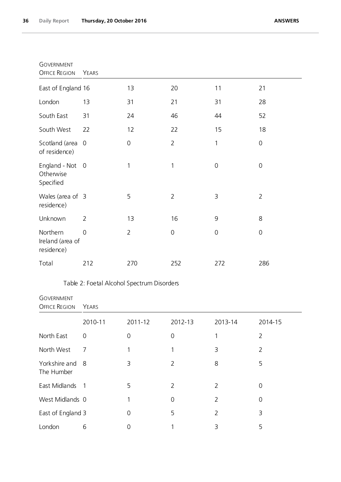| <b>GOVERNMENT</b><br><b>OFFICE REGION</b>  | YEARS          |                |                |             |                |
|--------------------------------------------|----------------|----------------|----------------|-------------|----------------|
| East of England 16                         |                | 13             | 20             | 11          | 21             |
| London                                     | 13             | 31             | 21             | 31          | 28             |
| South East                                 | 31             | 24             | 46             | 44          | 52             |
| South West                                 | 22             | 12             | 22             | 15          | 18             |
| Scotland (area<br>of residence)            | $\overline{0}$ | $\mathbf 0$    | $\overline{2}$ | $\mathbf 1$ | $\mathbf 0$    |
| England - Not<br>Otherwise<br>Specified    | $\overline{0}$ | 1              | 1              | $\mathbf 0$ | $\mathbf 0$    |
| Wales (area of 3<br>residence)             |                | 5              | $\overline{2}$ | 3           | $\overline{2}$ |
| Unknown                                    | $\overline{2}$ | 13             | 16             | 9           | 8              |
| Northern<br>Ireland (area of<br>residence) | $\overline{0}$ | $\overline{2}$ | 0              | $\mathbf 0$ | $\mathbf 0$    |
| Total                                      | 212            | 270            | 252            | 272         | 286            |

# Table 2: Foetal Alcohol Spectrum Disorders

| <b>GOVERNMENT</b><br><b>OFFICE REGION</b> | YEARS                    |                |                |                |                |  |
|-------------------------------------------|--------------------------|----------------|----------------|----------------|----------------|--|
|                                           | 2010-11                  | 2011-12        | 2012-13        | 2013-14        | 2014-15        |  |
| North East                                | 0                        | $\overline{0}$ | 0              |                | $\overline{2}$ |  |
| North West                                | 7                        |                | 1              | 3              | $\overline{2}$ |  |
| Yorkshire and 8<br>The Humber             |                          | 3              | 2              | 8              | 5              |  |
| East Midlands                             | $\overline{\phantom{a}}$ | 5              | $\overline{2}$ | $\overline{2}$ | 0              |  |
| West Midlands 0                           |                          |                | 0              | $\overline{2}$ | 0              |  |
| East of England 3                         |                          | 0              | 5              | $\overline{2}$ | 3              |  |
| London                                    | 6                        | 0              |                | 3              | 5              |  |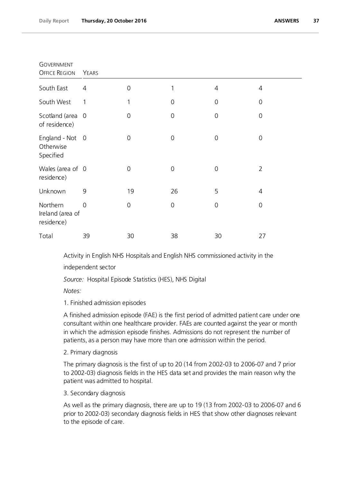| <b>GOVERNMENT</b><br>OFFICE REGION         | YEARS          |             |                     |                |                     |
|--------------------------------------------|----------------|-------------|---------------------|----------------|---------------------|
| South East                                 | $\overline{4}$ | 0           | 1                   | 4              | 4                   |
| South West                                 | 1              | 1           | $\mathsf{O}\xspace$ | $\mathbf 0$    | $\mathsf{O}\xspace$ |
| Scotland (area<br>of residence)            | $\overline{0}$ | 0           | $\mathbf 0$         | 0              | $\mathbf 0$         |
| England - Not 0<br>Otherwise<br>Specified  |                | 0           | $\mathbf 0$         | $\mathbf 0$    | $\mathbf 0$         |
| Wales (area of 0<br>residence)             |                | $\mathbf 0$ | $\boldsymbol{0}$    | $\mathbf 0$    | $\overline{2}$      |
| Unknown                                    | 9              | 19          | 26                  | 5              | $\overline{4}$      |
| Northern<br>Ireland (area of<br>residence) | $\Omega$       | $\mathbf 0$ | $\mathsf{O}\xspace$ | $\overline{0}$ | $\mathbf 0$         |
| Total                                      | 39             | 30          | 38                  | 30             | 27                  |

Activity in English NHS Hospitals and English NHS commissioned activity in the independent sector

*Source:* Hospital Episode Statistics (HES), NHS Digital

*Notes:*

1. Finished admission episodes

A finished admission episode (FAE) is the first period of admitted patient care under one consultant within one healthcare provider. FAEs are counted against the year or month in which the admission episode finishes. Admissions do not represent the number of patients, as a person may have more than one admission within the period.

2. Primary diagnosis

The primary diagnosis is the first of up to 20 (14 from 2002-03 to 2006-07 and 7 prior to 2002-03) diagnosis fields in the HES data set and provides the main reason why the patient was admitted to hospital.

# 3. Secondary diagnosis

As well as the primary diagnosis, there are up to 19 (13 from 2002-03 to 2006-07 and 6 prior to 2002-03) secondary diagnosis fields in HES that show other diagnoses relevant to the episode of care.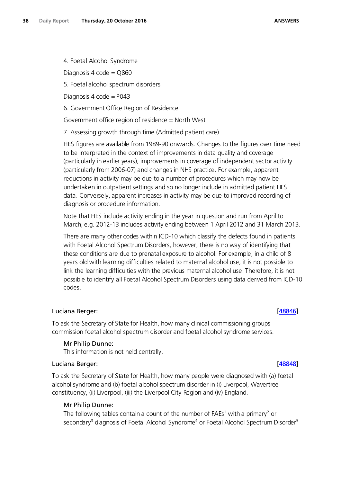4. Foetal Alcohol Syndrome

Diagnosis 4 code = Q860

5. Foetal alcohol spectrum disorders

Diagnosis 4 code = P043

6. Government Office Region of Residence

Government office region of residence = North West

7. Assessing growth through time (Admitted patient care)

HES figures are available from 1989-90 onwards. Changes to the figures over time need to be interpreted in the context of improvements in data quality and coverage (particularly in earlier years), improvements in coverage of independent sector activity (particularly from 2006-07) and changes in NHS practice. For example, apparent reductions in activity may be due to a number of procedures which may now be undertaken in outpatient settings and so no longer include in admitted patient HES data. Conversely, apparent increases in activity may be due to improved recording of diagnosis or procedure information.

Note that HES include activity ending in the year in question and run from April to March, e.g. 2012-13 includes activity ending between 1 April 2012 and 31 March 2013.

There are many other codes within ICD-10 which classify the defects found in patients with Foetal Alcohol Spectrum Disorders, however, there is no way of identifying that these conditions are due to prenatal exposure to alcohol. For example, in a child of 8 years old with learning difficulties related to maternal alcohol use, it is not possible to link the learning difficulties with the previous maternal alcohol use. Therefore, it is not possible to identify all Foetal Alcohol Spectrum Disorders using data derived from ICD-10 codes.

# Luciana Berger: [\[48846\]](http://www.parliament.uk/business/publications/written-questions-answers-statements/written-question/Commons/2016-10-17/48846)

To ask the Secretary of State for Health, how many clinical commissioning groups commission foetal alcohol spectrum disorder and foetal alcohol syndrome services.

### Mr Philip Dunne:

This information is not held centrally.

### Luciana Berger: [\[48848\]](http://www.parliament.uk/business/publications/written-questions-answers-statements/written-question/Commons/2016-10-17/48848)

To ask the Secretary of State for Health, how many people were diagnosed with (a) foetal alcohol syndrome and (b) foetal alcohol spectrum disorder in (i) Liverpool, Wavertree constituency, (ii) Liverpool, (iii) the Liverpool City Region and (iv) England.

## Mr Philip Dunne:

The following tables contain a count of the number of FAEs<sup>1</sup> with a primary<sup>2</sup> or secondary<sup>3</sup> diagnosis of Foetal Alcohol Syndrome<sup>4</sup> or Foetal Alcohol Spectrum Disorder<sup>5</sup>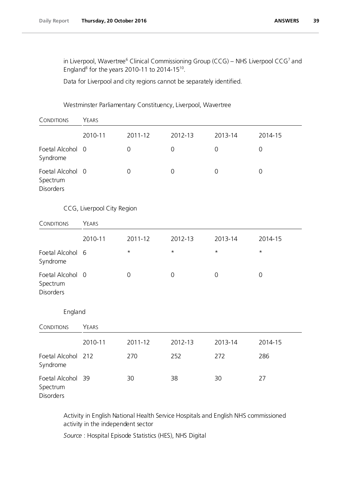in Liverpool, Wavertree<sup>6</sup> Clinical Commissioning Group (CCG) – NHS Liverpool CCG<sup>7</sup> and England<sup>8</sup> for the years 2010-11 to 2014-15<sup>10</sup>.

Data for Liverpool and city regions cannot be separately identified.

# Westminster Parliamentary Constituency, Liverpool, Wavertree

| CONDITIONS                                       | YEARS                      |             |                     |                     |                     |
|--------------------------------------------------|----------------------------|-------------|---------------------|---------------------|---------------------|
|                                                  | 2010-11                    | 2011-12     | 2012-13             | 2013-14             | 2014-15             |
| Foetal Alcohol<br>Syndrome                       | $\overline{0}$             | $\mathbf 0$ | $\mathbf 0$         | $\mathbf 0$         | $\mathbf 0$         |
| Foetal Alcohol 0<br>Spectrum<br><b>Disorders</b> |                            | $\mathbf 0$ | $\mathsf{O}\xspace$ | $\mathsf{O}\xspace$ | $\mathsf{O}\xspace$ |
|                                                  | CCG, Liverpool City Region |             |                     |                     |                     |
| CONDITIONS                                       | YEARS                      |             |                     |                     |                     |
|                                                  | 2010-11                    | 2011-12     | 2012-13             | 2013-14             | 2014-15             |
| Foetal Alcohol<br>Syndrome                       | 6                          | $^\star$    | $\star$             | $\star$             | $\star$             |
| Foetal Alcohol 0<br>Spectrum<br><b>Disorders</b> |                            | $\mathbf 0$ | $\mathsf{O}\xspace$ | $\mathsf{O}\xspace$ | $\overline{0}$      |
| England                                          |                            |             |                     |                     |                     |
| CONDITIONS                                       | YEARS                      |             |                     |                     |                     |
|                                                  | 2010-11                    | 2011-12     | 2012-13             | 2013-14             | 2014-15             |
| Foetal Alcohol<br>Syndrome                       | 212                        | 270         | 252                 | 272                 | 286                 |
| Foetal Alcohol<br>Spectrum<br>Disorders          | 39                         | 30          | 38                  | 30                  | 27                  |

Activity in English National Health Service Hospitals and English NHS commissioned activity in the independent sector

*Source* : Hospital Episode Statistics (HES), NHS Digital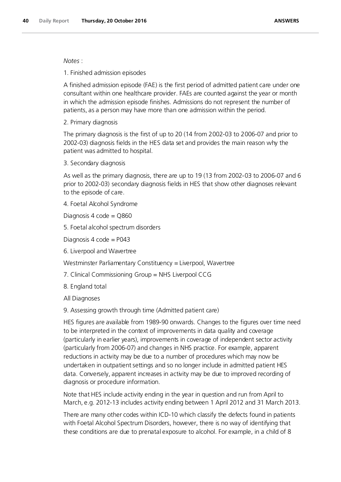# *Notes* :

1. Finished admission episodes

A finished admission episode (FAE) is the first period of admitted patient care under one consultant within one healthcare provider. FAEs are counted against the year or month in which the admission episode finishes. Admissions do not represent the number of patients, as a person may have more than one admission within the period.

2. Primary diagnosis

The primary diagnosis is the first of up to 20 (14 from 2002-03 to 2006-07 and prior to 2002-03) diagnosis fields in the HES data set and provides the main reason why the patient was admitted to hospital.

3. Secondary diagnosis

As well as the primary diagnosis, there are up to 19 (13 from 2002-03 to 2006-07 and 6 prior to 2002-03) secondary diagnosis fields in HES that show other diagnoses relevant to the episode of care.

4. Foetal Alcohol Syndrome

Diagnosis 4 code = Q860

5. Foetal alcohol spectrum disorders

Diagnosis 4 code =  $P043$ 

6. Liverpool and Wavertree

Westminster Parliamentary Constituency = Liverpool, Wavertree

7. Clinical Commissioning Group = NHS Liverpool CCG

8. England total

All Diagnoses

9. Assessing growth through time (Admitted patient care)

HES figures are available from 1989-90 onwards. Changes to the figures over time need to be interpreted in the context of improvements in data quality and coverage (particularly in earlier years), improvements in coverage of independent sector activity (particularly from 2006-07) and changes in NHS practice. For example, apparent reductions in activity may be due to a number of procedures which may now be undertaken in outpatient settings and so no longer include in admitted patient HES data. Conversely, apparent increases in activity may be due to improved recording of diagnosis or procedure information.

Note that HES include activity ending in the year in question and run from April to March, e.g. 2012-13 includes activity ending between 1 April 2012 and 31 March 2013.

There are many other codes within ICD-10 which classify the defects found in patients with Foetal Alcohol Spectrum Disorders, however, there is no way of identifying that these conditions are due to prenatal exposure to alcohol. For example, in a child of 8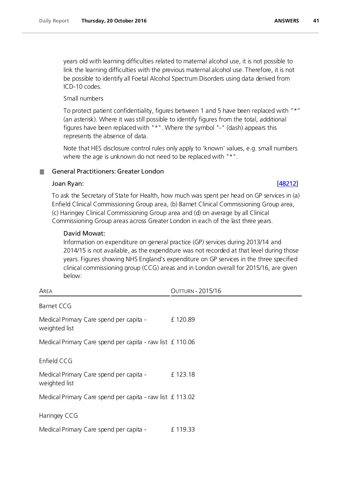years old with learning difficulties related to maternal alcohol use, it is not possible to link the learning difficulties with the previous maternal alcohol use. Therefore, it is not be possible to identify all Foetal Alcohol Spectrum Disorders using data derived from ICD-10 codes.

Small numbers

To protect patient confidentiality, figures between 1 and 5 have been replaced with "\*" (an asterisk). Where it was still possible to identify figures from the total, additional figures have been replaced with "\*". Where the symbol "-" (dash) appears this represents the absence of data.

Note that HES disclosure control rules only apply to 'known' values, e.g. small numbers where the age is unknown do not need to be replaced with "\*".

# General Practitioners: Greater London

# Joan Ryan: [\[48212\]](http://www.parliament.uk/business/publications/written-questions-answers-statements/written-question/Commons/2016-10-12/48212)

To ask the Secretary of State for Health, how much was spent per head on GP services in (a) Enfield Clinical Commissioning Group area, (b) Barnet Clinical Commissioning Group area, (c) Haringey Clinical Commissioning Group area and (d) on average by all Clinical Commissioning Group areas across Greater London in each of the last three years.

# David Mowat:

Information on expenditure on general practice (GP) services during 2013/14 and 2014/15 is not available, as the expenditure was not recorded at that level during those years. Figures showing NHS England's expenditure on GP services in the three specified clinical commissioning group (CCG) areas and in London overall for 2015/16, are given below:

| Area                                                      | <b>OUTTURN - 2015/16</b> |
|-----------------------------------------------------------|--------------------------|
| Barnet CCG                                                |                          |
| Medical Primary Care spend per capita -<br>weighted list  | £120.89                  |
| Medical Primary Care spend per capita - raw list £110.06  |                          |
| Enfield CCG                                               |                          |
| Medical Primary Care spend per capita -<br>weighted list  | £123.18                  |
| Medical Primary Care spend per capita - raw list £ 113.02 |                          |
| Haringey CCG                                              |                          |
| Medical Primary Care spend per capita -                   | £119.33                  |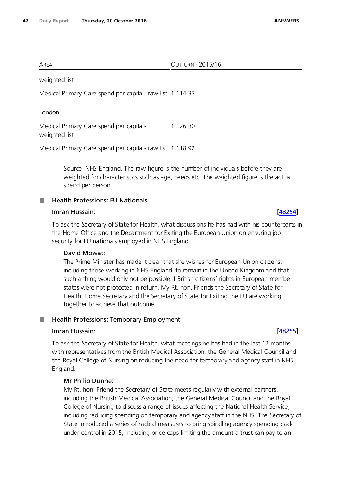| Area<br>$\cdots$ | $201517$<br>$\sim$<br><b>IRN</b><br>ו וכ<br>ΙU<br>. |
|------------------|-----------------------------------------------------|
|                  |                                                     |

weighted list

Medical Primary Care spend per capita - raw list £114.33

London

Medical Primary Care spend per capita weighted list £ 126.30

Medical Primary Care spend per capita - raw list £ 118.92

Source: NHS England. The raw figure is the number of individuals before they are weighted for characteristics such as age, needs etc. The weighted figure is the actual spend per person.

### Health Professions: EU Nationals H.

## Imran Hussain: [\[48254\]](http://www.parliament.uk/business/publications/written-questions-answers-statements/written-question/Commons/2016-10-12/48254)

To ask the Secretary of State for Health, what discussions he has had with his counterparts in the Home Office and the Department for Exiting the European Union on ensuring job security for EU nationals employed in NHS England.

# David Mowat:

The Prime Minister has made it clear that she wishes for European Union citizens, including those working in NHS England, to remain in the United Kingdom and that such a thing would only not be possible if British citizens' rights in European member states were not protected in return. My Rt. hon. Friends the Secretary of State for Health, Home Secretary and the Secretary of State for Exiting the EU are working together to achieve that outcome.

## Health Professions: Temporary Employment

### Imran Hussain: [\[48255\]](http://www.parliament.uk/business/publications/written-questions-answers-statements/written-question/Commons/2016-10-12/48255)

To ask the Secretary of State for Health, what meetings he has had in the last 12 months with representatives from the British Medical Association, the General Medical Council and the Royal College of Nursing on reducing the need for temporary and agency staff in NHS England.

## Mr Philip Dunne:

My Rt. hon. Friend the Secretary of State meets regularly with external partners, including the British Medical Association, the General Medical Council and the Royal College of Nursing to discuss a range of issues affecting the National Health Service, including reducing spending on temporary and agency staff in the NHS. The Secretary of State introduced a series of radical measures to bring spiralling agency spending back under control in 2015, including price caps limiting the amount a trust can pay to an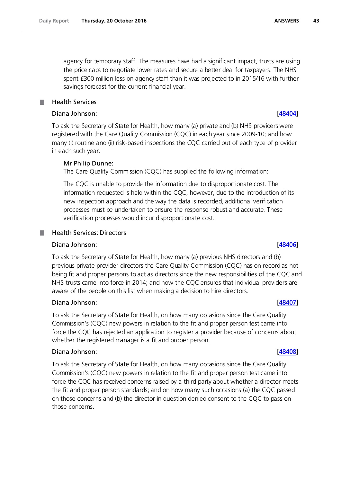agency for temporary staff. The measures have had a significant impact, trusts are using the price caps to negotiate lower rates and secure a better deal for taxpayers. The NHS spent £300 million less on agency staff than it was projected to in 2015/16 with further savings forecast for the current financial year.

### Health Services

# Diana Johnson: [\[48404\]](http://www.parliament.uk/business/publications/written-questions-answers-statements/written-question/Commons/2016-10-12/48404)

To ask the Secretary of State for Health, how many (a) private and (b) NHS providers were registered with the Care Quality Commission (CQC) in each year since 2009-10; and how many (i) routine and (ii) risk-based inspections the CQC carried out of each type of provider in each such year.

# Mr Philip Dunne:

The Care Quality Commission (CQC) has supplied the following information:

The CQC is unable to provide the information due to disproportionate cost. The information requested is held within the CQC, however, due to the introduction of its new inspection approach and the way the data is recorded, additional verification processes must be undertaken to ensure the response robust and accurate. These verification processes would incur disproportionate cost.

# Health Services: Directors

## Diana Johnson: [\[48406\]](http://www.parliament.uk/business/publications/written-questions-answers-statements/written-question/Commons/2016-10-12/48406)

To ask the Secretary of State for Health, how many (a) previous NHS directors and (b) previous private provider directors the Care Quality Commission (CQC) has on record as not being fit and proper persons to act as directors since the new responsibilities of the CQC and NHS trusts came into force in 2014; and how the CQC ensures that individual providers are aware of the people on this list when making a decision to hire directors.

# Diana Johnson: [\[48407\]](http://www.parliament.uk/business/publications/written-questions-answers-statements/written-question/Commons/2016-10-12/48407)

To ask the Secretary of State for Health, on how many occasions since the Care Quality Commission's (CQC) new powers in relation to the fit and proper person test came into force the CQC has rejected an application to register a provider because of concerns about whether the registered manager is a fit and proper person.

## Diana Johnson: [\[48408\]](http://www.parliament.uk/business/publications/written-questions-answers-statements/written-question/Commons/2016-10-12/48408)

To ask the Secretary of State for Health, on how many occasions since the Care Quality Commission's (CQC) new powers in relation to the fit and proper person test came into force the CQC has received concerns raised by a third party about whether a director meets the fit and proper person standards; and on how many such occasions (a) the CQC passed on those concerns and (b) the director in question denied consent to the CQC to pass on those concerns.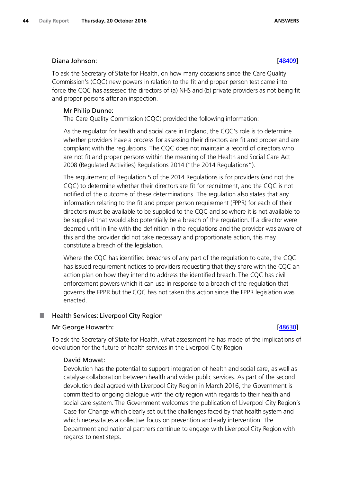## Diana Johnson: [\[48409\]](http://www.parliament.uk/business/publications/written-questions-answers-statements/written-question/Commons/2016-10-12/48409)

To ask the Secretary of State for Health, on how many occasions since the Care Quality Commission's (CQC) new powers in relation to the fit and proper person test came into force the CQC has assessed the directors of (a) NHS and (b) private providers as not being fit and proper persons after an inspection.

## Mr Philip Dunne:

The Care Quality Commission (CQC) provided the following information:

As the regulator for health and social care in England, the CQC's role is to determine whether providers have a process for assessing their directors are fit and proper and are compliant with the regulations. The CQC does not maintain a record of directors who are not fit and proper persons within the meaning of the Health and Social Care Act 2008 (Regulated Activities) Regulations 2014 ("the 2014 Regulations").

The requirement of Regulation 5 of the 2014 Regulations is for providers (and not the CQC) to determine whether their directors are fit for recruitment, and the CQC is not notified of the outcome of these determinations. The regulation also states that any information relating to the fit and proper person requirement (FPPR) for each of their directors must be available to be supplied to the CQC and so where it is not available to be supplied that would also potentially be a breach of the regulation. If a director were deemed unfit in line with the definition in the regulations and the provider was aware of this and the provider did not take necessary and proportionate action, this may constitute a breach of the legislation.

Where the CQC has identified breaches of any part of the regulation to date, the CQC has issued requirement notices to providers requesting that they share with the CQC an action plan on how they intend to address the identified breach. The CQC has civil enforcement powers which it can use in response to a breach of the regulation that governs the FPPR but the CQC has not taken this action since the FPPR legislation was enacted.

### . Health Services: Liverpool City Region

## Mr George Howarth: [\[48630\]](http://www.parliament.uk/business/publications/written-questions-answers-statements/written-question/Commons/2016-10-13/48630)

To ask the Secretary of State for Health, what assessment he has made of the implications of devolution for the future of health services in the Liverpool City Region.

## David Mowat:

Devolution has the potential to support integration of health and social care, as well as catalyse collaboration between health and wider public services. As part of the second devolution deal agreed with Liverpool City Region in March 2016, the Government is committed to ongoing dialogue with the city region with regards to their health and social care system. The Government welcomes the publication of Liverpool City Region's Case for Change which clearly set out the challenges faced by that health system and which necessitates a collective focus on prevention and early intervention. The Department and national partners continue to engage with Liverpool City Region with regards to next steps.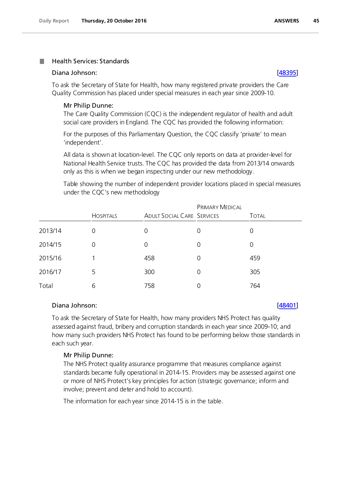### Health Services: Standards a a

## Diana Johnson: [\[48395\]](http://www.parliament.uk/business/publications/written-questions-answers-statements/written-question/Commons/2016-10-12/48395)

To ask the Secretary of State for Health, how many registered private providers the Care Quality Commission has placed under special measures in each year since 2009-10.

### Mr Philip Dunne:

The Care Quality Commission (CQC) is the independent regulator of health and adult social care providers in England. The CQC has provided the following information:

For the purposes of this Parliamentary Question, the CQC classify 'private' to mean 'independent'.

All data is shown at location-level. The CQC only reports on data at provider-level for National Health Service trusts. The CQC has provided the data from 2013/14 onwards only as this is when we began inspecting under our new methodology.

Table showing the number of independent provider locations placed in special measures under the CQC's new methodology

|         | <b>HOSPITALS</b> | <b>ADULT SOCIAL CARE SERVICES</b> | PRIMARY MEDICAL | <b>TOTAL</b> |
|---------|------------------|-----------------------------------|-----------------|--------------|
| 2013/14 | 0                | 0                                 | 0               | 0            |
| 2014/15 | 0                | 0                                 | 0               | 0            |
| 2015/16 |                  | 458                               | 0               | 459          |
| 2016/17 | 5.               | 300                               | $\Omega$        | 305          |
| Total   | 6                | 758                               | 0               | 764          |

# Diana Johnson: [\[48401\]](http://www.parliament.uk/business/publications/written-questions-answers-statements/written-question/Commons/2016-10-12/48401)

To ask the Secretary of State for Health, how many providers NHS Protect has quality assessed against fraud, bribery and corruption standards in each year since 2009-10; and how many such providers NHS Protect has found to be performing below those standards in each such year.

## Mr Philip Dunne:

The NHS Protect quality assurance programme that measures compliance against standards became fully operational in 2014-15. Providers may be assessed against one or more of NHS Protect's key principles for action (strategic governance; inform and involve; prevent and deter and hold to account).

The information for each year since 2014-15 is in the table.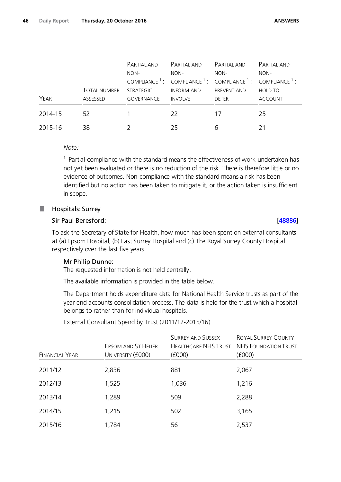|         |                     | PARTIAL AND       | PARTIAL AND       | PARTIAL AND                                                                                             | PARTIAL AND    |
|---------|---------------------|-------------------|-------------------|---------------------------------------------------------------------------------------------------------|----------------|
|         |                     | NON-              | NON-              | NON-                                                                                                    | NON-           |
|         |                     |                   |                   | COMPLIANCE <sup>1</sup> : COMPLIANCE <sup>1</sup> : COMPLIANCE <sup>1</sup> : COMPLIANCE <sup>1</sup> : |                |
|         | <b>TOTAL NUMBER</b> | <b>STRATEGIC</b>  | <b>INFORM AND</b> | <b>PREVENT AND</b>                                                                                      | <b>HOLD TO</b> |
| YEAR    | ASSESSED            | <b>GOVERNANCE</b> | <b>INVOLVE</b>    | <b>DETER</b>                                                                                            | <b>ACCOUNT</b> |
| 2014-15 | 52                  |                   | 22                | 17                                                                                                      | 25             |
| 2015-16 | 38                  |                   | 25                | 6                                                                                                       | 21             |

*Note:*

 $1$  Partial-compliance with the standard means the effectiveness of work undertaken has not yet been evaluated or there is no reduction of the risk. There is therefore little or no evidence of outcomes. Non-compliance with the standard means a risk has been identified but no action has been taken to mitigate it, or the action taken is insufficient in scope.

### Hospitals: Surrey ш

# Sir Paul Beresford: [\[48886\]](http://www.parliament.uk/business/publications/written-questions-answers-statements/written-question/Commons/2016-10-17/48886)

To ask the Secretary of State for Health, how much has been spent on external consultants at (a) Epsom Hospital, (b) East Surrey Hospital and (c) The Royal Surrey County Hospital respectively over the last five years.

## Mr Philip Dunne:

The requested information is not held centrally.

The available information is provided in the table below.

The Department holds expenditure data for National Health Service trusts as part of the year end accounts consolidation process. The data is held for the trust which a hospital belongs to rather than for individual hospitals.

FINANCIAL YEAR EPSOM AND ST HELIER UNIVERSITY (£000) SURREY AND SUSSEX HEALTHCARE NHS TRUST NHS FOUNDATION TRUST (£000) ROYAL SURREY COUNTY (£000) 2011/12 2,836 881 2,067 2012/13 1,525 1,036 1,216 2013/14 1,289 509 2,288 2014/15 1,215 502 3,165 2015/16 1,784 56 2,537

External Consultant Spend by Trust (2011/12-2015/16)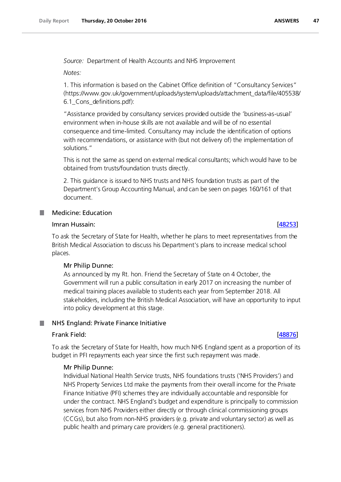*Source:* Department of Health Accounts and NHS Improvement

*Notes:*

1. This information is based on the Cabinet Office definition of "Consultancy Services" (https://www.gov.uk/government/uploads/system/uploads/attachment\_data/file/405538/ 6.1\_Cons\_definitions.pdf):

"Assistance provided by consultancy services provided outside the 'business-as-usual' environment when in-house skills are not available and will be of no essential consequence and time-limited. Consultancy may include the identification of options with recommendations, or assistance with (but not delivery of) the implementation of solutions."

This is not the same as spend on external medical consultants; which would have to be obtained from trusts/foundation trusts directly.

2. This guidance is issued to NHS trusts and NHS foundation trusts as part of the Department's Group Accounting Manual, and can be seen on pages 160/161 of that document.

# Medicine: Education

# Imran Hussain: [\[48253\]](http://www.parliament.uk/business/publications/written-questions-answers-statements/written-question/Commons/2016-10-12/48253)

To ask the Secretary of State for Health, whether he plans to meet representatives from the British Medical Association to discuss his Department's plans to increase medical school places.

# Mr Philip Dunne:

As announced by my Rt. hon. Friend the Secretary of State on 4 October, the Government will run a public consultation in early 2017 on increasing the number of medical training places available to students each year from September 2018. All stakeholders, including the British Medical Association, will have an opportunity to input into policy development at this stage.

### NHS England: Private Finance Initiative T.

# Frank Field: [\[48876\]](http://www.parliament.uk/business/publications/written-questions-answers-statements/written-question/Commons/2016-10-17/48876)

To ask the Secretary of State for Health, how much NHS England spent as a proportion of its budget in PFI repayments each year since the first such repayment was made.

# Mr Philip Dunne:

Individual National Health Service trusts, NHS foundations trusts ('NHS Providers') and NHS Property Services Ltd make the payments from their overall income for the Private Finance Initiative (PFI) schemes they are individually accountable and responsible for under the contract. NHS England's budget and expenditure is principally to commission services from NHS Providers either directly or through clinical commissioning groups (CCGs), but also from non-NHS providers (e.g. private and voluntary sector) as well as public health and primary care providers (e.g. general practitioners).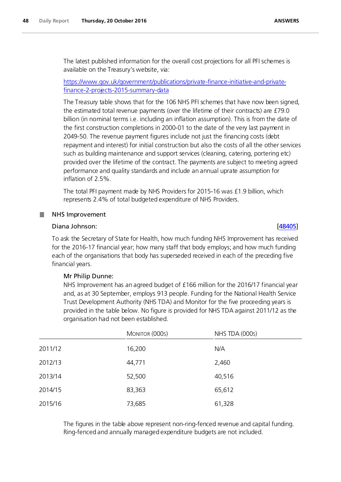The latest published information for the overall cost projections for all PFI schemes is available on the Treasury's website, via:

# [https://www.gov.uk/government/publications/private-finance-initiative-and-private](https://www.gov.uk/government/publications/private-finance-initiative-and-private-finance-2-projects-2015-summary-data)[finance-2-projects-2015-summary-data](https://www.gov.uk/government/publications/private-finance-initiative-and-private-finance-2-projects-2015-summary-data)

The Treasury table shows that for the 106 NHS PFI schemes that have now been signed, the estimated total revenue payments (over the lifetime of their contracts) are £79.0 billion (in nominal terms i.e. including an inflation assumption). This is from the date of the first construction completions in 2000-01 to the date of the very last payment in 2049-50. The revenue payment figures include not just the financing costs (debt repayment and interest) for initial construction but also the costs of all the other services such as building maintenance and support services (cleaning, catering, portering etc) provided over the lifetime of the contract. The payments are subject to meeting agreed performance and quality standards and include an annual uprate assumption for inflation of 2.5%.

The total PFI payment made by NHS Providers for 2015-16 was £1.9 billion, which represents 2.4% of total budgeted expenditure of NHS Providers.

## NHS Improvement

### Diana Johnson: [\[48405\]](http://www.parliament.uk/business/publications/written-questions-answers-statements/written-question/Commons/2016-10-12/48405)

To ask the Secretary of State for Health, how much funding NHS Improvement has received for the 2016-17 financial year; how many staff that body employs; and how much funding each of the organisations that body has superseded received in each of the preceding five financial years.

### Mr Philip Dunne:

NHS Improvement has an agreed budget of £166 million for the 2016/17 financial year and, as at 30 September, employs 913 people. Funding for the National Health Service Trust Development Authority (NHS TDA) and Monitor for the five proceeding years is provided in the table below. No figure is provided for NHS TDA against 2011/12 as the organisation had not been established.

|         | MONITOR (000s) | NHS TDA (000s) |  |
|---------|----------------|----------------|--|
| 2011/12 | 16,200         | N/A            |  |
| 2012/13 | 44,771         | 2,460          |  |
| 2013/14 | 52,500         | 40,516         |  |
| 2014/15 | 83,363         | 65,612         |  |
| 2015/16 | 73,685         | 61,328         |  |

The figures in the table above represent non-ring-fenced revenue and capital funding. Ring-fenced and annually managed expenditure budgets are not included.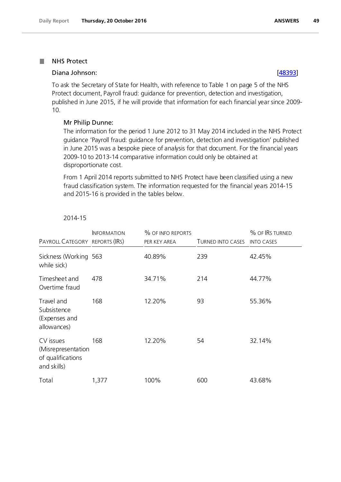### NHS Protect П

## Diana Johnson: [\[48393\]](http://www.parliament.uk/business/publications/written-questions-answers-statements/written-question/Commons/2016-10-12/48393)

To ask the Secretary of State for Health, with reference to Table 1 on page 5 of the NHS Protect document, Payroll fraud: guidance for prevention, detection and investigation, published in June 2015, if he will provide that information for each financial year since 2009- 10.

# Mr Philip Dunne:

The information for the period 1 June 2012 to 31 May 2014 included in the NHS Protect guidance 'Payroll fraud: guidance for prevention, detection and investigation' published in June 2015 was a bespoke piece of analysis for that document. For the financial years 2009-10 to 2013-14 comparative information could only be obtained at disproportionate cost.

From 1 April 2014 reports submitted to NHS Protect have been classified using a new fraud classification system. The information requested for the financial years 2014-15 and 2015-16 is provided in the tables below.

# 2014-15

| PAYROLL CATEGORY REPORTS (IRS)                                      | <b>INFORMATION</b> | % OF INFO REPORTS<br>PER KEY AREA | TURNED INTO CASES | % OF IRS TURNED<br><b>INTO CASES</b> |
|---------------------------------------------------------------------|--------------------|-----------------------------------|-------------------|--------------------------------------|
| Sickness (Working 563<br>while sick)                                |                    | 40.89%                            | 239               | 42.45%                               |
| Timesheet and<br>Overtime fraud                                     | 478                | 34.71%                            | 214               | 44.77%                               |
| Travel and<br>Subsistence<br>(Expenses and<br>allowances)           | 168                | 12.20%                            | 93                | 55.36%                               |
| CV issues<br>(Misrepresentation<br>of qualifications<br>and skills) | 168                | 12.20%                            | 54                | 32.14%                               |
| Total                                                               | 1,377              | 100%                              | 600               | 43.68%                               |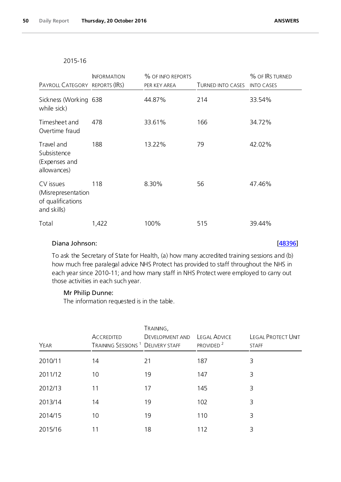# 2015-16

| PAYROLL CATEGORY REPORTS (IRS)                                      | <b>INFORMATION</b> | % OF INFO REPORTS<br>PER KEY AREA | <b>TURNED INTO CASES</b> | % OF IRS TURNED<br><b>INTO CASES</b> |
|---------------------------------------------------------------------|--------------------|-----------------------------------|--------------------------|--------------------------------------|
| Sickness (Working 638<br>while sick)                                |                    | 44.87%                            | 214                      | 33.54%                               |
| Timesheet and<br>Overtime fraud                                     | 478                | 33.61%                            | 166                      | 34.72%                               |
| Travel and<br>Subsistence<br>(Expenses and<br>allowances)           | 188                | 13.22%                            | 79                       | 42.02%                               |
| CV issues<br>(Misrepresentation<br>of qualifications<br>and skills) | 118                | 8.30%                             | 56                       | 47.46%                               |
| Total                                                               | 1,422              | 100%                              | 515                      | 39.44%                               |

# Diana Johnson: [\[48396\]](http://www.parliament.uk/business/publications/written-questions-answers-statements/written-question/Commons/2016-10-12/48396)

To ask the Secretary of State for Health, (a) how many accredited training sessions and (b) how much free paralegal advice NHS Protect has provided to staff throughout the NHS in each year since 2010-11; and how many staff in NHS Protect were employed to carry out those activities in each such year.

# Mr Philip Dunne:

The information requested is in the table.

| YEAR    | <b>ACCREDITED</b><br>TRAINING SESSIONS <sup>1</sup> DELIVERY STAFF | TRAINING,<br><b>DEVELOPMENT AND</b> | <b>LEGAL ADVICE</b><br>PROVIDED <sup>2</sup> | <b>LEGAL PROTECT UNIT</b><br><b>STAFF</b> |
|---------|--------------------------------------------------------------------|-------------------------------------|----------------------------------------------|-------------------------------------------|
| 2010/11 | 14                                                                 | 21                                  | 187                                          | 3                                         |
| 2011/12 | 10                                                                 | 19                                  | 147                                          | 3                                         |
| 2012/13 | 11                                                                 | 17                                  | 145                                          | 3                                         |
| 2013/14 | 14                                                                 | 19                                  | 102                                          | 3                                         |
| 2014/15 | 10                                                                 | 19                                  | 110                                          | 3                                         |
| 2015/16 | 11                                                                 | 18                                  | 112                                          | 3                                         |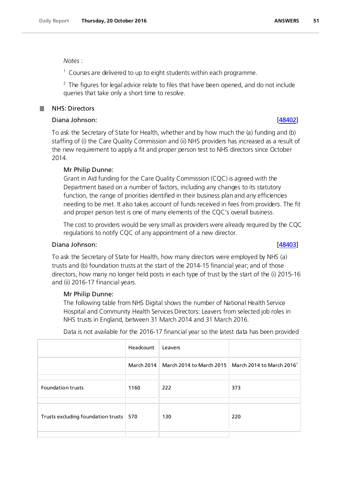*Notes* :

 $1$  Courses are delivered to up to eight students within each programme.

 $2$  The figures for legal advice relate to files that have been opened, and do not include queries that take only a short time to resolve.

# NHS: Directors

# Diana Johnson: [\[48402\]](http://www.parliament.uk/business/publications/written-questions-answers-statements/written-question/Commons/2016-10-12/48402)

To ask the Secretary of State for Health, whether and by how much the (a) funding and (b) staffing of (i) the Care Quality Commission and (ii) NHS providers has increased as a result of the new requirement to apply a fit and proper person test to NHS directors since October 2014.

# Mr Philip Dunne:

Grant in Aid funding for the Care Quality Commission (CQC) is agreed with the Department based on a number of factors, including any changes to its statutory function, the range of priorities identified in their business plan and any efficiencies needing to be met. It also takes account of funds received in fees from providers. The fit and proper person test is one of many elements of the CQC's overall business.

The cost to providers would be very small as providers were already required by the CQC regulations to notify CQC of any appointment of a new director.

# Diana Johnson: [\[48403\]](http://www.parliament.uk/business/publications/written-questions-answers-statements/written-question/Commons/2016-10-12/48403)

To ask the Secretary of State for Health, how many directors were employed by NHS (a) trusts and (b) foundation trusts at the start of the 2014-15 financial year; and of those directors, how many no longer held posts in each type of trust by the start of the (i) 2015-16 and (ii) 2016-17 financial years.

## Mr Philip Dunne:

The following table from NHS Digital shows the number of National Health Service Hospital and Community Health Services Directors: Leavers from selected job roles in NHS trusts in England, between 31 March 2014 and 31 March 2016.

Data is not available for the 2016-17 financial year so the latest data has been provided

|                                    | Headcount | Leavers                                                                       |     |
|------------------------------------|-----------|-------------------------------------------------------------------------------|-----|
|                                    |           | March 2014   March 2014 to March 2015   March 2014 to March 2016 <sup>1</sup> |     |
|                                    |           |                                                                               |     |
| <b>Foundation trusts</b>           | 1160      | 222                                                                           | 373 |
|                                    |           |                                                                               |     |
| Trusts excluding foundation trusts | 570       | 130                                                                           | 220 |
|                                    |           |                                                                               |     |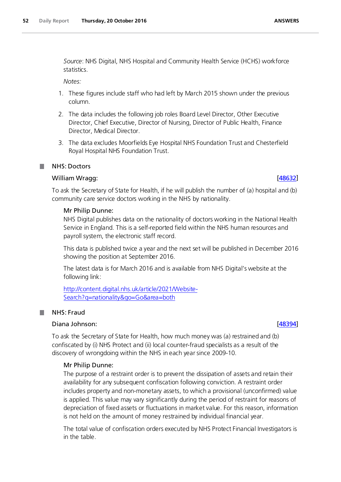*Source*: NHS Digital, NHS Hospital and Community Health Service (HCHS) workforce statistics.

*Notes:*

- 1. These figures include staff who had left by March 2015 shown under the previous column.
- 2. The data includes the following job roles Board Level Director, Other Executive Director, Chief Executive, Director of Nursing, Director of Public Health, Finance Director, Medical Director.
- 3. The data excludes Moorfields Eye Hospital NHS Foundation Trust and Chesterfield Royal Hospital NHS Foundation Trust.

# William Wragg: [\[48632\]](http://www.parliament.uk/business/publications/written-questions-answers-statements/written-question/Commons/2016-10-13/48632)

To ask the Secretary of State for Health, if he will publish the number of (a) hospital and (b) community care service doctors working in the NHS by nationality.

# Mr Philip Dunne:

NHS Digital publishes data on the nationality of doctors working in the National Health Service in England. This is a self-reported field within the NHS human resources and payroll system, the electronic staff record.

This data is published twice a year and the next set will be published in December 2016 showing the position at September 2016.

The latest data is for March 2016 and is available from NHS Digital's website at the following link:

[http://content.digital.nhs.uk/article/2021/Website-](http://content.digital.nhs.uk/article/2021/Website-Search?q=nationality&go=Go&area=both)[Search?q=nationality&go=Go&area=both](http://content.digital.nhs.uk/article/2021/Website-Search?q=nationality&go=Go&area=both)

# NHS: Fraud

**I** 

# Diana Johnson: [\[48394\]](http://www.parliament.uk/business/publications/written-questions-answers-statements/written-question/Commons/2016-10-12/48394)

To ask the Secretary of State for Health, how much money was (a) restrained and (b) confiscated by (i) NHS Protect and (ii) local counter-fraud specialists as a result of the discovery of wrongdoing within the NHS in each year since 2009-10.

# Mr Philip Dunne:

The purpose of a restraint order is to prevent the dissipation of assets and retain their availability for any subsequent confiscation following conviction. A restraint order includes property and non-monetary assets, to which a provisional (unconfirmed) value is applied. This value may vary significantly during the period of restraint for reasons of depreciation of fixed assets or fluctuations in market value. For this reason, information is not held on the amount of money restrained by individual financial year.

The total value of confiscation orders executed by NHS Protect Financial Investigators is in the table.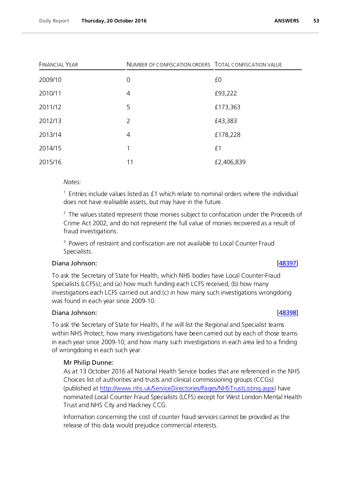| <b>FINANCIAL YEAR</b> |                | NUMBER OF CONFISCATION ORDERS TOTAL CONFISCATION VALUE |
|-----------------------|----------------|--------------------------------------------------------|
| 2009/10               | $\mathbf 0$    | £0                                                     |
| 2010/11               | 4              | £93,222                                                |
| 2011/12               | 5              | £173,363                                               |
| 2012/13               | 2              | £43,383                                                |
| 2013/14               | $\overline{4}$ | £178,228                                               |
| 2014/15               | 1              | £1                                                     |
| 2015/16               | 11             | £2,406,839                                             |

# *Notes:*

 $<sup>1</sup>$  Entries include values listed as £1 which relate to nominal orders where the individual</sup> does not have realisable assets, but may have in the future.

 $2$  The values stated represent those monies subject to confiscation under the Proceeds of Crime Act 2002, and do not represent the full value of monies recovered as a result of fraud investigations.

<sup>3</sup> Powers of restraint and confiscation are not available to Local Counter Fraud Specialists.

## Diana Johnson: [\[48397\]](http://www.parliament.uk/business/publications/written-questions-answers-statements/written-question/Commons/2016-10-12/48397)

To ask the Secretary of State for Health, which NHS bodies have Local Counter-Fraud Specialists (LCFSs); and (a) how much funding each LCFS received, (b) how many investigations each LCFS carried out and (c) in how many such investigations wrongdoing was found in each year since 2009-10.

## Diana Johnson: [\[48398\]](http://www.parliament.uk/business/publications/written-questions-answers-statements/written-question/Commons/2016-10-12/48398)

To ask the Secretary of State for Health, if he will list the Regional and Specialist teams within NHS Protect; how many investigations have been carried out by each of those teams in each year since 2009-10; and how many such investigations in each area led to a finding of wrongdoing in each such year.

# Mr Philip Dunne:

As at 13 October 2016 all National Health Service bodies that are referenced in the NHS Choices list of authorities and trusts and clinical commissioning groups (CCGs) (published at http://www.nhs.uk/ServiceDirectories/Pages/NHSTrustListing.aspx) have nominated Local Counter Fraud Specialists (LCFS) except for West London Mental Health Trust and NHS City and Hackney CCG.

Information concerning the cost of counter fraud services cannot be provided as the release of this data would prejudice commercial interests.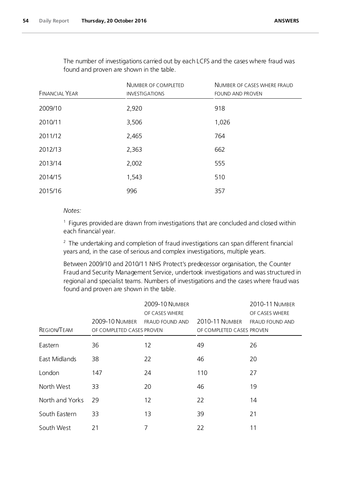The number of investigations carried out by each LCFS and the cases where fraud was found and proven are shown in the table.

|                       | NUMBER OF COMPLETED   | NUMBER OF CASES WHERE FRAUD<br><b>FOUND AND PROVEN</b> |  |
|-----------------------|-----------------------|--------------------------------------------------------|--|
| <b>FINANCIAL YEAR</b> | <b>INVESTIGATIONS</b> |                                                        |  |
| 2009/10               | 2,920                 | 918                                                    |  |
| 2010/11               | 3,506                 | 1,026                                                  |  |
| 2011/12               | 2,465                 | 764                                                    |  |
| 2012/13               | 2,363                 | 662                                                    |  |
| 2013/14               | 2,002                 | 555                                                    |  |
| 2014/15               | 1,543                 | 510                                                    |  |
| 2015/16               | 996                   | 357                                                    |  |

# *Notes:*

 $1$  Figures provided are drawn from investigations that are concluded and closed within each financial year.

 $2$  The undertaking and completion of fraud investigations can span different financial years and, in the case of serious and complex investigations, multiple years.

Between 2009/10 and 2010/11 NHS Protect's predecessor organisation, the Counter Fraud and Security Management Service, undertook investigations and was structured in regional and specialist teams. Numbers of investigations and the cases where fraud was found and proven are shown in the table.

| REGION/TEAM     | <b>2009-10 NUMBER</b><br>OF COMPLETED CASES PROVEN | <b>2009-10 NUMBER</b><br>OF CASES WHERE<br><b>FRAUD FOUND AND</b> | <b>2010-11 NUMBER</b><br>OF COMPLETED CASES PROVEN | 2010-11 NUMBER<br>OF CASES WHERE<br>FRAUD FOUND AND |
|-----------------|----------------------------------------------------|-------------------------------------------------------------------|----------------------------------------------------|-----------------------------------------------------|
| Eastern         | 36                                                 | 12                                                                | 49                                                 | 26                                                  |
| East Midlands   | 38                                                 | 22                                                                | 46                                                 | 20                                                  |
| London          | 147                                                | 24                                                                | 110                                                | 27                                                  |
| North West      | 33                                                 | 20                                                                | 46                                                 | 19                                                  |
| North and Yorks | 29                                                 | 12                                                                | 22                                                 | 14                                                  |
| South Eastern   | 33                                                 | 13                                                                | 39                                                 | 21                                                  |
| South West      | 21                                                 | 7                                                                 | 22                                                 | 11                                                  |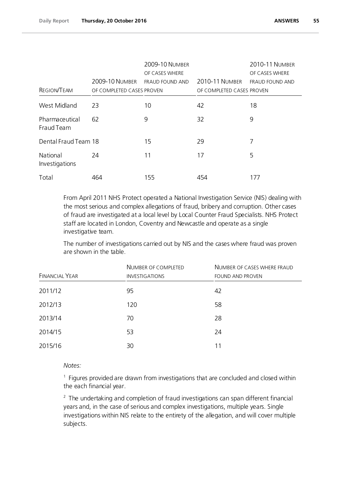|                              |                           | 2009-10 NUMBER<br>OF CASES WHERE |                           | 2010-11 NUMBER<br>OF CASES WHERE |
|------------------------------|---------------------------|----------------------------------|---------------------------|----------------------------------|
|                              | <b>2009-10 NUMBER</b>     | <b>FRAUD FOUND AND</b>           | <b>2010-11 NUMBER</b>     | FRAUD FOUND AND                  |
| <b>REGION/TEAM</b>           | OF COMPLETED CASES PROVEN |                                  | OF COMPLETED CASES PROVEN |                                  |
| West Midland                 | 23                        | 10                               | 42                        | 18                               |
| Pharmaceutical<br>Fraud Team | 62                        | 9                                | 32                        | 9                                |
| Dental Fraud Team 18         |                           | 15                               | 29                        | 7                                |
| National<br>Investigations   | 24                        | 11                               | 17                        | 5                                |
| Total                        | 464                       | 155                              | 454                       | 177                              |

From April 2011 NHS Protect operated a National Investigation Service (NIS) dealing with the most serious and complex allegations of fraud, bribery and corruption. Other cases of fraud are investigated at a local level by Local Counter Fraud Specialists. NHS Protect staff are located in London, Coventry and Newcastle and operate as a single investigative team.

The number of investigations carried out by NIS and the cases where fraud was proven are shown in the table.

| <b>FINANCIAL YEAR</b> | NUMBER OF COMPLETED<br><b>INVESTIGATIONS</b> | NUMBER OF CASES WHERE FRAUD<br><b>FOUND AND PROVEN</b> |
|-----------------------|----------------------------------------------|--------------------------------------------------------|
| 2011/12               | 95                                           | 42                                                     |
| 2012/13               | 120                                          | 58                                                     |
| 2013/14               | 70                                           | 28                                                     |
| 2014/15               | 53                                           | 24                                                     |
| 2015/16               | 30                                           | 11                                                     |

# *Notes:*

 $<sup>1</sup>$  Figures provided are drawn from investigations that are concluded and closed within</sup> the each financial year.

 $2$  The undertaking and completion of fraud investigations can span different financial years and, in the case of serious and complex investigations, multiple years. Single investigations within NIS relate to the entirety of the allegation, and will cover multiple subjects.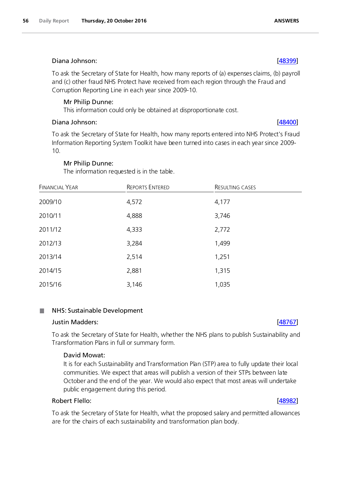# Diana Johnson: [\[48399\]](http://www.parliament.uk/business/publications/written-questions-answers-statements/written-question/Commons/2016-10-12/48399)

To ask the Secretary of State for Health, how many reports of (a) expenses claims, (b) payroll and (c) other fraud NHS Protect have received from each region through the Fraud and Corruption Reporting Line in each year since 2009-10.

# Mr Philip Dunne:

This information could only be obtained at disproportionate cost.

# Diana Johnson: [\[48400\]](http://www.parliament.uk/business/publications/written-questions-answers-statements/written-question/Commons/2016-10-12/48400)

To ask the Secretary of State for Health, how many reports entered into NHS Protect's Fraud Information Reporting System Toolkit have been turned into cases in each year since 2009- 10.

# Mr Philip Dunne:

The information requested is in the table.

| <b>FINANCIAL YEAR</b> | <b>REPORTS ENTERED</b> | <b>RESULTING CASES</b> |  |
|-----------------------|------------------------|------------------------|--|
| 2009/10               | 4,572                  | 4,177                  |  |
| 2010/11               | 4,888                  | 3,746                  |  |
| 2011/12               | 4,333                  | 2,772                  |  |
| 2012/13               | 3,284                  | 1,499                  |  |
| 2013/14               | 2,514                  | 1,251                  |  |
| 2014/15               | 2,881                  | 1,315                  |  |
| 2015/16               | 3,146                  | 1,035                  |  |

### NHS: Sustainable Development T.

# Justin Madders: [\[48767\]](http://www.parliament.uk/business/publications/written-questions-answers-statements/written-question/Commons/2016-10-14/48767)

To ask the Secretary of State for Health, whether the NHS plans to publish Sustainability and Transformation Plans in full or summary form.

# David Mowat:

It is for each Sustainability and Transformation Plan (STP) area to fully update their local communities. We expect that areas will publish a version of their STPs between late October and the end of the year. We would also expect that most areas will undertake public engagement during this period.

# Robert Flello: [\[48982\]](http://www.parliament.uk/business/publications/written-questions-answers-statements/written-question/Commons/2016-10-17/48982)

To ask the Secretary of State for Health, what the proposed salary and permitted allowances are for the chairs of each sustainability and transformation plan body.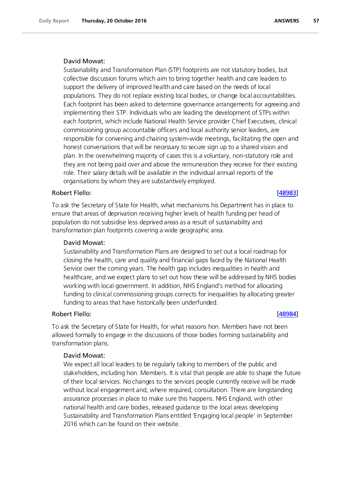## David Mowat:

Sustainability and Transformation Plan (STP) footprints are not statutory bodies, but collective discussion forums which aim to bring together health and care leaders to support the delivery of improved health and care based on the needs of local populations. They do not replace existing local bodies, or change local accountabilities. Each footprint has been asked to determine governance arrangements for agreeing and implementing their STP. Individuals who are leading the development of STPs within each footprint, which include National Health Service provider Chief Executives, clinical commissioning group accountable officers and local authority senior leaders, are responsible for convening and chairing system-wide meetings, facilitating the open and honest conversations that will be necessary to secure sign up to a shared vision and plan. In the overwhelming majority of cases this is a voluntary, non-statutory role and they are not being paid over and above the remuneration they receive for their existing role. Their salary details will be available in the individual annual reports of the organisations by whom they are substantively employed.

## Robert Flello: [\[48983\]](http://www.parliament.uk/business/publications/written-questions-answers-statements/written-question/Commons/2016-10-17/48983)

To ask the Secretary of State for Health, what mechanisms his Department has in place to ensure that areas of deprivation receiving higher levels of health funding per head of population do not subsidise less deprived areas as a result of sustainability and transformation plan footprints covering a wide geographic area.

### David Mowat:

Sustainability and Transformation Plans are designed to set out a local roadmap for closing the health, care and quality and financial gaps faced by the National Health Service over the coming years. The health gap includes inequalities in health and healthcare, and we expect plans to set out how these will be addressed by NHS bodies working with local government. In addition, NHS England's method for allocating funding to clinical commissioning groups corrects for inequalities by allocating greater funding to areas that have historically been underfunded.

## Robert Flello: [\[48984\]](http://www.parliament.uk/business/publications/written-questions-answers-statements/written-question/Commons/2016-10-17/48984)

To ask the Secretary of State for Health, for what reasons hon. Members have not been allowed formally to engage in the discussions of those bodies forming sustainability and transformation plans.

### David Mowat:

We expect all local leaders to be regularly talking to members of the public and stakeholders, including hon. Members. It is vital that people are able to shape the future of their local services. No changes to the services people currently receive will be made without local engagement and, where required, consultation. There are longstanding assurance processes in place to make sure this happens. NHS England, with other national health and care bodies, released guidance to the local areas developing Sustainability and Transformation Plans entitled 'Engaging local people' in September 2016 which can be found on their website.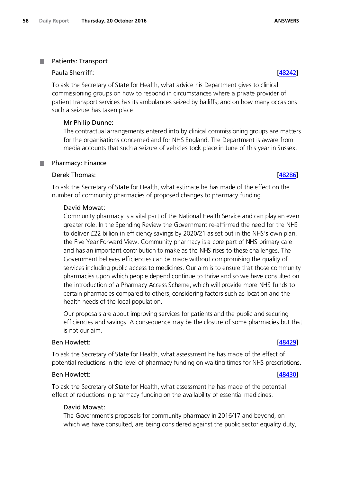### . Patients: Transport

# Paula Sherriff: [\[48242\]](http://www.parliament.uk/business/publications/written-questions-answers-statements/written-question/Commons/2016-10-12/48242)

To ask the Secretary of State for Health, what advice his Department gives to clinical commissioning groups on how to respond in circumstances where a private provider of patient transport services has its ambulances seized by bailiffs; and on how many occasions such a seizure has taken place.

# Mr Philip Dunne:

The contractual arrangements entered into by clinical commissioning groups are matters for the organisations concerned and for NHS England. The Department is aware from media accounts that such a seizure of vehicles took place in June of this year in Sussex.

### Pharmacy: Finance .

# Derek Thomas: [\[48286\]](http://www.parliament.uk/business/publications/written-questions-answers-statements/written-question/Commons/2016-10-12/48286)

To ask the Secretary of State for Health, what estimate he has made of the effect on the number of community pharmacies of proposed changes to pharmacy funding.

# David Mowat:

Community pharmacy is a vital part of the National Health Service and can play an even greater role. In the Spending Review the Government re-affirmed the need for the NHS to deliver £22 billion in efficiency savings by 2020/21 as set out in the NHS's own plan, the Five Year Forward View. Community pharmacy is a core part of NHS primary care and has an important contribution to make as the NHS rises to these challenges. The Government believes efficiencies can be made without compromising the quality of services including public access to medicines. Our aim is to ensure that those community pharmacies upon which people depend continue to thrive and so we have consulted on the introduction of a Pharmacy Access Scheme, which will provide more NHS funds to certain pharmacies compared to others, considering factors such as location and the health needs of the local population.

Our proposals are about improving services for patients and the public and securing efficiencies and savings. A consequence may be the closure of some pharmacies but that is not our aim.

# Ben Howlett: [\[48429\]](http://www.parliament.uk/business/publications/written-questions-answers-statements/written-question/Commons/2016-10-12/48429)

To ask the Secretary of State for Health, what assessment he has made of the effect of potential reductions in the level of pharmacy funding on waiting times for NHS prescriptions.

# Ben Howlett: [\[48430\]](http://www.parliament.uk/business/publications/written-questions-answers-statements/written-question/Commons/2016-10-12/48430)

To ask the Secretary of State for Health, what assessment he has made of the potential effect of reductions in pharmacy funding on the availability of essential medicines.

# David Mowat:

The Government's proposals for community pharmacy in 2016/17 and beyond, on which we have consulted, are being considered against the public sector equality duty,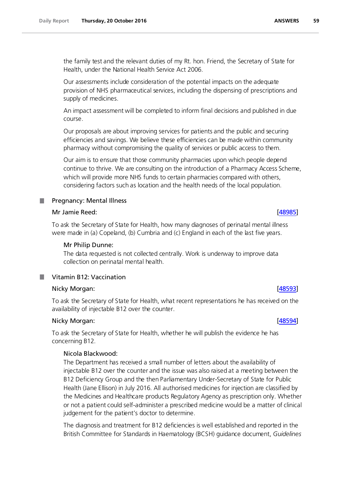Our assessments include consideration of the potential impacts on the adequate provision of NHS pharmaceutical services, including the dispensing of prescriptions and supply of medicines.

An impact assessment will be completed to inform final decisions and published in due course.

Our proposals are about improving services for patients and the public and securing efficiencies and savings. We believe these efficiencies can be made within community pharmacy without compromising the quality of services or public access to them.

Our aim is to ensure that those community pharmacies upon which people depend continue to thrive. We are consulting on the introduction of a Pharmacy Access Scheme, which will provide more NHS funds to certain pharmacies compared with others, considering factors such as location and the health needs of the local population.

# **Pregnancy: Mental Illness**

# Mr Jamie Reed: [\[48985\]](http://www.parliament.uk/business/publications/written-questions-answers-statements/written-question/Commons/2016-10-17/48985)

To ask the Secretary of State for Health, how many diagnoses of perinatal mental illness were made in (a) Copeland, (b) Cumbria and (c) England in each of the last five years.

# Mr Philip Dunne:

The data requested is not collected centrally. Work is underway to improve data collection on perinatal mental health.

# **Vitamin B12: Vaccination**

# Nicky Morgan: [\[48593\]](http://www.parliament.uk/business/publications/written-questions-answers-statements/written-question/Commons/2016-10-13/48593)

To ask the Secretary of State for Health, what recent representations he has received on the availability of injectable B12 over the counter.

# Nicky Morgan: [\[48594\]](http://www.parliament.uk/business/publications/written-questions-answers-statements/written-question/Commons/2016-10-13/48594)

To ask the Secretary of State for Health, whether he will publish the evidence he has concerning B12.

# Nicola Blackwood:

The Department has received a small number of letters about the availability of injectable B12 over the counter and the issue was also raised at a meeting between the B12 Deficiency Group and the then Parliamentary Under-Secretary of State for Public Health (Jane Ellison) in July 2016. All authorised medicines for injection are classified by the Medicines and Healthcare products Regulatory Agency as prescription only. Whether or not a patient could self-administer a prescribed medicine would be a matter of clinical judgement for the patient's doctor to determine.

The diagnosis and treatment for B12 deficiencies is well established and reported in the British Committee for Standards in Haematology (BCSH) guidance document, *Guidelines*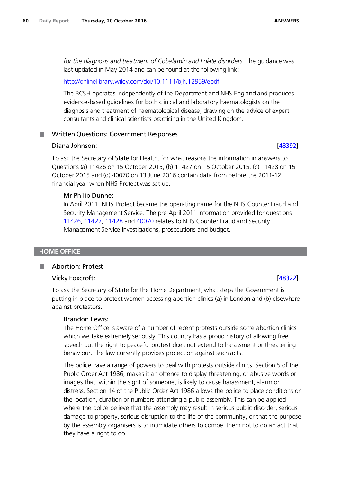*for the diagnosis and treatment of Cobalamin and Folate disorders*. The guidance was last updated in May 2014 and can be found at the following link:

## <http://onlinelibrary.wiley.com/doi/10.1111/bjh.12959/epdf>

The BCSH operates independently of the Department and NHS England and produces evidence-based guidelines for both clinical and laboratory haematologists on the diagnosis and treatment of haematological disease, drawing on the advice of expert consultants and clinical scientists practicing in the United Kingdom.

# Written Questions: Government Responses

### Diana Johnson: [\[48392\]](http://www.parliament.uk/business/publications/written-questions-answers-statements/written-question/Commons/2016-10-12/48392)

To ask the Secretary of State for Health, for what reasons the information in answers to Questions (a) 11426 on 15 October 2015, (b) 11427 on 15 October 2015, (c) 11428 on 15 October 2015 and (d) 40070 on 13 June 2016 contain data from before the 2011-12 financial year when NHS Protect was set up.

### Mr Philip Dunne:

In April 2011, NHS Protect became the operating name for the NHS Counter Fraud and Security Management Service. The pre April 2011 information provided for questions 11426, 11427, 11428 and 40070 relates to NHS Counter Fraud and Security Management Service investigations, prosecutions and budget.

### **HOME OFFICE**

### Abortion: Protest

# Vicky Foxcroft: [\[48322\]](http://www.parliament.uk/business/publications/written-questions-answers-statements/written-question/Commons/2016-10-12/48322)

To ask the Secretary of State for the Home Department, what steps the Government is putting in place to protect women accessing abortion clinics (a) in London and (b) elsewhere against protestors.

### Brandon Lewis:

The Home Office is aware of a number of recent protests outside some abortion clinics which we take extremely seriously. This country has a proud history of allowing free speech but the right to peaceful protest does not extend to harassment or threatening behaviour. The law currently provides protection against such acts.

The police have a range of powers to deal with protests outside clinics. Section 5 of the Public Order Act 1986, makes it an offence to display threatening, or abusive words or images that, within the sight of someone, is likely to cause harassment, alarm or distress. Section 14 of the Public Order Act 1986 allows the police to place conditions on the location, duration or numbers attending a public assembly. This can be applied where the police believe that the assembly may result in serious public disorder, serious damage to property, serious disruption to the life of the community, or that the purpose by the assembly organisers is to intimidate others to compel them not to do an act that they have a right to do.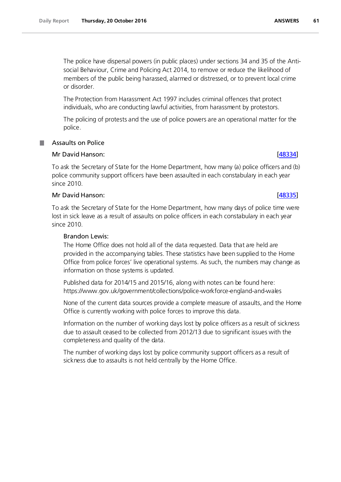The police have dispersal powers (in public places) under sections 34 and 35 of the Antisocial Behaviour, Crime and Policing Act 2014, to remove or reduce the likelihood of members of the public being harassed, alarmed or distressed, or to prevent local crime or disorder.

The Protection from Harassment Act 1997 includes criminal offences that protect individuals, who are conducting lawful activities, from harassment by protestors.

The policing of protests and the use of police powers are an operational matter for the police.

# Assaults on Police

# Mr David Hanson: [\[48334\]](http://www.parliament.uk/business/publications/written-questions-answers-statements/written-question/Commons/2016-10-12/48334)

To ask the Secretary of State for the Home Department, how many (a) police officers and (b) police community support officers have been assaulted in each constabulary in each year since 2010.

# Mr David Hanson: [\[48335\]](http://www.parliament.uk/business/publications/written-questions-answers-statements/written-question/Commons/2016-10-12/48335)

To ask the Secretary of State for the Home Department, how many days of police time were lost in sick leave as a result of assaults on police officers in each constabulary in each year since 2010.

# Brandon Lewis:

The Home Office does not hold all of the data requested. Data that are held are provided in the accompanying tables. These statistics have been supplied to the Home Office from police forces' live operational systems. As such, the numbers may change as information on those systems is updated.

Published data for 2014/15 and 2015/16, along with notes can be found here: https://www.gov.uk/government/collections/police-workforce-england-and-wales

None of the current data sources provide a complete measure of assaults, and the Home Office is currently working with police forces to improve this data.

Information on the number of working days lost by police officers as a result of sickness due to assault ceased to be collected from 2012/13 due to significant issues with the completeness and quality of the data.

The number of working days lost by police community support officers as a result of sickness due to assaults is not held centrally by the Home Office.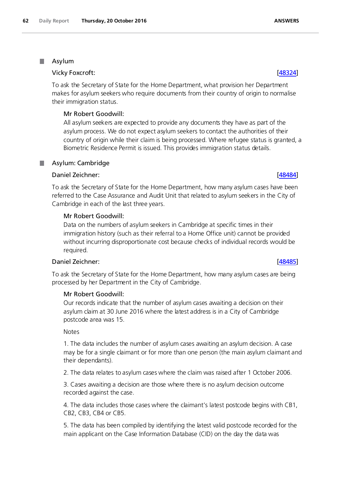**Asylum** 

# Vicky Foxcroft: [\[48324\]](http://www.parliament.uk/business/publications/written-questions-answers-statements/written-question/Commons/2016-10-12/48324)

To ask the Secretary of State for the Home Department, what provision her Department makes for asylum seekers who require documents from their country of origin to normalise their immigration status.

# Mr Robert Goodwill:

All asylum seekers are expected to provide any documents they have as part of the asylum process. We do not expect asylum seekers to contact the authorities of their country of origin while their claim is being processed. Where refugee status is granted, a Biometric Residence Permit is issued. This provides immigration status details.

# **Asylum: Cambridge**

# Daniel Zeichner: [\[48484\]](http://www.parliament.uk/business/publications/written-questions-answers-statements/written-question/Commons/2016-10-12/48484)

To ask the Secretary of State for the Home Department, how many asylum cases have been referred to the Case Assurance and Audit Unit that related to asylum seekers in the City of Cambridge in each of the last three years.

# Mr Robert Goodwill:

Data on the numbers of asylum seekers in Cambridge at specific times in their immigration history (such as their referral to a Home Office unit) cannot be provided without incurring disproportionate cost because checks of individual records would be required.

# Daniel Zeichner: [\[48485\]](http://www.parliament.uk/business/publications/written-questions-answers-statements/written-question/Commons/2016-10-12/48485)

To ask the Secretary of State for the Home Department, how many asylum cases are being processed by her Department in the City of Cambridge.

# Mr Robert Goodwill:

Our records indicate that the number of asylum cases awaiting a decision on their asylum claim at 30 June 2016 where the latest address is in a City of Cambridge postcode area was 15.

# **Notes**

1. The data includes the number of asylum cases awaiting an asylum decision. A case may be for a single claimant or for more than one person (the main asylum claimant and their dependants).

2. The data relates to asylum cases where the claim was raised after 1 October 2006.

3. Cases awaiting a decision are those where there is no asylum decision outcome recorded against the case.

4. The data includes those cases where the claimant's latest postcode begins with CB1, CB2, CB3, CB4 or CB5.

5. The data has been compiled by identifying the latest valid postcode recorded for the main applicant on the Case Information Database (CID) on the day the data was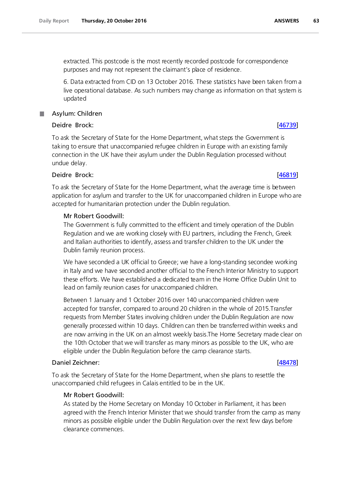extracted. This postcode is the most recently recorded postcode for correspondence purposes and may not represent the claimant's place of residence.

6. Data extracted from CID on 13 October 2016. These statistics have been taken from a live operational database. As such numbers may change as information on that system is updated

# Asylum: Children Deidre Brock: [\[46739\]](http://www.parliament.uk/business/publications/written-questions-answers-statements/written-question/Commons/2016-10-07/46739)

To ask the Secretary of State for the Home Department, what steps the Government is taking to ensure that unaccompanied refugee children in Europe with an existing family connection in the UK have their asylum under the Dublin Regulation processed without undue delay.

# Deidre Brock: [\[46819\]](http://www.parliament.uk/business/publications/written-questions-answers-statements/written-question/Commons/2016-10-07/46819)

To ask the Secretary of State for the Home Department, what the average time is between application for asylum and transfer to the UK for unaccompanied children in Europe who are accepted for humanitarian protection under the Dublin regulation.

# Mr Robert Goodwill:

The Government is fully committed to the efficient and timely operation of the Dublin Regulation and we are working closely with EU partners, including the French, Greek and Italian authorities to identify, assess and transfer children to the UK under the Dublin family reunion process.

We have seconded a UK official to Greece; we have a long-standing secondee working in Italy and we have seconded another official to the French Interior Ministry to support these efforts. We have established a dedicated team in the Home Office Dublin Unit to lead on family reunion cases for unaccompanied children.

Between 1 January and 1 October 2016 over 140 unaccompanied children were accepted for transfer, compared to around 20 children in the whole of 2015.Transfer requests from Member States involving children under the Dublin Regulation are now generally processed within 10 days. Children can then be transferred within weeks and are now arriving in the UK on an almost weekly basis.The Home Secretary made clear on the 10th October that we will transfer as many minors as possible to the UK, who are eligible under the Dublin Regulation before the camp clearance starts.

# Daniel Zeichner: [\[48478\]](http://www.parliament.uk/business/publications/written-questions-answers-statements/written-question/Commons/2016-10-12/48478)

To ask the Secretary of State for the Home Department, when she plans to resettle the unaccompanied child refugees in Calais entitled to be in the UK.

## Mr Robert Goodwill:

As stated by the Home Secretary on Monday 10 October in Parliament, it has been agreed with the French Interior Minister that we should transfer from the camp as many minors as possible eligible under the Dublin Regulation over the next few days before clearance commences.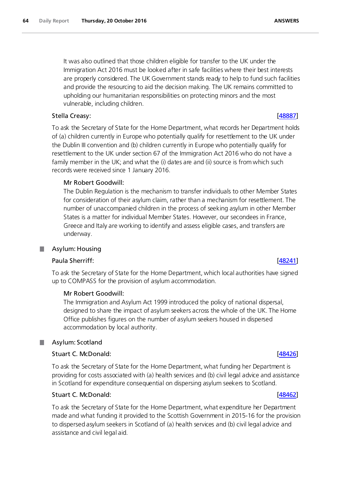It was also outlined that those children eligible for transfer to the UK under the Immigration Act 2016 must be looked after in safe facilities where their best interests are properly considered. The UK Government stands ready to help to fund such facilities and provide the resourcing to aid the decision making. The UK remains committed to upholding our humanitarian responsibilities on protecting minors and the most vulnerable, including children.

# Stella Creasy: [\[48887\]](http://www.parliament.uk/business/publications/written-questions-answers-statements/written-question/Commons/2016-10-17/48887)

To ask the Secretary of State for the Home Department, what records her Department holds of (a) children currently in Europe who potentially qualify for resettlement to the UK under the Dublin III convention and (b) children currently in Europe who potentially qualify for resettlement to the UK under section 67 of the Immigration Act 2016 who do not have a family member in the UK; and what the (i) dates are and (ii) source is from which such records were received since 1 January 2016.

# Mr Robert Goodwill:

The Dublin Regulation is the mechanism to transfer individuals to other Member States for consideration of their asylum claim, rather than a mechanism for resettlement. The number of unaccompanied children in the process of seeking asylum in other Member States is a matter for individual Member States. However, our secondees in France, Greece and Italy are working to identify and assess eligible cases, and transfers are underway.

# Asylum: Housing

## Paula Sherriff: [\[48241\]](http://www.parliament.uk/business/publications/written-questions-answers-statements/written-question/Commons/2016-10-12/48241)

To ask the Secretary of State for the Home Department, which local authorities have signed up to COMPASS for the provision of asylum accommodation.

## Mr Robert Goodwill:

The Immigration and Asylum Act 1999 introduced the policy of national dispersal, designed to share the impact of asylum seekers across the whole of the UK. The Home Office publishes figures on the number of asylum seekers housed in dispersed accommodation by local authority.

### Asylum: Scotland T.

## Stuart C. McDonald: [\[48426\]](http://www.parliament.uk/business/publications/written-questions-answers-statements/written-question/Commons/2016-10-12/48426)

To ask the Secretary of State for the Home Department, what funding her Department is providing for costs associated with (a) health services and (b) civil legal advice and assistance in Scotland for expenditure consequential on dispersing asylum seekers to Scotland.

## Stuart C. McDonald: [\[48462\]](http://www.parliament.uk/business/publications/written-questions-answers-statements/written-question/Commons/2016-10-12/48462)

To ask the Secretary of State for the Home Department, what expenditure her Department made and what funding it provided to the Scottish Government in 2015-16 for the provision to dispersed asylum seekers in Scotland of (a) health services and (b) civil legal advice and assistance and civil legal aid.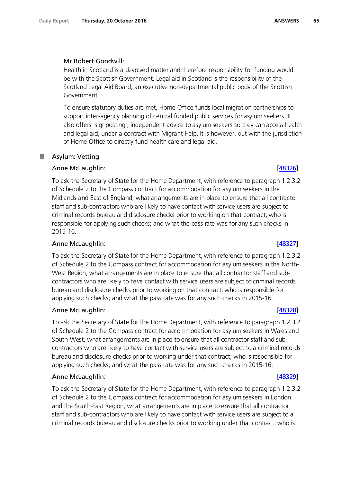# Mr Robert Goodwill:

Health in Scotland is a devolved matter and therefore responsibility for funding would be with the Scottish Government. Legal aid in Scotland is the responsibility of the Scotland Legal Aid Board, an executive non-departmental public body of the Scottish Government.

To ensure statutory duties are met, Home Office funds local migration partnerships to support inter-agency planning of central funded public services for asylum seekers. It also offers 'signposting', independent advice to asylum seekers so they can access health and legal aid, under a contract with Migrant Help. It is however, out with the jurisdiction of Home Office to directly fund health care and legal aid.

### . Asylum: Vetting

# Anne McLaughlin: [\[48326\]](http://www.parliament.uk/business/publications/written-questions-answers-statements/written-question/Commons/2016-10-12/48326)

To ask the Secretary of State for the Home Department, with reference to paragraph 1.2.3.2 of Schedule 2 to the Compass contract for accommodation for asylum seekers in the Midlands and East of England, what arrangements are in place to ensure that all contractor staff and sub-contractors who are likely to have contact with service users are subject to criminal records bureau and disclosure checks prior to working on that contract; who is responsible for applying such checks; and what the pass rate was for any such checks in 2015-16.

# Anne McLaughlin: [\[48327\]](http://www.parliament.uk/business/publications/written-questions-answers-statements/written-question/Commons/2016-10-12/48327)

To ask the Secretary of State for the Home Department, with reference to paragraph 1.2.3.2 of Schedule 2 to the Compass contract for accommodation for asylum seekers in the North-West Region, what arrangements are in place to ensure that all contractor staff and subcontractors who are likely to have contact with service users are subject to criminal records bureau and disclosure checks prior to working on that contract; who is responsible for applying such checks; and what the pass rate was for any such checks in 2015-16.

# Anne McLaughlin: [\[48328\]](http://www.parliament.uk/business/publications/written-questions-answers-statements/written-question/Commons/2016-10-12/48328)

To ask the Secretary of State for the Home Department, with reference to paragraph 1.2.3.2 of Schedule 2 to the Compass contract for accommodation for asylum seekers in Wales and South-West, what arrangements are in place to ensure that all contractor staff and subcontractors who are likely to have contact with service users are subject to a criminal records bureau and disclosure checks prior to working under that contract; who is responsible for applying such checks; and what the pass rate was for any such checks in 2015-16.

# Anne McLaughlin: [\[48329\]](http://www.parliament.uk/business/publications/written-questions-answers-statements/written-question/Commons/2016-10-12/48329)

To ask the Secretary of State for the Home Department, with reference to paragraph 1.2.3.2 of Schedule 2 to the Compass contract for accommodation for asylum seekers in London and the South-East Region, what arrangements are in place to ensure that all contractor staff and sub-contractors who are likely to have contact with service users are subject to a criminal records bureau and disclosure checks prior to working under that contract; who is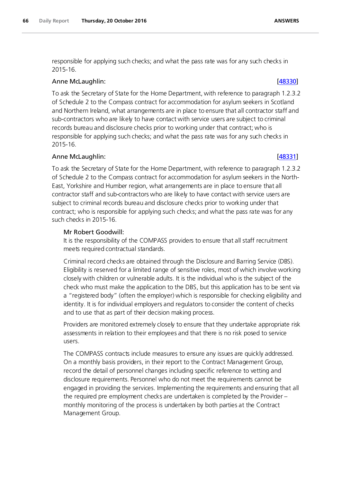responsible for applying such checks; and what the pass rate was for any such checks in 2015-16.

# Anne McLaughlin: [\[48330\]](http://www.parliament.uk/business/publications/written-questions-answers-statements/written-question/Commons/2016-10-12/48330)

To ask the Secretary of State for the Home Department, with reference to paragraph 1.2.3.2 of Schedule 2 to the Compass contract for accommodation for asylum seekers in Scotland and Northern Ireland, what arrangements are in place to ensure that all contractor staff and sub-contractors who are likely to have contact with service users are subject to criminal records bureau and disclosure checks prior to working under that contract; who is responsible for applying such checks; and what the pass rate was for any such checks in 2015-16.

# Anne McLaughlin: [\[48331\]](http://www.parliament.uk/business/publications/written-questions-answers-statements/written-question/Commons/2016-10-12/48331)

To ask the Secretary of State for the Home Department, with reference to paragraph 1.2.3.2 of Schedule 2 to the Compass contract for accommodation for asylum seekers in the North-East, Yorkshire and Humber region, what arrangements are in place to ensure that all contractor staff and sub-contractors who are likely to have contact with service users are subject to criminal records bureau and disclosure checks prior to working under that contract; who is responsible for applying such checks; and what the pass rate was for any such checks in 2015-16.

# Mr Robert Goodwill:

It is the responsibility of the COMPASS providers to ensure that all staff recruitment meets required contractual standards.

Criminal record checks are obtained through the Disclosure and Barring Service (DBS). Eligibility is reserved for a limited range of sensitive roles, most of which involve working closely with children or vulnerable adults. It is the individual who is the subject of the check who must make the application to the DBS, but this application has to be sent via a "registered body" (often the employer) which is responsible for checking eligibility and identity. It is for individual employers and regulators to consider the content of checks and to use that as part of their decision making process.

Providers are monitored extremely closely to ensure that they undertake appropriate risk assessments in relation to their employees and that there is no risk posed to service users.

The COMPASS contracts include measures to ensure any issues are quickly addressed. On a monthly basis providers, in their report to the Contract Management Group, record the detail of personnel changes including specific reference to vetting and disclosure requirements. Personnel who do not meet the requirements cannot be engaged in providing the services. Implementing the requirements and ensuring that all the required pre employment checks are undertaken is completed by the Provider – monthly monitoring of the process is undertaken by both parties at the Contract Management Group.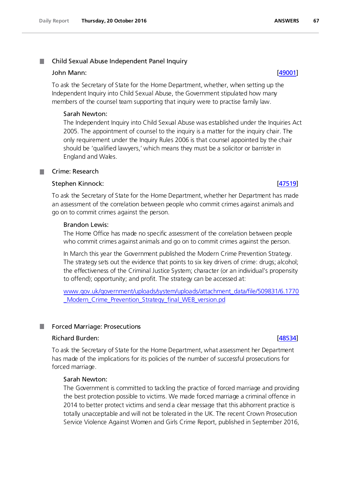### . Child Sexual Abuse Independent Panel Inquiry

## John Mann: [\[49001\]](http://www.parliament.uk/business/publications/written-questions-answers-statements/written-question/Commons/2016-10-17/49001)

To ask the Secretary of State for the Home Department, whether, when setting up the Independent Inquiry into Child Sexual Abuse, the Government stipulated how many members of the counsel team supporting that inquiry were to practise family law.

## Sarah Newton:

The Independent Inquiry into Child Sexual Abuse was established under the Inquiries Act 2005. The appointment of counsel to the inquiry is a matter for the inquiry chair. The only requirement under the Inquiry Rules 2006 is that counsel appointed by the chair should be 'qualified lawyers,' which means they must be a solicitor or barrister in England and Wales.

## Crime: Research

## Stephen Kinnock: [\[47519\]](http://www.parliament.uk/business/publications/written-questions-answers-statements/written-question/Commons/2016-10-07/47519)

To ask the Secretary of State for the Home Department, whether her Department has made an assessment of the correlation between people who commit crimes against animals and go on to commit crimes against the person.

## Brandon Lewis:

The Home Office has made no specific assessment of the correlation between people who commit crimes against animals and go on to commit crimes against the person.

In March this year the Government published the Modern Crime Prevention Strategy. The strategy sets out the evidence that points to six key drivers of crime: drugs; alcohol; the effectiveness of the Criminal Justice System; character (or an individual's propensity to offend); opportunity; and profit. The strategy can be accessed at:

[www.gov.uk/government/uploads/system/uploads/attachment\\_data/file/509831/6.1770](http://www.gov.uk/government/uploads/system/uploads/attachment_data/file/509831/6.1770_Modern_Crime_Prevention_Strategy_final_WEB_version.pd) [\\_Modern\\_Crime\\_Prevention\\_Strategy\\_final\\_WEB\\_version.pd](http://www.gov.uk/government/uploads/system/uploads/attachment_data/file/509831/6.1770_Modern_Crime_Prevention_Strategy_final_WEB_version.pd)

### ш Forced Marriage: Prosecutions

## Richard Burden: [\[48534\]](http://www.parliament.uk/business/publications/written-questions-answers-statements/written-question/Commons/2016-10-13/48534)

To ask the Secretary of State for the Home Department, what assessment her Department has made of the implications for its policies of the number of successful prosecutions for forced marriage.

# Sarah Newton:

The Government is committed to tackling the practice of forced marriage and providing the best protection possible to victims. We made forced marriage a criminal offence in 2014 to better protect victims and send a clear message that this abhorrent practice is totally unacceptable and will not be tolerated in the UK. The recent Crown Prosecution Service Violence Against Women and Girls Crime Report, published in September 2016,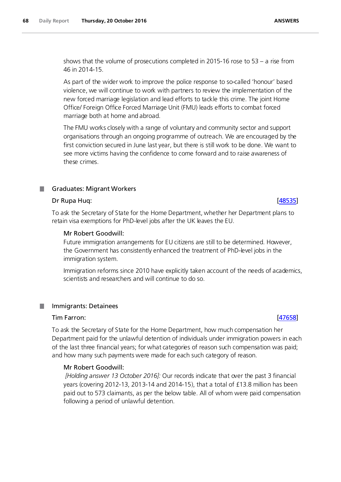shows that the volume of prosecutions completed in 2015-16 rose to 53 – a rise from 46 in 2014-15.

As part of the wider work to improve the police response to so-called 'honour' based violence, we will continue to work with partners to review the implementation of the new forced marriage legislation and lead efforts to tackle this crime. The joint Home Office/ Foreign Office Forced Marriage Unit (FMU) leads efforts to combat forced marriage both at home and abroad.

The FMU works closely with a range of voluntary and community sector and support organisations through an ongoing programme of outreach. We are encouraged by the first conviction secured in June last year, but there is still work to be done. We want to see more victims having the confidence to come forward and to raise awareness of these crimes.

# **Graduates: Migrant Workers**

### Dr Rupa Huq: [\[48535\]](http://www.parliament.uk/business/publications/written-questions-answers-statements/written-question/Commons/2016-10-13/48535)

To ask the Secretary of State for the Home Department, whether her Department plans to retain visa exemptions for PhD-level jobs after the UK leaves the EU.

### Mr Robert Goodwill:

Future immigration arrangements for EU citizens are still to be determined. However, the Government has consistently enhanced the treatment of PhD-level jobs in the immigration system.

Immigration reforms since 2010 have explicitly taken account of the needs of academics, scientists and researchers and will continue to do so.

### Immigrants: Detainees **I**

### Tim Farron: [\[47658\]](http://www.parliament.uk/business/publications/written-questions-answers-statements/written-question/Commons/2016-10-10/47658)

To ask the Secretary of State for the Home Department, how much compensation her Department paid for the unlawful detention of individuals under immigration powers in each of the last three financial years; for what categories of reason such compensation was paid; and how many such payments were made for each such category of reason.

### Mr Robert Goodwill:

*[Holding answer 13 October 2016]:* Our records indicate that over the past 3 financial years (covering 2012-13, 2013-14 and 2014-15), that a total of £13.8 million has been paid out to 573 claimants, as per the below table. All of whom were paid compensation following a period of unlawful detention.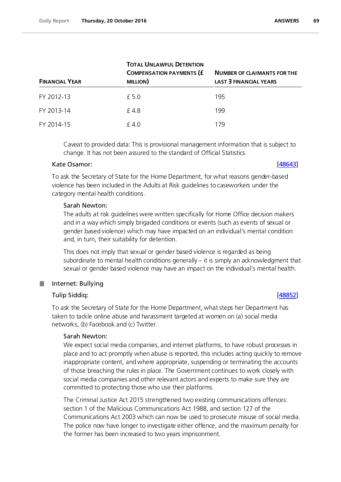| <b>FINANCIAL YEAR</b> | <b>TOTAL UNLAWFUL DETENTION</b><br><b>COMPENSATION PAYMENTS (£</b><br><b>MILLION</b> ) | <b>NUMBER OF CLAIMANTS FOR THE</b><br><b>LAST 3 FINANCIAL YEARS</b> |
|-----------------------|----------------------------------------------------------------------------------------|---------------------------------------------------------------------|
| FY 2012-13            | £ 5.0                                                                                  | 195                                                                 |
| FY 2013-14            | f 4.8                                                                                  | 199                                                                 |
| FY 2014-15            | £4.0                                                                                   | 179                                                                 |

Caveat to provided data: This is provisional management information that is subject to change. It has not been assured to the standard of Official Statistics.

### Kate Osamor: [\[48643\]](http://www.parliament.uk/business/publications/written-questions-answers-statements/written-question/Commons/2016-10-13/48643)

To ask the Secretary of State for the Home Department, for what reasons gender-based violence has been included in the Adults at Risk guidelines to caseworkers under the category mental health conditions.

# Sarah Newton:

The adults at risk guidelines were written specifically for Home Office decision makers and in a way which simply brigaded conditions or events (such as events of sexual or gender based violence) which may have impacted on an individual's mental condition and, in turn, their suitability for detention.

This does not imply that sexual or gender based violence is regarded as being subordinate to mental health conditions generally – it is simply an acknowledgment that sexual or gender based violence may have an impact on the individual's mental health.

### T. Internet: Bullying

# Tulip Siddiq: [\[48852\]](http://www.parliament.uk/business/publications/written-questions-answers-statements/written-question/Commons/2016-10-17/48852)

To ask the Secretary of State for the Home Department, what steps her Department has taken to tackle online abuse and harassment targeted at women on (a) social media networks, (b) Facebook and (c) Twitter.

## Sarah Newton:

We expect social media companies, and internet platforms, to have robust processes in place and to act promptly when abuse is reported, this includes acting quickly to remove inappropriate content, and where appropriate, suspending or terminating the accounts of those breaching the rules in place. The Government continues to work closely with social media companies and other relevant actors and experts to make sure they are committed to protecting those who use their platforms.

The Criminal Justice Act 2015 strengthened two existing communications offences: section 1 of the Malicious Communications Act 1988, and section 127 of the Communications Act 2003 which can now be used to prosecute misuse of social media. The police now have longer to investigate either offence, and the maximum penalty for the former has been increased to two years imprisonment.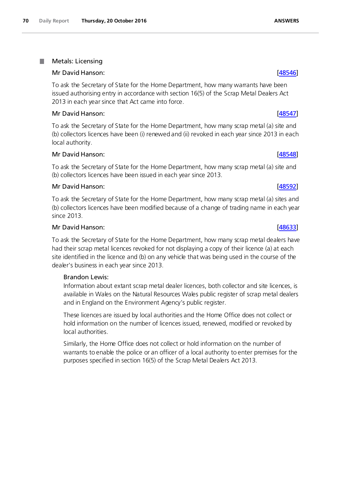### . Metals: Licensing

# Mr David Hanson: [\[48546\]](http://www.parliament.uk/business/publications/written-questions-answers-statements/written-question/Commons/2016-10-13/48546)

To ask the Secretary of State for the Home Department, how many warrants have been issued authorising entry in accordance with section 16(5) of the Scrap Metal Dealers Act 2013 in each year since that Act came into force.

# Mr David Hanson: [\[48547\]](http://www.parliament.uk/business/publications/written-questions-answers-statements/written-question/Commons/2016-10-13/48547)

To ask the Secretary of State for the Home Department, how many scrap metal (a) site and (b) collectors licences have been (i) renewed and (ii) revoked in each year since 2013 in each local authority.

# Mr David Hanson: [\[48548\]](http://www.parliament.uk/business/publications/written-questions-answers-statements/written-question/Commons/2016-10-13/48548)

To ask the Secretary of State for the Home Department, how many scrap metal (a) site and (b) collectors licences have been issued in each year since 2013.

# Mr David Hanson: [\[48592\]](http://www.parliament.uk/business/publications/written-questions-answers-statements/written-question/Commons/2016-10-13/48592)

To ask the Secretary of State for the Home Department, how many scrap metal (a) sites and (b) collectors licences have been modified because of a change of trading name in each year since 2013.

# Mr David Hanson: [\[48633\]](http://www.parliament.uk/business/publications/written-questions-answers-statements/written-question/Commons/2016-10-13/48633)

To ask the Secretary of State for the Home Department, how many scrap metal dealers have had their scrap metal licences revoked for not displaying a copy of their licence (a) at each site identified in the licence and (b) on any vehicle that was being used in the course of the dealer's business in each year since 2013.

# Brandon Lewis:

Information about extant scrap metal dealer licences, both collector and site licences, is available in Wales on the Natural Resources Wales public register of scrap metal dealers and in England on the Environment Agency's public register.

These licences are issued by local authorities and the Home Office does not collect or hold information on the number of licences issued, renewed, modified or revoked by local authorities.

Similarly, the Home Office does not collect or hold information on the number of warrants to enable the police or an officer of a local authority to enter premises for the purposes specified in section 16(5) of the Scrap Metal Dealers Act 2013.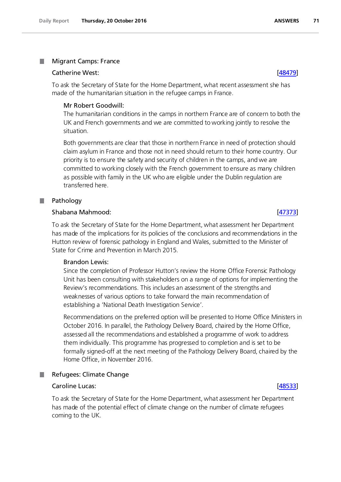### Migrant Camps: France .

### Catherine West: [\[48479\]](http://www.parliament.uk/business/publications/written-questions-answers-statements/written-question/Commons/2016-10-12/48479)

To ask the Secretary of State for the Home Department, what recent assessment she has made of the humanitarian situation in the refugee camps in France.

## Mr Robert Goodwill:

The humanitarian conditions in the camps in northern France are of concern to both the UK and French governments and we are committed to working jointly to resolve the situation.

Both governments are clear that those in northern France in need of protection should claim asylum in France and those not in need should return to their home country. Our priority is to ensure the safety and security of children in the camps, and we are committed to working closely with the French government to ensure as many children as possible with family in the UK who are eligible under the Dublin regulation are transferred here.

# Pathology

### Shabana Mahmood: [\[47373\]](http://www.parliament.uk/business/publications/written-questions-answers-statements/written-question/Commons/2016-10-07/47373)

To ask the Secretary of State for the Home Department, what assessment her Department has made of the implications for its policies of the conclusions and recommendations in the Hutton review of forensic pathology in England and Wales, submitted to the Minister of State for Crime and Prevention in March 2015.

## Brandon Lewis:

Since the completion of Professor Hutton's review the Home Office Forensic Pathology Unit has been consulting with stakeholders on a range of options for implementing the Review's recommendations. This includes an assessment of the strengths and weaknesses of various options to take forward the main recommendation of establishing a 'National Death Investigation Service'.

Recommendations on the preferred option will be presented to Home Office Ministers in October 2016. In parallel, the Pathology Delivery Board, chaired by the Home Office, assessed all the recommendations and established a programme of work to address them individually. This programme has progressed to completion and is set to be formally signed-off at the next meeting of the Pathology Delivery Board, chaired by the Home Office, in November 2016.

### Refugees: Climate Change **I**

# Caroline Lucas: [\[48533\]](http://www.parliament.uk/business/publications/written-questions-answers-statements/written-question/Commons/2016-10-13/48533)

To ask the Secretary of State for the Home Department, what assessment her Department has made of the potential effect of climate change on the number of climate refugees coming to the UK.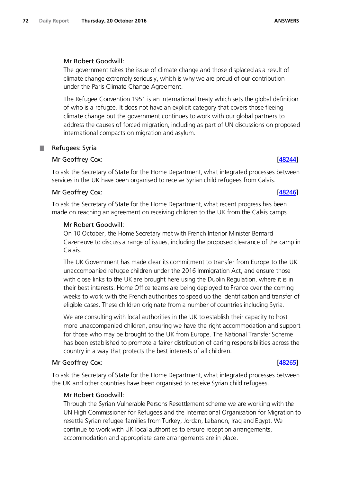# Mr Robert Goodwill:

The government takes the issue of climate change and those displaced as a result of climate change extremely seriously, which is why we are proud of our contribution under the Paris Climate Change Agreement.

The Refugee Convention 1951 is an international treaty which sets the global definition of who is a refugee. It does not have an explicit category that covers those fleeing climate change but the government continues to work with our global partners to address the causes of forced migration, including as part of UN discussions on proposed international compacts on migration and asylum.

# **Refugees: Syria**

# Mr Geoffrey Cox: [\[48244\]](http://www.parliament.uk/business/publications/written-questions-answers-statements/written-question/Commons/2016-10-12/48244)

To ask the Secretary of State for the Home Department, what integrated processes between services in the UK have been organised to receive Syrian child refugees from Calais.

# Mr Geoffrey Cox: [\[48246\]](http://www.parliament.uk/business/publications/written-questions-answers-statements/written-question/Commons/2016-10-12/48246)

To ask the Secretary of State for the Home Department, what recent progress has been made on reaching an agreement on receiving children to the UK from the Calais camps.

# Mr Robert Goodwill:

On 10 October, the Home Secretary met with French Interior Minister Bernard Cazeneuve to discuss a range of issues, including the proposed clearance of the camp in Calais.

The UK Government has made clear its commitment to transfer from Europe to the UK unaccompanied refugee children under the 2016 Immigration Act, and ensure those with close links to the UK are brought here using the Dublin Regulation, where it is in their best interests. Home Office teams are being deployed to France over the coming weeks to work with the French authorities to speed up the identification and transfer of eligible cases. These children originate from a number of countries including Syria.

We are consulting with local authorities in the UK to establish their capacity to host more unaccompanied children, ensuring we have the right accommodation and support for those who may be brought to the UK from Europe. The National Transfer Scheme has been established to promote a fairer distribution of caring responsibilities across the country in a way that protects the best interests of all children.

# Mr Geoffrey Cox: [\[48265\]](http://www.parliament.uk/business/publications/written-questions-answers-statements/written-question/Commons/2016-10-12/48265)

To ask the Secretary of State for the Home Department, what integrated processes between the UK and other countries have been organised to receive Syrian child refugees.

# Mr Robert Goodwill:

Through the Syrian Vulnerable Persons Resettlement scheme we are working with the UN High Commissioner for Refugees and the International Organisation for Migration to resettle Syrian refugee families from Turkey, Jordan, Lebanon, Iraq and Egypt. We continue to work with UK local authorities to ensure reception arrangements, accommodation and appropriate care arrangements are in place.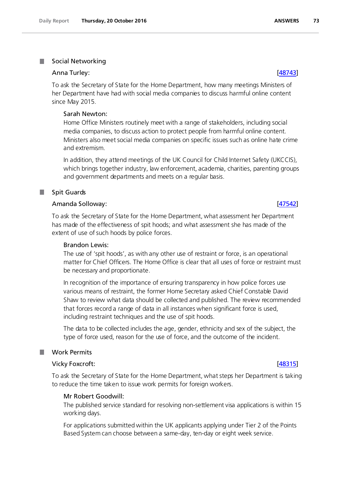### **Social Networking**

#### Anna Turley: [\[48743\]](http://www.parliament.uk/business/publications/written-questions-answers-statements/written-question/Commons/2016-10-14/48743)

To ask the Secretary of State for the Home Department, how many meetings Ministers of her Department have had with social media companies to discuss harmful online content since May 2015.

### Sarah Newton:

Home Office Ministers routinely meet with a range of stakeholders, including social media companies, to discuss action to protect people from harmful online content. Ministers also meet social media companies on specific issues such as online hate crime and extremism.

In addition, they attend meetings of the UK Council for Child Internet Safety (UKCCIS), which brings together industry, law enforcement, academia, charities, parenting groups and government departments and meets on a regular basis.

### Spit Guards

### Amanda Solloway: [\[47542\]](http://www.parliament.uk/business/publications/written-questions-answers-statements/written-question/Commons/2016-10-07/47542)

To ask the Secretary of State for the Home Department, what assessment her Department has made of the effectiveness of spit hoods; and what assessment she has made of the extent of use of such hoods by police forces.

#### Brandon Lewis:

The use of 'spit hoods', as with any other use of restraint or force, is an operational matter for Chief Officers. The Home Office is clear that all uses of force or restraint must be necessary and proportionate.

In recognition of the importance of ensuring transparency in how police forces use various means of restraint, the former Home Secretary asked Chief Constable David Shaw to review what data should be collected and published. The review recommended that forces record a range of data in all instances when significant force is used, including restraint techniques and the use of spit hoods.

The data to be collected includes the age, gender, ethnicity and sex of the subject, the type of force used, reason for the use of force, and the outcome of the incident.

#### Work Permits

#### Vicky Foxcroft: [\[48315\]](http://www.parliament.uk/business/publications/written-questions-answers-statements/written-question/Commons/2016-10-12/48315)

To ask the Secretary of State for the Home Department, what steps her Department is taking to reduce the time taken to issue work permits for foreign workers.

#### Mr Robert Goodwill:

The published service standard for resolving non-settlement visa applications is within 15 working days.

For applications submitted within the UK applicants applying under Tier 2 of the Points Based System can choose between a same-day, ten-day or eight week service.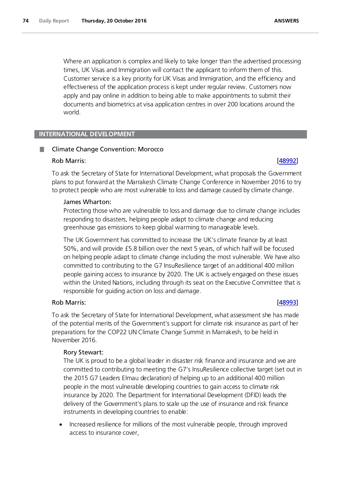Where an application is complex and likely to take longer than the advertised processing times, UK Visas and Immigration will contact the applicant to inform them of this. Customer service is a key priority for UK Visas and Immigration, and the efficiency and effectiveness of the application process is kept under regular review. Customers now apply and pay online in addition to being able to make appointments to submit their documents and biometrics at visa application centres in over 200 locations around the world.

## **INTERNATIONAL DEVELOPMENT**

## Climate Change Convention: Morocco

### Rob Marris: <u>[48992</u>]

To ask the Secretary of State for International Development, what proposals the Government plans to put forward at the Marrakesh Climate Change Conference in November 2016 to try to protect people who are most vulnerable to loss and damage caused by climate change.

### James Wharton:

Protecting those who are vulnerable to loss and damage due to climate change includes responding to disasters, helping people adapt to climate change and reducing greenhouse gas emissions to keep global warming to manageable levels.

The UK Government has committed to increase the UK's climate finance by at least 50%, and will provide £5.8 billion over the next 5 years, of which half will be focused on helping people adapt to climate change including the most vulnerable. We have also committed to contributing to the G7 InsuResilience target of an additional 400 million people gaining access to insurance by 2020. The UK is actively engaged on these issues within the United Nations, including through its seat on the Executive Committee that is responsible for guiding action on loss and damage.

### Rob Marris: [\[48993\]](http://www.parliament.uk/business/publications/written-questions-answers-statements/written-question/Commons/2016-10-17/48993)

To ask the Secretary of State for International Development, what assessment she has made of the potential merits of the Government's support for climate risk insurance as part of her preparations for the COP22 UN Climate Change Summit in Marrakesh, to be held in November 2016.

### Rory Stewart:

The UK is proud to be a global leader in disaster risk finance and insurance and we are committed to contributing to meeting the G7's InsuResilience collective target (set out in the 2015 G7 Leaders Elmau declaration) of helping up to an additional 400 million people in the most vulnerable developing countries to gain access to climate risk insurance by 2020. The Department for International Development (DFID) leads the delivery of the Government's plans to scale up the use of insurance and risk finance instruments in developing countries to enable:

• Increased resilience for millions of the most vulnerable people, through improved access to insurance cover,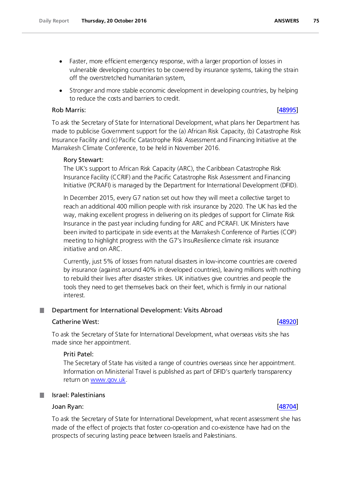- Faster, more efficient emergency response, with a larger proportion of losses in vulnerable developing countries to be covered by insurance systems, taking the strain off the overstretched humanitarian system,
- Stronger and more stable economic development in developing countries, by helping to reduce the costs and barriers to credit.

### Rob Marris: [\[48995\]](http://www.parliament.uk/business/publications/written-questions-answers-statements/written-question/Commons/2016-10-17/48995)

To ask the Secretary of State for International Development, what plans her Department has made to publicise Government support for the (a) African Risk Capacity, (b) Catastrophe Risk Insurance Facility and (c) Pacific Catastrophe Risk Assessment and Financing Initiative at the Marrakesh Climate Conference, to be held in November 2016.

## Rory Stewart:

The UK's support to African Risk Capacity (ARC), the Caribbean Catastrophe Risk Insurance Facility (CCRIF) and the Pacific Catastrophe Risk Assessment and Financing Initiative (PCRAFI) is managed by the Department for International Development (DFID).

In December 2015, every G7 nation set out how they will meet a collective target to reach an additional 400 million people with risk insurance by 2020. The UK has led the way, making excellent progress in delivering on its pledges of support for Climate Risk Insurance in the past year including funding for ARC and PCRAFI. UK Ministers have been invited to participate in side events at the Marrakesh Conference of Parties (COP) meeting to highlight progress with the G7's InsuResilience climate risk insurance initiative and on ARC.

Currently, just 5% of losses from natural disasters in low-income countries are covered by insurance (against around 40% in developed countries), leaving millions with nothing to rebuild their lives after disaster strikes. UK initiatives give countries and people the tools they need to get themselves back on their feet, which is firmly in our national interest.

#### Department for International Development: Visits Abroad .

## Catherine West: [\[48920\]](http://www.parliament.uk/business/publications/written-questions-answers-statements/written-question/Commons/2016-10-17/48920)

To ask the Secretary of State for International Development, what overseas visits she has made since her appointment.

## Priti Patel:

The Secretary of State has visited a range of countries overseas since her appointment. Information on Ministerial Travel is published as part of DFID's quarterly transparency return on www.gov.uk.

## Israel: Palestinians

## Joan Ryan: [\[48704\]](http://www.parliament.uk/business/publications/written-questions-answers-statements/written-question/Commons/2016-10-14/48704)

To ask the Secretary of State for International Development, what recent assessment she has made of the effect of projects that foster co-operation and co-existence have had on the prospects of securing lasting peace between Israelis and Palestinians.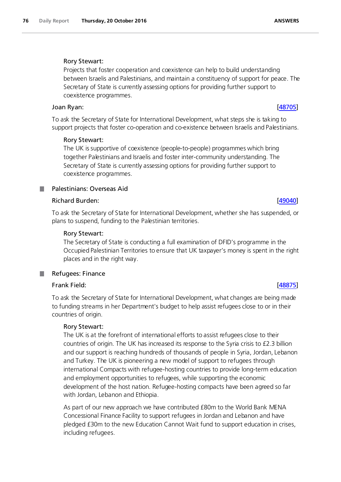# Rory Stewart:

Projects that foster cooperation and coexistence can help to build understanding between Israelis and Palestinians, and maintain a constituency of support for peace. The Secretary of State is currently assessing options for providing further support to coexistence programmes.

# Joan Ryan: [\[48705\]](http://www.parliament.uk/business/publications/written-questions-answers-statements/written-question/Commons/2016-10-14/48705)

To ask the Secretary of State for International Development, what steps she is taking to support projects that foster co-operation and co-existence between Israelis and Palestinians.

# Rory Stewart:

The UK is supportive of coexistence (people-to-people) programmes which bring together Palestinians and Israelis and foster inter-community understanding. The Secretary of State is currently assessing options for providing further support to coexistence programmes.

# Palestinians: Overseas Aid

# Richard Burden: [\[49040\]](http://www.parliament.uk/business/publications/written-questions-answers-statements/written-question/Commons/2016-10-17/49040)

To ask the Secretary of State for International Development, whether she has suspended, or plans to suspend, funding to the Palestinian territories.

# Rory Stewart:

The Secretary of State is conducting a full examination of DFID's programme in the Occupied Palestinian Territories to ensure that UK taxpayer's money is spent in the right places and in the right way.

#### Refugees: Finance **I**

# Frank Field: [\[48875\]](http://www.parliament.uk/business/publications/written-questions-answers-statements/written-question/Commons/2016-10-17/48875)

To ask the Secretary of State for International Development, what changes are being made to funding streams in her Department's budget to help assist refugees close to or in their countries of origin.

# Rory Stewart:

The UK is at the forefront of international efforts to assist refugees close to their countries of origin. The UK has increased its response to the Syria crisis to £2.3 billion and our support is reaching hundreds of thousands of people in Syria, Jordan, Lebanon and Turkey. The UK is pioneering a new model of support to refugees through international Compacts with refugee-hosting countries to provide long-term education and employment opportunities to refugees, while supporting the economic development of the host nation. Refugee-hosting compacts have been agreed so far with Jordan, Lebanon and Ethiopia.

As part of our new approach we have contributed £80m to the World Bank MENA Concessional Finance Facility to support refugees in Jordan and Lebanon and have pledged £30m to the new Education Cannot Wait fund to support education in crises, including refugees.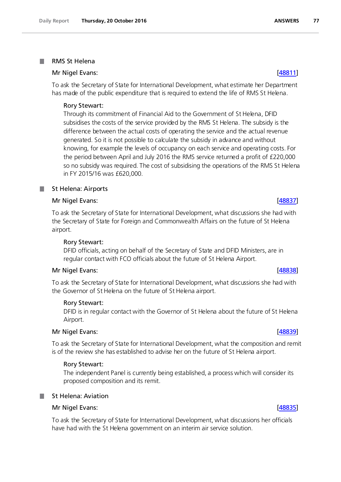#### RMS St Helena a a

## Mr Nigel Evans: [\[48811\]](http://www.parliament.uk/business/publications/written-questions-answers-statements/written-question/Commons/2016-10-17/48811)

To ask the Secretary of State for International Development, what estimate her Department has made of the public expenditure that is required to extend the life of RMS St Helena.

### Rory Stewart:

Through its commitment of Financial Aid to the Government of St Helena, DFID subsidises the costs of the service provided by the RMS St Helena. The subsidy is the difference between the actual costs of operating the service and the actual revenue generated. So it is not possible to calculate the subsidy in advance and without knowing, for example the levels of occupancy on each service and operating costs. For the period between April and July 2016 the RMS service returned a profit of £220,000 so no subsidy was required. The cost of subsidising the operations of the RMS St Helena in FY 2015/16 was £620,000.

### St Helena: Airports

### Mr Nigel Evans: [\[48837\]](http://www.parliament.uk/business/publications/written-questions-answers-statements/written-question/Commons/2016-10-17/48837)

To ask the Secretary of State for International Development, what discussions she had with the Secretary of State for Foreign and Commonwealth Affairs on the future of St Helena airport.

#### Rory Stewart:

DFID officials, acting on behalf of the Secretary of State and DFID Ministers, are in regular contact with FCO officials about the future of St Helena Airport.

#### Mr Nigel Evans: [\[48838\]](http://www.parliament.uk/business/publications/written-questions-answers-statements/written-question/Commons/2016-10-17/48838)

To ask the Secretary of State for International Development, what discussions she had with the Governor of St Helena on the future of St Helena airport.

#### Rory Stewart:

DFID is in regular contact with the Governor of St Helena about the future of St Helena Airport.

#### Mr Nigel Evans: [\[48839\]](http://www.parliament.uk/business/publications/written-questions-answers-statements/written-question/Commons/2016-10-17/48839)

To ask the Secretary of State for International Development, what the composition and remit is of the review she has established to advise her on the future of St Helena airport.

#### Rory Stewart:

The independent Panel is currently being established, a process which will consider its proposed composition and its remit.

# St Helena: Aviation

**Tara** 

#### Mr Nigel Evans: [\[48835\]](http://www.parliament.uk/business/publications/written-questions-answers-statements/written-question/Commons/2016-10-17/48835)

To ask the Secretary of State for International Development, what discussions her officials have had with the St Helena government on an interim air service solution.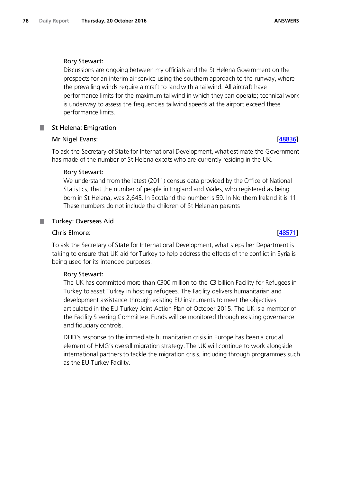### Rory Stewart:

Discussions are ongoing between my officials and the St Helena Government on the prospects for an interim air service using the southern approach to the runway, where the prevailing winds require aircraft to land with a tailwind. All aircraft have performance limits for the maximum tailwind in which they can operate; technical work is underway to assess the frequencies tailwind speeds at the airport exceed these performance limits.

## St Helena: Emigration

## Mr Nigel Evans: [\[48836\]](http://www.parliament.uk/business/publications/written-questions-answers-statements/written-question/Commons/2016-10-17/48836) [48836] [48836] [48836] [48836] [48836] [48836] [48836] [48836] [48836] [48836] [48836] [48836] [48836] [48836] [48836] [48836] [48836] [48836] [48836] [48836] [488] [48836] [48836] [488] [488] [488

To ask the Secretary of State for International Development, what estimate the Government has made of the number of St Helena expats who are currently residing in the UK.

## Rory Stewart:

We understand from the latest (2011) census data provided by the Office of National Statistics, that the number of people in England and Wales, who registered as being born in St Helena, was 2,645. In Scotland the number is 59. In Northern Ireland it is 11. These numbers do not include the children of St Helenian parents

## Turkey: Overseas Aid

### Chris Elmore: [\[48571\]](http://www.parliament.uk/business/publications/written-questions-answers-statements/written-question/Commons/2016-10-13/48571)

.

To ask the Secretary of State for International Development, what steps her Department is taking to ensure that UK aid for Turkey to help address the effects of the conflict in Syria is being used for its intended purposes.

### Rory Stewart:

The UK has committed more than €300 million to the €3 billion Facility for Refugees in Turkey to assist Turkey in hosting refugees. The Facility delivers humanitarian and development assistance through existing EU instruments to meet the objectives articulated in the EU Turkey Joint Action Plan of October 2015. The UK is a member of the Facility Steering Committee. Funds will be monitored through existing governance and fiduciary controls.

DFID's response to the immediate humanitarian crisis in Europe has been a crucial element of HMG's overall migration strategy. The UK will continue to work alongside international partners to tackle the migration crisis, including through programmes such as the EU-Turkey Facility.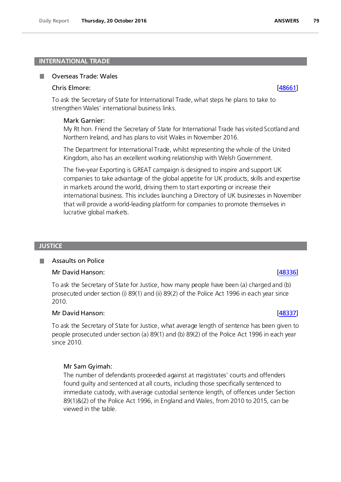### **INTERNATIONAL TRADE**

#### п Overseas Trade: Wales

#### Chris Elmore: [\[48661\]](http://www.parliament.uk/business/publications/written-questions-answers-statements/written-question/Commons/2016-10-13/48661)

To ask the Secretary of State for International Trade, what steps he plans to take to strengthen Wales' international business links.

#### Mark Garnier:

My Rt hon. Friend the Secretary of State for International Trade has visited Scotland and Northern Ireland, and has plans to visit Wales in November 2016.

The Department for International Trade, whilst representing the whole of the United Kingdom, also has an excellent working relationship with Welsh Government.

The five-year Exporting is GREAT campaign is designed to inspire and support UK companies to take advantage of the global appetite for UK products, skills and expertise in markets around the world, driving them to start exporting or increase their international business. This includes launching a Directory of UK businesses in November that will provide a world-leading platform for companies to promote themselves in lucrative global markets.

#### **JUSTICE**

#### Assaults on Police п

### Mr David Hanson: [\[48336\]](http://www.parliament.uk/business/publications/written-questions-answers-statements/written-question/Commons/2016-10-12/48336)

To ask the Secretary of State for Justice, how many people have been (a) charged and (b) prosecuted under section (i) 89(1) and (ii) 89(2) of the Police Act 1996 in each year since 2010.

#### Mr David Hanson: [\[48337\]](http://www.parliament.uk/business/publications/written-questions-answers-statements/written-question/Commons/2016-10-12/48337)

To ask the Secretary of State for Justice, what average length of sentence has been given to people prosecuted under section (a) 89(1) and (b) 89(2) of the Police Act 1996 in each year since 2010.

### Mr Sam Gyimah:

The number of defendants proceeded against at magistrates' courts and offenders found guilty and sentenced at all courts, including those specifically sentenced to immediate custody, with average custodial sentence length, of offences under Section 89(1)&(2) of the Police Act 1996, in England and Wales, from 2010 to 2015, can be viewed in the table.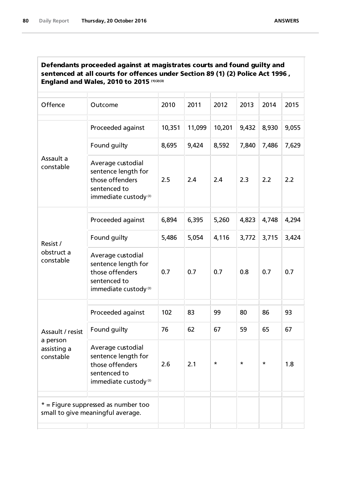| Defendants proceeded against at magistrates courts and found guilty and        |
|--------------------------------------------------------------------------------|
| sentenced at all courts for offences under Section 89 (1) (2) Police Act 1996, |
| <b>England and Wales, 2010 to 2015 (1)(2)(3)</b>                               |

| Offence                                                  | Outcome                                                                                                         | 2010   | 2011   | 2012   | 2013    | 2014    | 2015  |
|----------------------------------------------------------|-----------------------------------------------------------------------------------------------------------------|--------|--------|--------|---------|---------|-------|
|                                                          | Proceeded against                                                                                               | 10,351 | 11,099 | 10,201 | 9,432   | 8,930   | 9,055 |
|                                                          | Found guilty                                                                                                    | 8,695  | 9,424  | 8,592  | 7,840   | 7,486   | 7,629 |
| Assault a<br>constable                                   | Average custodial<br>sentence length for<br>those offenders<br>sentenced to<br>immediate custody <sup>(3)</sup> | 2.5    | 2.4    | 2.4    | 2.3     | 2.2     | 2.2   |
|                                                          | Proceeded against                                                                                               | 6,894  | 6,395  | 5,260  | 4,823   | 4,748   | 4,294 |
| Resist /                                                 | Found guilty                                                                                                    | 5,486  | 5,054  | 4,116  | 3,772   | 3,715   | 3,424 |
| obstruct a<br>constable                                  | Average custodial<br>sentence length for<br>those offenders<br>sentenced to<br>immediate custody <sup>(3)</sup> | 0.7    | 0.7    | 0.7    | 0.8     | 0.7     | 0.7   |
| Assault / resist<br>a person<br>assisting a<br>constable | Proceeded against                                                                                               | 102    | 83     | 99     | 80      | 86      | 93    |
|                                                          | Found guilty                                                                                                    | 76     | 62     | 67     | 59      | 65      | 67    |
|                                                          | Average custodial<br>sentence length for<br>those offenders<br>sentenced to<br>immediate custody <sup>(3)</sup> | 2.6    | 2.1    | *      | $\star$ | $\star$ | 1.8   |
|                                                          | $*$ = Figure suppressed as number too<br>small to give meaningful average.                                      |        |        |        |         |         |       |
|                                                          |                                                                                                                 |        |        |        |         |         |       |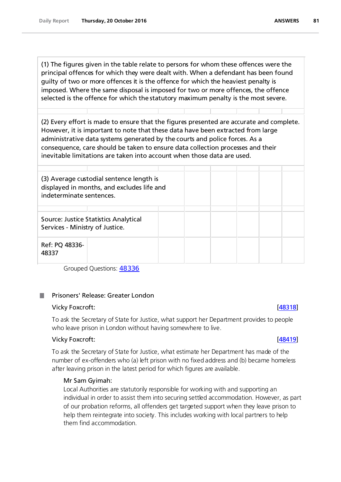(1) The figures given in the table relate to persons for whom these offences were the principal offences for which they were dealt with. When a defendant has been found guilty of two or more offences it is the offence for which the heaviest penalty is imposed. Where the same disposal is imposed for two or more offences, the offence selected is the offence for which the statutory maximum penalty is the most severe.

(2) Every effort is made to ensure that the figures presented are accurate and complete. However, it is important to note that these data have been extracted from large administrative data systems generated by the courts and police forces. As a consequence, care should be taken to ensure data collection processes and their inevitable limitations are taken into account when those data are used.

| (3) Average custodial sentence length is<br>displayed in months, and excludes life and<br>indeterminate sentences. |  |  |  |  |  |  |  |
|--------------------------------------------------------------------------------------------------------------------|--|--|--|--|--|--|--|
| Source: Justice Statistics Analytical<br>Services - Ministry of Justice.                                           |  |  |  |  |  |  |  |
| Ref: PQ 48336-<br>48337                                                                                            |  |  |  |  |  |  |  |

Grouped Questions: [48336](http://www.parliament.uk/business/publications/written-questions-answers-statements/written-question/Commons/2016-10-12/48336/)

## Prisoners' Release: Greater London

#### Vicky Foxcroft: [\[48318\]](http://www.parliament.uk/business/publications/written-questions-answers-statements/written-question/Commons/2016-10-12/48318)

To ask the Secretary of State for Justice, what support her Department provides to people who leave prison in London without having somewhere to live.

### Vicky Foxcroft: [\[48419\]](http://www.parliament.uk/business/publications/written-questions-answers-statements/written-question/Commons/2016-10-12/48419)

To ask the Secretary of State for Justice, what estimate her Department has made of the number of ex-offenders who (a) left prison with no fixed address and (b) became homeless after leaving prison in the latest period for which figures are available.

### Mr Sam Gyimah:

Local Authorities are statutorily responsible for working with and supporting an individual in order to assist them into securing settled accommodation. However, as part of our probation reforms, all offenders get targeted support when they leave prison to help them reintegrate into society. This includes working with local partners to help them find accommodation.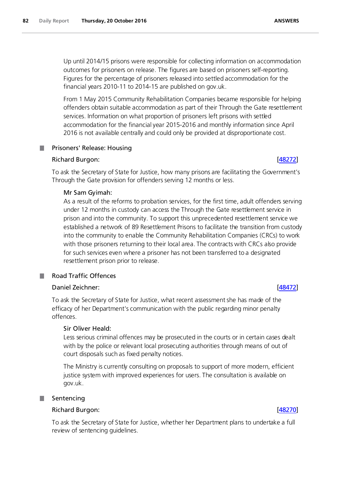Up until 2014/15 prisons were responsible for collecting information on accommodation outcomes for prisoners on release. The figures are based on prisoners self-reporting. Figures for the percentage of prisoners released into settled accommodation for the financial years 2010-11 to 2014-15 are published on gov.uk.

From 1 May 2015 Community Rehabilitation Companies became responsible for helping offenders obtain suitable accommodation as part of their Through the Gate resettlement services. Information on what proportion of prisoners left prisons with settled accommodation for the financial year 2015-2016 and monthly information since April 2016 is not available centrally and could only be provided at disproportionate cost.

## **Prisoners' Release: Housing**

### Richard Burgon: [\[48272\]](http://www.parliament.uk/business/publications/written-questions-answers-statements/written-question/Commons/2016-10-12/48272)

To ask the Secretary of State for Justice, how many prisons are facilitating the Government's Through the Gate provision for offenders serving 12 months or less.

### Mr Sam Gyimah:

As a result of the reforms to probation services, for the first time, adult offenders serving under 12 months in custody can access the Through the Gate resettlement service in prison and into the community. To support this unprecedented resettlement service we established a network of 89 Resettlement Prisons to facilitate the transition from custody into the community to enable the Community Rehabilitation Companies (CRCs) to work with those prisoners returning to their local area. The contracts with CRCs also provide for such services even where a prisoner has not been transferred to a designated resettlement prison prior to release.

# Road Traffic Offences

### Daniel Zeichner: [\[48472\]](http://www.parliament.uk/business/publications/written-questions-answers-statements/written-question/Commons/2016-10-12/48472)

To ask the Secretary of State for Justice, what recent assessment she has made of the efficacy of her Department's communication with the public regarding minor penalty offences.

### Sir Oliver Heald:

Less serious criminal offences may be prosecuted in the courts or in certain cases dealt with by the police or relevant local prosecuting authorities through means of out of court disposals such as fixed penalty notices.

The Ministry is currently consulting on proposals to support of more modern, efficient justice system with improved experiences for users. The consultation is available on gov.uk.

### Sentencing

## Richard Burgon: [\[48270\]](http://www.parliament.uk/business/publications/written-questions-answers-statements/written-question/Commons/2016-10-12/48270)

To ask the Secretary of State for Justice, whether her Department plans to undertake a full review of sentencing guidelines.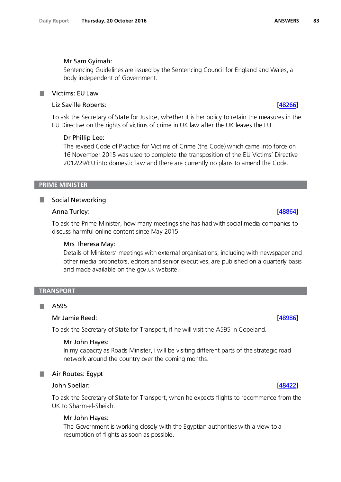### Mr Sam Gyimah:

Sentencing Guidelines are issued by the Sentencing Council for England and Wales, a body independent of Government.

#### Victims: EU Law **The State**

# Liz Saville Roberts: [\[48266\]](http://www.parliament.uk/business/publications/written-questions-answers-statements/written-question/Commons/2016-10-12/48266)

To ask the Secretary of State for Justice, whether it is her policy to retain the measures in the EU Directive on the rights of victims of crime in UK law after the UK leaves the EU.

### Dr Phillip Lee:

The revised Code of Practice for Victims of Crime (the Code) which came into force on 16 November 2015 was used to complete the transposition of the EU Victims' Directive 2012/29/EU into domestic law and there are currently no plans to amend the Code.

### **PRIME MINISTER**

### **Social Networking**

## Anna Turley: [\[48864\]](http://www.parliament.uk/business/publications/written-questions-answers-statements/written-question/Commons/2016-10-17/48864)

To ask the Prime Minister, how many meetings she has had with social media companies to discuss harmful online content since May 2015.

### Mrs Theresa May:

Details of Ministers' meetings with external organisations, including with newspaper and other media proprietors, editors and senior executives, are published on a quarterly basis and made available on the gov.uk website.

#### **TRANSPORT**

#### A595 **I**

### Mr Jamie Reed: [\[48986\]](http://www.parliament.uk/business/publications/written-questions-answers-statements/written-question/Commons/2016-10-17/48986)

To ask the Secretary of State for Transport, if he will visit the A595 in Copeland.

#### Mr John Hayes:

In my capacity as Roads Minister, I will be visiting different parts of the strategic road network around the country over the coming months.

### **Air Routes: Egypt**

### John Spellar: [\[48422\]](http://www.parliament.uk/business/publications/written-questions-answers-statements/written-question/Commons/2016-10-12/48422)

To ask the Secretary of State for Transport, when he expects flights to recommence from the UK to Sharm-el-Sheikh.

### Mr John Hayes:

The Government is working closely with the Egyptian authorities with a view to a resumption of flights as soon as possible.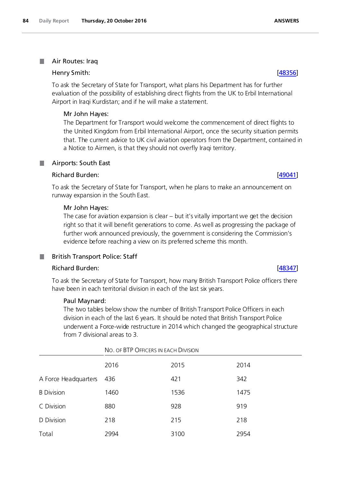### **Air Routes: Iraq**

### Henry Smith: [\[48356\]](http://www.parliament.uk/business/publications/written-questions-answers-statements/written-question/Commons/2016-10-12/48356)

To ask the Secretary of State for Transport, what plans his Department has for further evaluation of the possibility of establishing direct flights from the UK to Erbil International Airport in Iraqi Kurdistan; and if he will make a statement.

### Mr John Hayes:

The Department for Transport would welcome the commencement of direct flights to the United Kingdom from Erbil International Airport, once the security situation permits that. The current advice to UK civil aviation operators from the Department, contained in a Notice to Airmen, is that they should not overfly Iraqi territory.

#### Airports: South East .

### Richard Burden: [\[49041\]](http://www.parliament.uk/business/publications/written-questions-answers-statements/written-question/Commons/2016-10-17/49041)

To ask the Secretary of State for Transport, when he plans to make an announcement on runway expansion in the South East.

### Mr John Hayes:

The case for aviation expansion is clear – but it's vitally important we get the decision right so that it will benefit generations to come. As well as progressing the package of further work announced previously, the government is considering the Commission's evidence before reaching a view on its preferred scheme this month.

### British Transport Police: Staff

### Richard Burden: [\[48347\]](http://www.parliament.uk/business/publications/written-questions-answers-statements/written-question/Commons/2016-10-12/48347)

To ask the Secretary of State for Transport, how many British Transport Police officers there have been in each territorial division in each of the last six years.

#### Paul Maynard:

The two tables below show the number of British Transport Police Officers in each division in each of the last 6 years. It should be noted that British Transport Police underwent a Force-wide restructure in 2014 which changed the geographical structure from 7 divisional areas to 3.

|                      | NO. OF BTP OFFICERS IN EACH DIVISION |      |      |  |
|----------------------|--------------------------------------|------|------|--|
|                      | 2016                                 | 2015 | 2014 |  |
| A Force Headquarters | 436                                  | 421  | 342  |  |
| <b>B</b> Division    | 1460                                 | 1536 | 1475 |  |
| C Division           | 880                                  | 928  | 919  |  |
| D Division           | 218                                  | 215  | 218  |  |
| Total                | 2994                                 | 3100 | 2954 |  |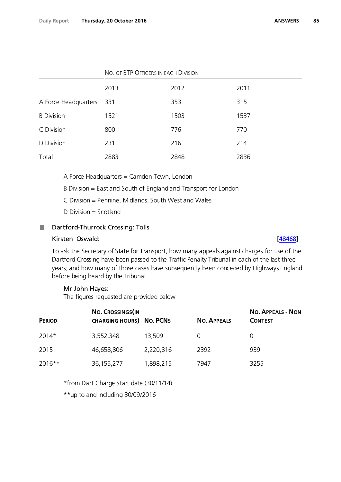|                      | NO. OF BTP OFFICERS IN EACH DIVISION |      |      |  |
|----------------------|--------------------------------------|------|------|--|
|                      | 2013                                 | 2012 | 2011 |  |
| A Force Headquarters | - 331                                | 353  | 315  |  |
| <b>B</b> Division    | 1521                                 | 1503 | 1537 |  |
| C Division           | 800                                  | 776  | 770  |  |
| D Division           | 231                                  | 216  | 214  |  |
| Total                | 2883                                 | 2848 | 2836 |  |

A Force Headquarters = Camden Town, London

B Division = East and South of England and Transport for London

C Division = Pennine, Midlands, South West and Wales

D Division = Scotland

#### Dartford-Thurrock Crossing: Tolls .

### Kirsten Oswald: [\[48468\]](http://www.parliament.uk/business/publications/written-questions-answers-statements/written-question/Commons/2016-10-12/48468)

To ask the Secretary of State for Transport, how many appeals against charges for use of the Dartford Crossing have been passed to the Traffic Penalty Tribunal in each of the last three years; and how many of those cases have subsequently been conceded by Highways England before being heard by the Tribunal.

#### Mr John Hayes:

The figures requested are provided below

| <b>PERIOD</b> | NO. CROSSINGS (IN<br><b>CHARGING HOURS) NO. PCNS</b> |           | <b>NO. APPEALS</b> | <b>NO. APPEALS - NON</b><br><b>CONTEST</b> |
|---------------|------------------------------------------------------|-----------|--------------------|--------------------------------------------|
| 2014*         | 3,552,348                                            | 13,509    |                    | $\left( \right)$                           |
| 2015          | 46,658,806                                           | 2,220,816 | 2392               | 939                                        |
| 2016**        | 36, 155, 277                                         | 1,898,215 | 7947               | 3255                                       |

\*from Dart Charge Start date (30/11/14)

\*\*up to and including 30/09/2016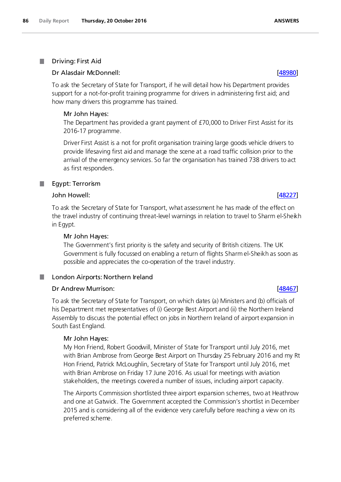#### П Driving: First Aid

### Dr Alasdair McDonnell: [\[48980\]](http://www.parliament.uk/business/publications/written-questions-answers-statements/written-question/Commons/2016-10-17/48980)

To ask the Secretary of State for Transport, if he will detail how his Department provides support for a not-for-profit training programme for drivers in administering first aid; and how many drivers this programme has trained.

### Mr John Hayes:

The Department has provided a grant payment of £70,000 to Driver First Assist for its 2016-17 programme.

Driver First Assist is a not for profit organisation training large goods vehicle drivers to provide lifesaving first aid and manage the scene at a road traffic collision prior to the arrival of the emergency services. So far the organisation has trained 738 drivers to act as first responders.

#### ш Egypt: Terrorism

### John Howell: [\[48227\]](http://www.parliament.uk/business/publications/written-questions-answers-statements/written-question/Commons/2016-10-12/48227)

To ask the Secretary of State for Transport, what assessment he has made of the effect on the travel industry of continuing threat-level warnings in relation to travel to Sharm el-Sheikh in Egypt.

### Mr John Hayes:

The Government's first priority is the safety and security of British citizens. The UK Government is fully focussed on enabling a return of flights Sharm el-Sheikh as soon as possible and appreciates the co-operation of the travel industry.

#### . London Airports: Northern Ireland

## Dr Andrew Murrison: [\[48467\]](http://www.parliament.uk/business/publications/written-questions-answers-statements/written-question/Commons/2016-10-12/48467)

To ask the Secretary of State for Transport, on which dates (a) Ministers and (b) officials of his Department met representatives of (i) George Best Airport and (ii) the Northern Ireland Assembly to discuss the potential effect on jobs in Northern Ireland of airport expansion in South East England.

### Mr John Hayes:

My Hon Friend, Robert Goodwill, Minister of State for Transport until July 2016, met with Brian Ambrose from George Best Airport on Thursday 25 February 2016 and my Rt Hon Friend, Patrick McLoughlin, Secretary of State for Transport until July 2016, met with Brian Ambrose on Friday 17 June 2016. As usual for meetings with aviation stakeholders, the meetings covered a number of issues, including airport capacity.

The Airports Commission shortlisted three airport expansion schemes, two at Heathrow and one at Gatwick. The Government accepted the Commission's shortlist in December 2015 and is considering all of the evidence very carefully before reaching a view on its preferred scheme.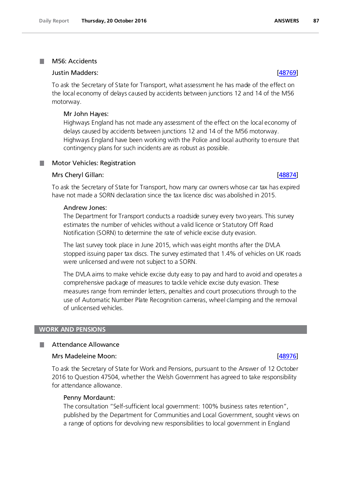#### M56: Accidents **The State**

### Justin Madders: [\[48769\]](http://www.parliament.uk/business/publications/written-questions-answers-statements/written-question/Commons/2016-10-14/48769)

To ask the Secretary of State for Transport, what assessment he has made of the effect on the local economy of delays caused by accidents between junctions 12 and 14 of the M56 motorway.

### Mr John Hayes:

Highways England has not made any assessment of the effect on the local economy of delays caused by accidents between junctions 12 and 14 of the M56 motorway. Highways England have been working with the Police and local authority to ensure that contingency plans for such incidents are as robust as possible.

### Motor Vehicles: Registration

#### Mrs Cheryl Gillan: [\[48874\]](http://www.parliament.uk/business/publications/written-questions-answers-statements/written-question/Commons/2016-10-17/48874)

To ask the Secretary of State for Transport, how many car owners whose car tax has expired have not made a SORN declaration since the tax licence disc was abolished in 2015.

#### Andrew Jones:

The Department for Transport conducts a roadside survey every two years. This survey estimates the number of vehicles without a valid licence or Statutory Off Road Notification (SORN) to determine the rate of vehicle excise duty evasion.

The last survey took place in June 2015, which was eight months after the DVLA stopped issuing paper tax discs. The survey estimated that 1.4% of vehicles on UK roads were unlicensed and were not subject to a SORN.

The DVLA aims to make vehicle excise duty easy to pay and hard to avoid and operates a comprehensive package of measures to tackle vehicle excise duty evasion. These measures range from reminder letters, penalties and court prosecutions through to the use of Automatic Number Plate Recognition cameras, wheel clamping and the removal of unlicensed vehicles.

#### **WORK AND PENSIONS**

#### Attendance Allowance **Tara**

#### Mrs Madeleine Moon: **and South American Control** Control of the Control Control Control Control Control Control Control Control Control Control Control Control Control Control Control Control Control Control Control Contro

To ask the Secretary of State for Work and Pensions, pursuant to the Answer of 12 October 2016 to Question 47504, whether the Welsh Government has agreed to take responsibility for attendance allowance.

#### Penny Mordaunt:

The consultation "Self-sufficient local government: 100% business rates retention", published by the Department for Communities and Local Government, sought views on a range of options for devolving new responsibilities to local government in England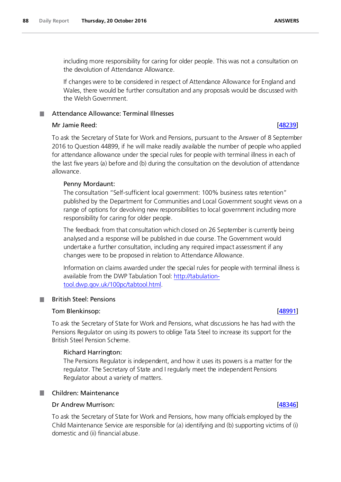including more responsibility for caring for older people. This was not a consultation on the devolution of Attendance Allowance.

If changes were to be considered in respect of Attendance Allowance for England and Wales, there would be further consultation and any proposals would be discussed with the Welsh Government.

# Attendance Allowance: Terminal Illnesses

### Mr Jamie Reed: [\[48239\]](http://www.parliament.uk/business/publications/written-questions-answers-statements/written-question/Commons/2016-10-12/48239)

To ask the Secretary of State for Work and Pensions, pursuant to the Answer of 8 September 2016 to Question 44899, if he will make readily available the number of people who applied for attendance allowance under the special rules for people with terminal illness in each of the last five years (a) before and (b) during the consultation on the devolution of attendance allowance.

### Penny Mordaunt:

The consultation "Self-sufficient local government: 100% business rates retention" published by the Department for Communities and Local Government sought views on a range of options for devolving new responsibilities to local government including more responsibility for caring for older people.

The feedback from that consultation which closed on 26 September is currently being analysed and a response will be published in due course. The Government would undertake a further consultation, including any required impact assessment if any changes were to be proposed in relation to Attendance Allowance.

Information on claims awarded under the special rules for people with terminal illness is available from the DWP Tabulation Tool: [http://tabulation](http://tabulation-tool.dwp.gov.uk/100pc/tabtool.html)[tool.dwp.gov.uk/100pc/tabtool.html.](http://tabulation-tool.dwp.gov.uk/100pc/tabtool.html)

#### British Steel: Pensions **Tara**

### Tom Blenkinsop: [\[48991\]](http://www.parliament.uk/business/publications/written-questions-answers-statements/written-question/Commons/2016-10-17/48991)

To ask the Secretary of State for Work and Pensions, what discussions he has had with the Pensions Regulator on using its powers to oblige Tata Steel to increase its support for the British Steel Pension Scheme.

### Richard Harrington:

The Pensions Regulator is independent, and how it uses its powers is a matter for the regulator. The Secretary of State and I regularly meet the independent Pensions Regulator about a variety of matters.

### **Children: Maintenance**

### Dr Andrew Murrison: [\[48346\]](http://www.parliament.uk/business/publications/written-questions-answers-statements/written-question/Commons/2016-10-12/48346)

To ask the Secretary of State for Work and Pensions, how many officials employed by the Child Maintenance Service are responsible for (a) identifying and (b) supporting victims of (i) domestic and (ii) financial abuse.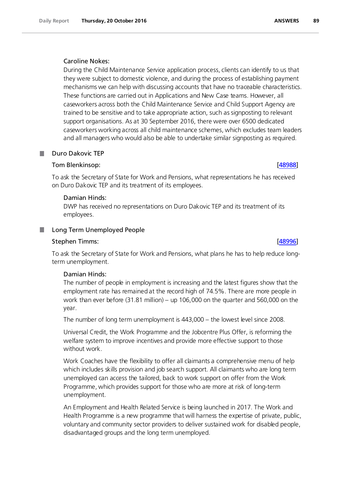### Caroline Nokes:

During the Child Maintenance Service application process, clients can identify to us that they were subject to domestic violence, and during the process of establishing payment mechanisms we can help with discussing accounts that have no traceable characteristics. These functions are carried out in Applications and New Case teams. However, all caseworkers across both the Child Maintenance Service and Child Support Agency are trained to be sensitive and to take appropriate action, such as signposting to relevant support organisations. As at 30 September 2016, there were over 6500 dedicated caseworkers working across all child maintenance schemes, which excludes team leaders and all managers who would also be able to undertake similar signposting as required.

## Duro Dakovic TEP

### Tom Blenkinsop: [\[48988\]](http://www.parliament.uk/business/publications/written-questions-answers-statements/written-question/Commons/2016-10-17/48988)

To ask the Secretary of State for Work and Pensions, what representations he has received on Duro Dakovic TEP and its treatment of its employees.

### Damian Hinds:

DWP has received no representations on Duro Dakovic TEP and its treatment of its employees.

## Long Term Unemployed People

### Stephen Timms: [\[48996\]](http://www.parliament.uk/business/publications/written-questions-answers-statements/written-question/Commons/2016-10-17/48996)

To ask the Secretary of State for Work and Pensions, what plans he has to help reduce longterm unemployment.

### Damian Hinds:

The number of people in employment is increasing and the latest figures show that the employment rate has remained at the record high of 74.5%. There are more people in work than ever before (31.81 million) – up 106,000 on the quarter and 560,000 on the year.

The number of long term unemployment is 443,000 – the lowest level since 2008.

Universal Credit, the Work Programme and the Jobcentre Plus Offer, is reforming the welfare system to improve incentives and provide more effective support to those without work.

Work Coaches have the flexibility to offer all claimants a comprehensive menu of help which includes skills provision and job search support. All claimants who are long term unemployed can access the tailored, back to work support on offer from the Work Programme, which provides support for those who are more at risk of long-term unemployment.

An Employment and Health Related Service is being launched in 2017. The Work and Health Programme is a new programme that will harness the expertise of private, public, voluntary and community sector providers to deliver sustained work for disabled people, disadvantaged groups and the long term unemployed.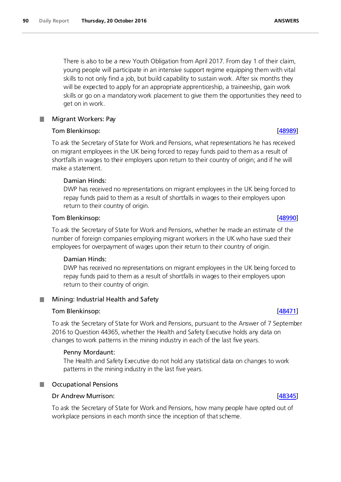There is also to be a new Youth Obligation from April 2017. From day 1 of their claim, young people will participate in an intensive support regime equipping them with vital skills to not only find a job, but build capability to sustain work. After six months they will be expected to apply for an appropriate apprenticeship, a traineeship, gain work skills or go on a mandatory work placement to give them the opportunities they need to get on in work.

#### Migrant Workers: Pay .

## Tom Blenkinsop: [\[48989\]](http://www.parliament.uk/business/publications/written-questions-answers-statements/written-question/Commons/2016-10-17/48989)

To ask the Secretary of State for Work and Pensions, what representations he has received on migrant employees in the UK being forced to repay funds paid to them as a result of shortfalls in wages to their employers upon return to their country of origin; and if he will make a statement.

## Damian Hinds:

DWP has received no representations on migrant employees in the UK being forced to repay funds paid to them as a result of shortfalls in wages to their employers upon return to their country of origin.

## Tom Blenkinsop: [\[48990\]](http://www.parliament.uk/business/publications/written-questions-answers-statements/written-question/Commons/2016-10-17/48990)

To ask the Secretary of State for Work and Pensions, whether he made an estimate of the number of foreign companies employing migrant workers in the UK who have sued their employees for overpayment of wages upon their return to their country of origin.

### Damian Hinds:

DWP has received no representations on migrant employees in the UK being forced to repay funds paid to them as a result of shortfalls in wages to their employers upon return to their country of origin.

#### Mining: Industrial Health and Safety .

### Tom Blenkinsop: [\[48471\]](http://www.parliament.uk/business/publications/written-questions-answers-statements/written-question/Commons/2016-10-12/48471)

To ask the Secretary of State for Work and Pensions, pursuant to the Answer of 7 September 2016 to Question 44365, whether the Health and Safety Executive holds any data on changes to work patterns in the mining industry in each of the last five years.

### Penny Mordaunt:

The Health and Safety Executive do not hold any statistical data on changes to work patterns in the mining industry in the last five years.

#### Occupational Pensions .

### Dr Andrew Murrison: [\[48345\]](http://www.parliament.uk/business/publications/written-questions-answers-statements/written-question/Commons/2016-10-12/48345)

To ask the Secretary of State for Work and Pensions, how many people have opted out of workplace pensions in each month since the inception of that scheme.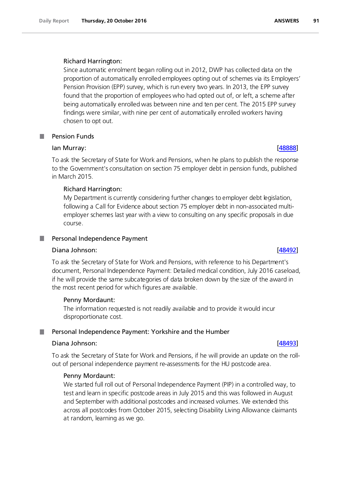### Richard Harrington:

Since automatic enrolment began rolling out in 2012, DWP has collected data on the proportion of automatically enrolled employees opting out of schemes via its Employers' Pension Provision (EPP) survey, which is run every two years. In 2013, the EPP survey found that the proportion of employees who had opted out of, or left, a scheme after being automatically enrolled was between nine and ten per cent. The 2015 EPP survey findings were similar, with nine per cent of automatically enrolled workers having chosen to opt out.

# Pension Funds

### Ian Murray: [\[48888\]](http://www.parliament.uk/business/publications/written-questions-answers-statements/written-question/Commons/2016-10-17/48888)

To ask the Secretary of State for Work and Pensions, when he plans to publish the response to the Government's consultation on section 75 employer debt in pension funds, published in March 2015.

### Richard Harrington:

My Department is currently considering further changes to employer debt legislation, following a Call for Evidence about section 75 employer debt in non-associated multiemployer schemes last year with a view to consulting on any specific proposals in due course.

### **Personal Independence Payment**

### Diana Johnson: [\[48492\]](http://www.parliament.uk/business/publications/written-questions-answers-statements/written-question/Commons/2016-10-13/48492)

To ask the Secretary of State for Work and Pensions, with reference to his Department's document, Personal Independence Payment: Detailed medical condition, July 2016 caseload, if he will provide the same subcategories of data broken down by the size of the award in the most recent period for which figures are available.

### Penny Mordaunt:

The information requested is not readily available and to provide it would incur disproportionate cost.

#### Personal Independence Payment: Yorkshire and the Humber .

#### Diana Johnson: [\[48493\]](http://www.parliament.uk/business/publications/written-questions-answers-statements/written-question/Commons/2016-10-13/48493)

To ask the Secretary of State for Work and Pensions, if he will provide an update on the rollout of personal independence payment re-assessments for the HU postcode area.

#### Penny Mordaunt:

We started full roll out of Personal Independence Payment (PIP) in a controlled way, to test and learn in specific postcode areas in July 2015 and this was followed in August and September with additional postcodes and increased volumes. We extended this across all postcodes from October 2015, selecting Disability Living Allowance claimants at random, learning as we go.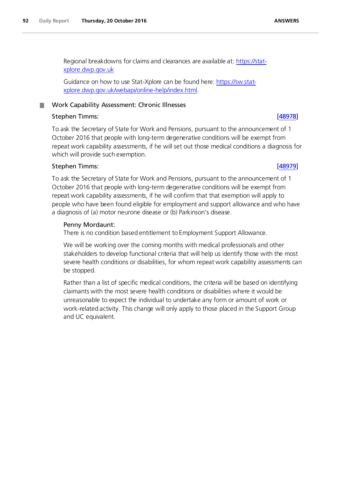Guidance on how to use Stat-Xplore can be found here[: https://sw.stat](https://sw.stat-xplore.dwp.gov.uk/webapi/online-help/index.html)[xplore.dwp.gov.uk/webapi/online-help/index.html.](https://sw.stat-xplore.dwp.gov.uk/webapi/online-help/index.html)

# **Nork Capability Assessment: Chronic Illnesses**

# Stephen Timms: [\[48978\]](http://www.parliament.uk/business/publications/written-questions-answers-statements/written-question/Commons/2016-10-17/48978)

To ask the Secretary of State for Work and Pensions, pursuant to the announcement of 1 October 2016 that people with long-term degenerative conditions will be exempt from repeat work capability assessments, if he will set out those medical conditions a diagnosis for which will provide such exemption.

# Stephen Timms: [\[48979\]](http://www.parliament.uk/business/publications/written-questions-answers-statements/written-question/Commons/2016-10-17/48979)

To ask the Secretary of State for Work and Pensions, pursuant to the announcement of 1 October 2016 that people with long-term degenerative conditions will be exempt from repeat work capability assessments, if he will confirm that that exemption will apply to people who have been found eligible for employment and support allowance and who have a diagnosis of (a) motor neurone disease or (b) Parkinson's disease.

# Penny Mordaunt:

There is no condition based entitlement to Employment Support Allowance.

We will be working over the coming months with medical professionals and other stakeholders to develop functional criteria that will help us identify those with the most severe health conditions or disabilities, for whom repeat work capability assessments can be stopped.

Rather than a list of specific medical conditions, the criteria will be based on identifying claimants with the most severe health conditions or disabilities where it would be unreasonable to expect the individual to undertake any form or amount of work or work-related activity. This change will only apply to those placed in the Support Group and UC equivalent.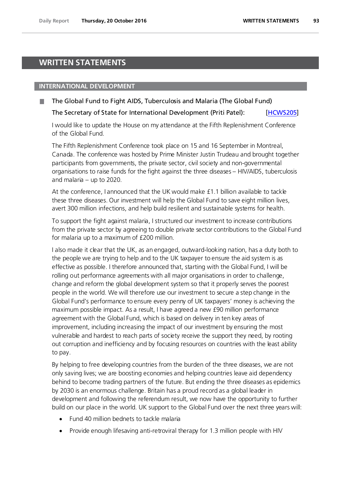# **WRITTEN STATEMENTS**

#### **INTERNATIONAL DEVELOPMENT**

The Global Fund to Fight AIDS, Tuberculosis and Malaria (The Global Fund)

The Secretary of State for International Development (Priti Patel): [\[HCWS205\]](http://www.parliament.uk/business/publications/written-questions-answers-statements/written-statement/Commons/2016-10-20/HCWS205/) 

I would like to update the House on my attendance at the Fifth Replenishment Conference of the Global Fund.

The Fifth Replenishment Conference took place on 15 and 16 September in Montreal, Canada. The conference was hosted by Prime Minister Justin Trudeau and brought together participants from governments, the private sector, civil society and non-governmental organisations to raise funds for the fight against the three diseases – HIV/AIDS, tuberculosis and malaria – up to 2020.

At the conference, I announced that the UK would make £1.1 billion available to tackle these three diseases. Our investment will help the Global Fund to save eight million lives, avert 300 million infections, and help build resilient and sustainable systems for health.

To support the fight against malaria, I structured our investment to increase contributions from the private sector by agreeing to double private sector contributions to the Global Fund for malaria up to a maximum of £200 million.

I also made it clear that the UK, as an engaged, outward-looking nation, has a duty both to the people we are trying to help and to the UK taxpayer to ensure the aid system is as effective as possible. I therefore announced that, starting with the Global Fund, I will be rolling out performance agreements with all major organisations in order to challenge, change and reform the global development system so that it properly serves the poorest people in the world. We will therefore use our investment to secure a step change in the Global Fund's performance to ensure every penny of UK taxpayers' money is achieving the maximum possible impact. As a result, I have agreed a new £90 million performance agreement with the Global Fund, which is based on delivery in ten key areas of improvement, including increasing the impact of our investment by ensuring the most vulnerable and hardest to reach parts of society receive the support they need, by rooting out corruption and inefficiency and by focusing resources on countries with the least ability to pay.

By helping to free developing countries from the burden of the three diseases, we are not only saving lives; we are boosting economies and helping countries leave aid dependency behind to become trading partners of the future. But ending the three diseases as epidemics by 2030 is an enormous challenge. Britain has a proud record as a global leader in development and following the referendum result, we now have the opportunity to further build on our place in the world. UK support to the Global Fund over the next three years will:

- Fund 40 million bednets to tackle malaria
- Provide enough lifesaving anti-retroviral therapy for 1.3 million people with HIV